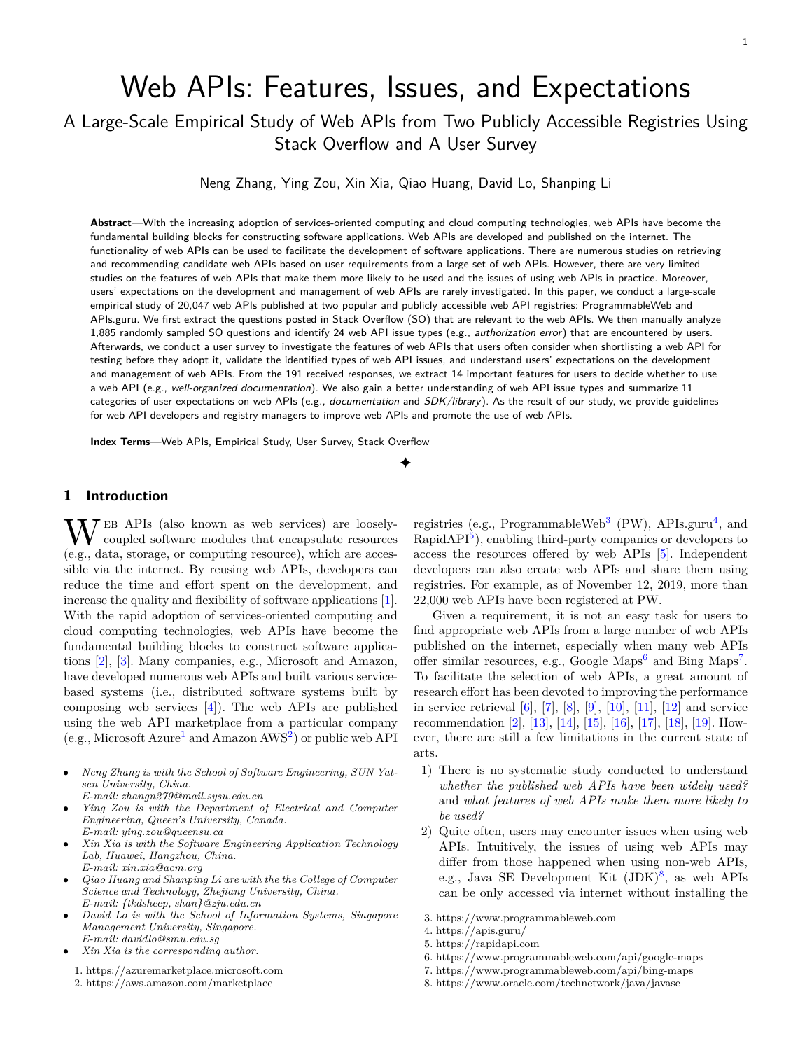# Web APIs: Features, Issues, and Expectations

## A Large-Scale Empirical Study of Web APIs from Two Publicly Accessible Registries Using Stack Overflow and A User Survey

Neng Zhang, Ying Zou, Xin Xia, Qiao Huang, David Lo, Shanping Li

**Abstract**—With the increasing adoption of services-oriented computing and cloud computing technologies, web APIs have become the fundamental building blocks for constructing software applications. Web APIs are developed and published on the internet. The functionality of web APIs can be used to facilitate the development of software applications. There are numerous studies on retrieving and recommending candidate web APIs based on user requirements from a large set of web APIs. However, there are very limited studies on the features of web APIs that make them more likely to be used and the issues of using web APIs in practice. Moreover, users' expectations on the development and management of web APIs are rarely investigated. In this paper, we conduct a large-scale empirical study of 20,047 web APIs published at two popular and publicly accessible web API registries: ProgrammableWeb and APIs.guru. We first extract the questions posted in Stack Overflow (SO) that are relevant to the web APIs. We then manually analyze 1,885 randomly sampled SO questions and identify 24 web API issue types (e.g., *authorization error*) that are encountered by users. Afterwards, we conduct a user survey to investigate the features of web APIs that users often consider when shortlisting a web API for testing before they adopt it, validate the identified types of web API issues, and understand users' expectations on the development and management of web APIs. From the 191 received responses, we extract 14 important features for users to decide whether to use a web API (e.g., *well-organized documentation*). We also gain a better understanding of web API issue types and summarize 11 categories of user expectations on web APIs (e.g., *documentation* and *SDK/library*). As the result of our study, we provide guidelines for web API developers and registry managers to improve web APIs and promote the use of web APIs.

✦

**Index Terms**—Web APIs, Empirical Study, User Survey, Stack Overflow

## **1 Introduction**

 $\mathbf{W}$ <sup>EB</sup> APIs (also known as web services) are looselycoupled software modules that encapsulate resources (e.g., data, storage, or computing resource), which are accessible via the internet. By reusing web APIs, developers can reduce the time and effort spent on the development, and increase the quality and flexibility of software applications [[1\]](#page-26-0). With the rapid adoption of services-oriented computing and cloud computing technologies, web APIs have become the fundamental building blocks to construct software applications [\[2](#page-26-1)], [[3\]](#page-26-2). Many companies, e.g., Microsoft and Amazon, have developed numerous web APIs and built various servicebased systems (i.e., distributed software systems built by composing web services  $[4]$ . The web APIs are published using the web API marketplace from a particular company (e.g., Microsoft Azure<sup>[1](#page-0-0)</sup> and Amazon  $\text{AWS}^2$  $\text{AWS}^2$ ) or public web API

- *• Neng Zhang is with the School of Software Engineering, SUN Yatsen University, China. E-mail: zhangn279@mail.sysu.edu.cn*
- *• Ying Zou is with the Department of Electrical and Computer Engineering, Queen's University, Canada. E-mail: ying.zou@queensu.ca*
- *• Xin Xia is with the Software Engineering Application Technology Lab, Huawei, Hangzhou, China. E-mail: xin.xia@acm.org*
- *• Qiao Huang and Shanping Li are with the the College of Computer Science and Technology, Zhejiang University, China. E-mail: {tkdsheep, shan}@zju.edu.cn*
- *• David Lo is with the School of Information Systems, Singapore Management University, Singapore. E-mail: davidlo@smu.edu.sg*
- <span id="page-0-1"></span><span id="page-0-0"></span>*• Xin Xia is the corresponding author.*
	- 1. https://azuremarketplace.microsoft.com
	- 2. https://aws.amazon.com/marketplace

registries (e.g., ProgrammableWeb<sup>[3](#page-0-2)</sup> (PW), APIs.guru<sup>[4](#page-0-3)</sup>, and RapidAPI<sup>[5](#page-0-4)</sup>), enabling third-party companies or developers to access the resources offered by web APIs [[5\]](#page-26-4). Independent developers can also create web APIs and share them using registries. For example, as of November 12, 2019, more than 22,000 web APIs have been registered at PW.

Given a requirement, it is not an easy task for users to find appropriate web APIs from a large number of web APIs published on the internet, especially when many web APIs offer similar resources, e.g., Google Maps<sup>[6](#page-0-5)</sup> and Bing Maps<sup>[7](#page-0-6)</sup>. To facilitate the selection of web APIs, a great amount of research effort has been devoted to improving the performance in service retrieval  $[6]$ ,  $[7]$ ,  $[8]$ ,  $[9]$  $[9]$  $[9]$ ,  $[10]$  $[10]$  $[10]$ ,  $[11]$  $[11]$  $[11]$ ,  $[12]$  $[12]$  $[12]$  and service recommendation [\[2](#page-26-1)], [[13](#page-26-12)], [\[14\]](#page-26-13), [[15](#page-26-14)], [\[16\]](#page-26-15), [[17](#page-26-16)], [\[18\]](#page-26-17), [[19](#page-26-18)]. However, there are still a few limitations in the current state of arts.

- 1) There is no systematic study conducted to understand *whether the published web APIs have been widely used?* and *what features of web APIs make them more likely to be used?*
- 2) Quite often, users may encounter issues when using web APIs. Intuitively, the issues of using web APIs may differ from those happened when using non-web APIs, e.g., Java SE Development Kit  $(JDK)^8$  $(JDK)^8$ , as web APIs can be only accessed via internet without installing the
- <span id="page-0-2"></span>3. https://www.programmableweb.com
- <span id="page-0-3"></span>4. https://apis.guru/
- <span id="page-0-4"></span>5. https://rapidapi.com
- <span id="page-0-5"></span>6. https://www.programmableweb.com/api/google-maps
- <span id="page-0-6"></span>7. https://www.programmableweb.com/api/bing-maps
- <span id="page-0-7"></span>8. https://www.oracle.com/technetwork/java/javase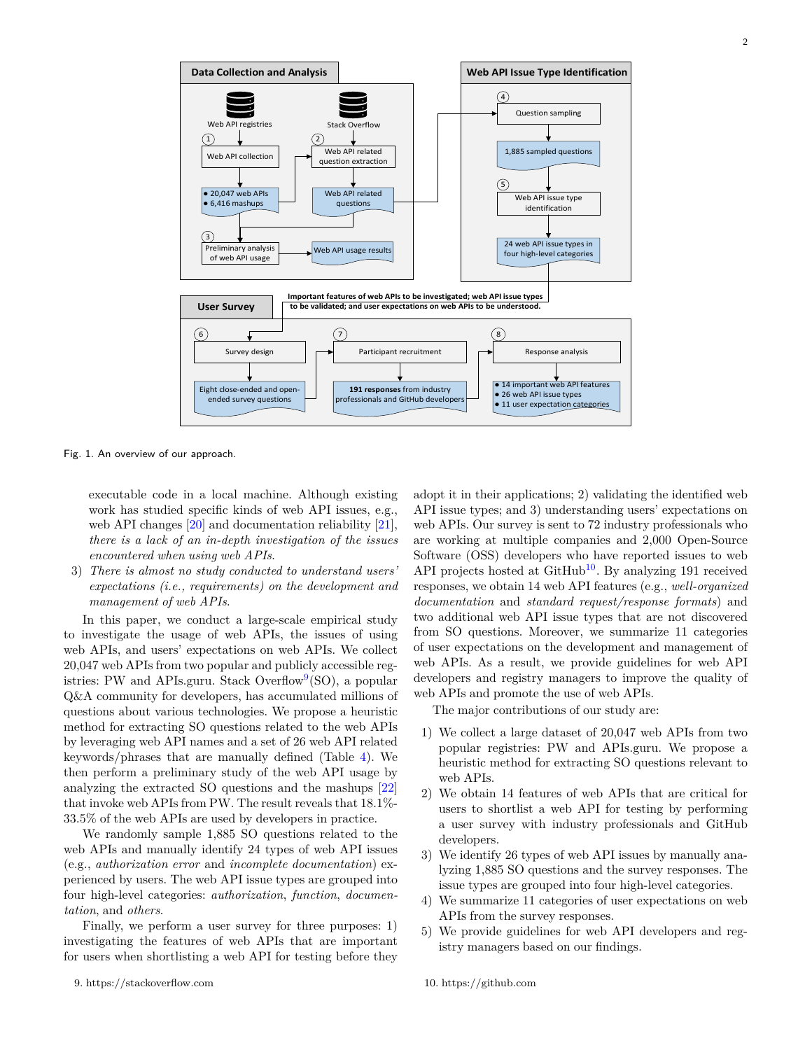

<span id="page-1-2"></span>Fig. 1. An overview of our approach.

executable code in a local machine. Although existing work has studied specific kinds of web API issues, e.g., web API changes [[20](#page-26-19)] and documentation reliability [\[21\]](#page-26-20), *there is a lack of an in-depth investigation of the issues encountered when using web APIs*.

3) *There is almost no study conducted to understand users' expectations (i.e., requirements) on the development and management of web APIs*.

In this paper, we conduct a large-scale empirical study to investigate the usage of web APIs, the issues of using web APIs, and users' expectations on web APIs. We collect 20,047 web APIs from two popular and publicly accessible reg-istries: PW and APIs.guru. Stack Overflow<sup>[9](#page-1-0)</sup>(SO), a popular Q&A community for developers, has accumulated millions of questions about various technologies. We propose a heuristic method for extracting SO questions related to the web APIs by leveraging web API names and a set of 26 web API related keywords/phrases that are manually defined (Table [4](#page-4-0)). We then perform a preliminary study of the web API usage by analyzing the extracted SO questions and the mashups [[22](#page-26-21)] that invoke web APIs from PW. The result reveals that 18.1%- 33.5% of the web APIs are used by developers in practice.

We randomly sample 1,885 SO questions related to the web APIs and manually identify 24 types of web API issues (e.g., *authorization error* and *incomplete documentation*) experienced by users. The web API issue types are grouped into four high-level categories: *authorization*, *function*, *documentation*, and *others*.

<span id="page-1-0"></span>Finally, we perform a user survey for three purposes: 1) investigating the features of web APIs that are important for users when shortlisting a web API for testing before they adopt it in their applications; 2) validating the identified web API issue types; and 3) understanding users' expectations on web APIs. Our survey is sent to 72 industry professionals who are working at multiple companies and 2,000 Open-Source Software (OSS) developers who have reported issues to web API projects hosted at  $\text{GitHub}^{10}$  $\text{GitHub}^{10}$  $\text{GitHub}^{10}$ . By analyzing 191 received responses, we obtain 14 web API features (e.g., *well-organized documentation* and *standard request/response formats*) and two additional web API issue types that are not discovered from SO questions. Moreover, we summarize 11 categories of user expectations on the development and management of web APIs. As a result, we provide guidelines for web API developers and registry managers to improve the quality of web APIs and promote the use of web APIs.

The major contributions of our study are:

- 1) We collect a large dataset of 20,047 web APIs from two popular registries: PW and APIs.guru. We propose a heuristic method for extracting SO questions relevant to web APIs.
- 2) We obtain 14 features of web APIs that are critical for users to shortlist a web API for testing by performing a user survey with industry professionals and GitHub developers.
- 3) We identify 26 types of web API issues by manually analyzing 1,885 SO questions and the survey responses. The issue types are grouped into four high-level categories.
- 4) We summarize 11 categories of user expectations on web APIs from the survey responses.
- <span id="page-1-1"></span>5) We provide guidelines for web API developers and registry managers based on our findings.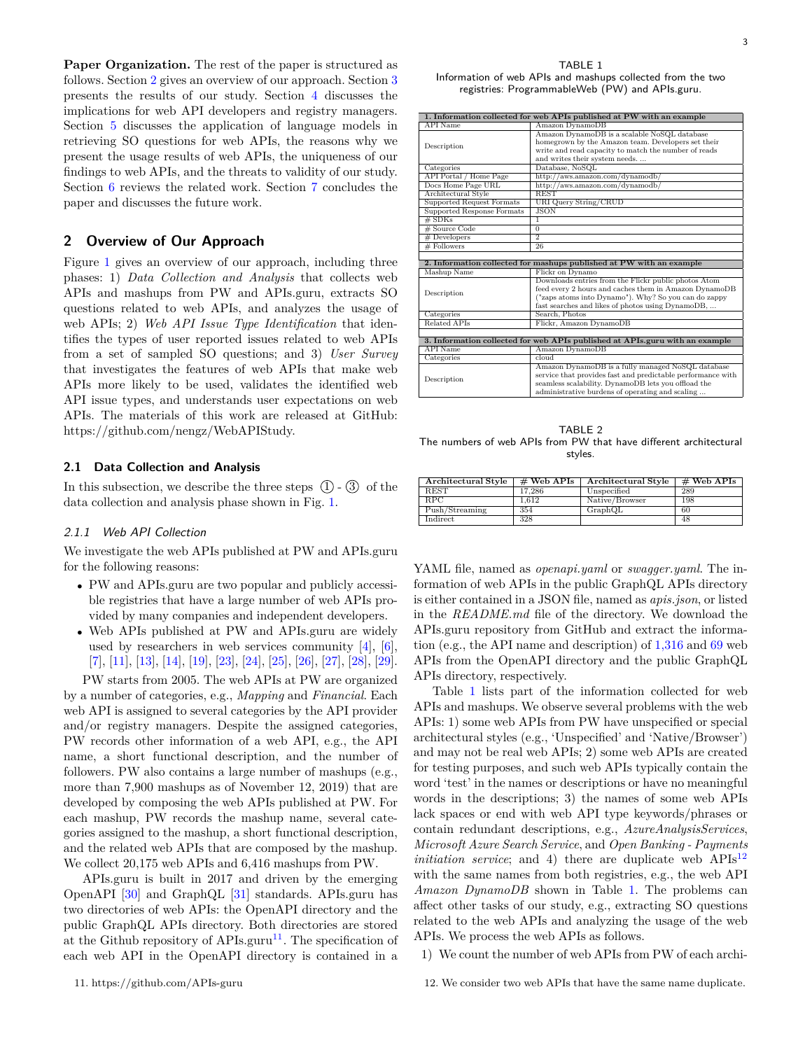**Paper Organization.** The rest of the paper is structured as follows. Section [2](#page-2-0) gives an overview of our approach. Section [3](#page-10-0) presents the results of our study. Section [4](#page-20-0) discusses the implications for web API developers and registry managers. Section [5](#page-22-0) discusses the application of language models in retrieving SO questions for web APIs, the reasons why we present the usage results of web APIs, the uniqueness of our findings to web APIs, and the threats to validity of our study. Section [6](#page-24-0) reviews the related work. Section [7](#page-25-0) concludes the paper and discusses the future work.

## <span id="page-2-0"></span>**2 Overview of Our Approach**

Figure [1](#page-1-2) gives an overview of our approach, including three phases: 1) *Data Collection and Analysis* that collects web APIs and mashups from PW and APIs.guru, extracts SO questions related to web APIs, and analyzes the usage of web APIs; 2) *Web API Issue Type Identification* that identifies the types of user reported issues related to web APIs from a set of sampled SO questions; and 3) *User Survey* that investigates the features of web APIs that make web APIs more likely to be used, validates the identified web API issue types, and understands user expectations on web APIs. The materials of this work are released at GitHub: https://github.com/nengz/WebAPIStudy.

## **2.1 Data Collection and Analysis**

In this subsection, we describe the three steps  $(1)$  -  $(3)$  of the data collection and analysis phase shown in Fig. [1.](#page-1-2)

#### <span id="page-2-5"></span>*2.1.1 Web API Collection*

We investigate the web APIs published at PW and APIs.guru for the following reasons:

- *•* PW and APIs.guru are two popular and publicly accessible registries that have a large number of web APIs provided by many companies and independent developers.
- *•* Web APIs published at PW and APIs.guru are widely used by researchers in web services community [\[4](#page-26-3)], [[6\]](#page-26-5), [[7](#page-26-6)], [[11](#page-26-10)], [[13](#page-26-12)], [[14](#page-26-13)], [\[19\]](#page-26-18), [\[23\]](#page-26-22), [\[24\]](#page-26-23), [\[25\]](#page-26-24), [\[26\]](#page-26-25), [\[27\]](#page-26-26), [\[28\]](#page-26-27), [\[29\]](#page-26-28).

PW starts from 2005. The web APIs at PW are organized by a number of categories, e.g., *Mapping* and *Financial*. Each web API is assigned to several categories by the API provider and/or registry managers. Despite the assigned categories, PW records other information of a web API, e.g., the API name, a short functional description, and the number of followers. PW also contains a large number of mashups (e.g., more than 7,900 mashups as of November 12, 2019) that are developed by composing the web APIs published at PW. For each mashup, PW records the mashup name, several categories assigned to the mashup, a short functional description, and the related web APIs that are composed by the mashup. We collect 20,175 web APIs and 6,416 mashups from PW.

<span id="page-2-1"></span>APIs.guru is built in 2017 and driven by the emerging OpenAPI [\[30\]](#page-26-29) and GraphQL [\[31\]](#page-26-30) standards. APIs.guru has two directories of web APIs: the OpenAPI directory and the public GraphQL APIs directory. Both directories are stored at the Github repository of APIs.guru<sup>[11](#page-2-1)</sup>. The specification of each web API in the OpenAPI directory is contained in a

<span id="page-2-2"></span>TABLE 1 Information of web APIs and mashups collected from the two registries: ProgrammableWeb (PW) and APIs.guru.

|                               | 1. Information collected for web APIs published at PW with an example                                                                                                                                                      |
|-------------------------------|----------------------------------------------------------------------------------------------------------------------------------------------------------------------------------------------------------------------------|
| <b>API</b> Name               | Amazon DynamoDB                                                                                                                                                                                                            |
| Description                   | Amazon DynamoDB is a scalable NoSQL database<br>homegrown by the Amazon team. Developers set their<br>write and read capacity to match the number of reads<br>and writes their system needs.                               |
| Categories                    | Database, NoSQL                                                                                                                                                                                                            |
| <b>API</b> Portal / Home Page | http://aws.amazon.com/dynamodb/                                                                                                                                                                                            |
| Docs Home Page URL            | http://aws.amazon.com/dynamodb/                                                                                                                                                                                            |
| Architectural Style           | <b>REST</b>                                                                                                                                                                                                                |
| Supported Request Formats     | URI Query String/CRUD                                                                                                                                                                                                      |
| Supported Response Formats    | <b>JSON</b>                                                                                                                                                                                                                |
| $#$ SDKs                      | T                                                                                                                                                                                                                          |
| # Source Code                 | $\overline{0}$                                                                                                                                                                                                             |
| # Developers                  | $\overline{2}$                                                                                                                                                                                                             |
| # Followers                   | 26                                                                                                                                                                                                                         |
|                               | 2. Information collected for mashups published at PW with an example                                                                                                                                                       |
| Mashup Name                   | Flickr on Dynamo                                                                                                                                                                                                           |
| Description                   | Downloads entries from the Flickr public photos Atom<br>feed every 2 hours and caches them in Amazon DynamoDB<br>("zaps atoms into Dynamo"). Why? So you can do zappy<br>fast searches and likes of photos using DynamoDB, |
| Categories                    | Search, Photos                                                                                                                                                                                                             |
| <b>Related APIs</b>           | Flickr, Amazon DynamoDB                                                                                                                                                                                                    |
|                               |                                                                                                                                                                                                                            |
|                               | 3. Information collected for web APIs published at APIs.guru with an example                                                                                                                                               |
| <b>API</b> Name               | Amazon DynamoDB                                                                                                                                                                                                            |
| Categories                    | cloud                                                                                                                                                                                                                      |
| Description                   | Amazon DynamoDB is a fully managed NoSQL database<br>service that provides fast and predictable performance with<br>seamless scalability. DynamoDB lets you offload the<br>administrative burdens of operating and scaling |

<span id="page-2-4"></span>TABLE 2 The numbers of web APIs from PW that have different architectural styles.

| Architectural Style | $#$ Web APIs | Architectural Style | $\#$ Web APIs |
|---------------------|--------------|---------------------|---------------|
| <b>REST</b>         | 17.286       | Unspecified         | 289           |
| RPC                 | 1.612        | Native/Browser      | 198           |
| Push/Streaming      | 354          | GraphQL             | 60            |
| Indirect            | 328          |                     | 48            |

YAML file, named as *openapi.yaml* or *swagger.yaml*. The information of web APIs in the public GraphQL APIs directory is either contained in a JSON file, named as *apis.json*, or listed in the *README.md* file of the directory. We download the APIs.guru repository from GitHub and extract the information (e.g., the API name and description) of 1,316 and 69 web APIs from the OpenAPI directory and the public GraphQL APIs directory, respectively.

Table [1](#page-2-2) lists part of the information collected for web APIs and mashups. We observe several problems with the web APIs: 1) some web APIs from PW have unspecified or special architectural styles (e.g., 'Unspecified' and 'Native/Browser') and may not be real web APIs; 2) some web APIs are created for testing purposes, and such web APIs typically contain the word 'test' in the names or descriptions or have no meaningful words in the descriptions; 3) the names of some web APIs lack spaces or end with web API type keywords/phrases or contain redundant descriptions, e.g., *AzureAnalysisServices*, *Microsoft Azure Search Service*, and *Open Banking - Payments initiation service*; and 4) there are duplicate web  $APIs<sup>12</sup>$  $APIs<sup>12</sup>$  $APIs<sup>12</sup>$ with the same names from both registries, e.g., the web API *Amazon DynamoDB* shown in Table [1.](#page-2-2) The problems can affect other tasks of our study, e.g., extracting SO questions related to the web APIs and analyzing the usage of the web APIs. We process the web APIs as follows.

<span id="page-2-3"></span>1) We count the number of web APIs from PW of each archi-

3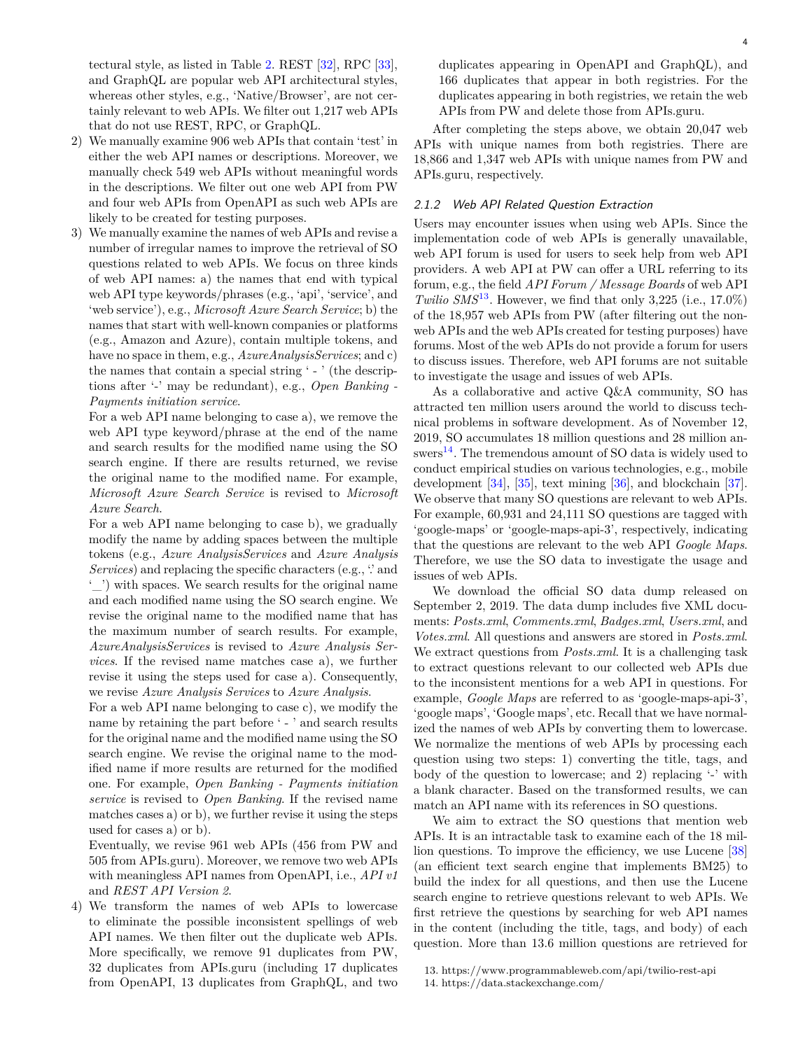tectural style, as listed in Table [2.](#page-2-4) REST [[32](#page-26-31)], RPC [\[33\]](#page-26-32), and GraphQL are popular web API architectural styles, whereas other styles, e.g., 'Native/Browser', are not certainly relevant to web APIs. We filter out 1,217 web APIs that do not use REST, RPC, or GraphQL.

- 2) We manually examine 906 web APIs that contain 'test' in either the web API names or descriptions. Moreover, we manually check 549 web APIs without meaningful words in the descriptions. We filter out one web API from PW and four web APIs from OpenAPI as such web APIs are likely to be created for testing purposes.
- 3) We manually examine the names of web APIs and revise a number of irregular names to improve the retrieval of SO questions related to web APIs. We focus on three kinds of web API names: a) the names that end with typical web API type keywords/phrases (e.g., 'api', 'service', and 'web service'), e.g., *Microsoft Azure Search Service*; b) the names that start with well-known companies or platforms (e.g., Amazon and Azure), contain multiple tokens, and have no space in them, e.g., *AzureAnalysisServices*; and c) the names that contain a special string ' - ' (the descriptions after '-' may be redundant), e.g., *Open Banking - Payments initiation service*.

For a web API name belonging to case a), we remove the web API type keyword/phrase at the end of the name and search results for the modified name using the SO search engine. If there are results returned, we revise the original name to the modified name. For example, *Microsoft Azure Search Service* is revised to *Microsoft Azure Search*.

For a web API name belonging to case b), we gradually modify the name by adding spaces between the multiple tokens (e.g., *Azure AnalysisServices* and *Azure Analysis Services*) and replacing the specific characters (e.g., "and '\_') with spaces. We search results for the original name and each modified name using the SO search engine. We revise the original name to the modified name that has the maximum number of search results. For example, *AzureAnalysisServices* is revised to *Azure Analysis Services*. If the revised name matches case a), we further revise it using the steps used for case a). Consequently, we revise *Azure Analysis Services* to *Azure Analysis*.

For a web API name belonging to case c), we modify the name by retaining the part before ' - ' and search results for the original name and the modified name using the SO search engine. We revise the original name to the modified name if more results are returned for the modified one. For example, *Open Banking - Payments initiation service* is revised to *Open Banking*. If the revised name matches cases a) or b), we further revise it using the steps used for cases a) or b).

Eventually, we revise 961 web APIs (456 from PW and 505 from APIs.guru). Moreover, we remove two web APIs with meaningless API names from OpenAPI, i.e., *API v1* and *REST API Version 2*.

4) We transform the names of web APIs to lowercase to eliminate the possible inconsistent spellings of web API names. We then filter out the duplicate web APIs. More specifically, we remove 91 duplicates from PW, 32 duplicates from APIs.guru (including 17 duplicates from OpenAPI, 13 duplicates from GraphQL, and two duplicates appearing in OpenAPI and GraphQL), and 166 duplicates that appear in both registries. For the duplicates appearing in both registries, we retain the web APIs from PW and delete those from APIs.guru.

After completing the steps above, we obtain 20,047 web APIs with unique names from both registries. There are 18,866 and 1,347 web APIs with unique names from PW and APIs.guru, respectively.

## <span id="page-3-2"></span>*2.1.2 Web API Related Question Extraction*

Users may encounter issues when using web APIs. Since the implementation code of web APIs is generally unavailable, web API forum is used for users to seek help from web API providers. A web API at PW can offer a URL referring to its forum, e.g., the field *API Forum / Message Boards* of web API *Twilio SMS*<sup>[13](#page-3-0)</sup>. However, we find that only 3,225 (i.e.,  $17.0\%$ ) of the 18,957 web APIs from PW (after filtering out the nonweb APIs and the web APIs created for testing purposes) have forums. Most of the web APIs do not provide a forum for users to discuss issues. Therefore, web API forums are not suitable to investigate the usage and issues of web APIs.

As a collaborative and active Q&A community, SO has attracted ten million users around the world to discuss technical problems in software development. As of November 12, 2019, SO accumulates 18 million questions and 28 million an- $swers<sup>14</sup>$  $swers<sup>14</sup>$  $swers<sup>14</sup>$ . The tremendous amount of SO data is widely used to conduct empirical studies on various technologies, e.g., mobile development [[34](#page-26-33)], [[35](#page-26-34)], text mining [\[36\]](#page-26-35), and blockchain [\[37\]](#page-26-36). We observe that many SO questions are relevant to web APIs. For example, 60,931 and 24,111 SO questions are tagged with 'google-maps' or 'google-maps-api-3', respectively, indicating that the questions are relevant to the web API *Google Maps*. Therefore, we use the SO data to investigate the usage and issues of web APIs.

We download the official SO data dump released on September 2, 2019. The data dump includes five XML documents: *Posts.xml*, *Comments.xml*, *Badges.xml*, *Users.xml*, and *Votes.xml*. All questions and answers are stored in *Posts.xml*. We extract questions from *Posts.xml*. It is a challenging task to extract questions relevant to our collected web APIs due to the inconsistent mentions for a web API in questions. For example, *Google Maps* are referred to as 'google-maps-api-3', 'google maps', 'Google maps', etc. Recall that we have normalized the names of web APIs by converting them to lowercase. We normalize the mentions of web APIs by processing each question using two steps: 1) converting the title, tags, and body of the question to lowercase; and 2) replacing '-' with a blank character. Based on the transformed results, we can match an API name with its references in SO questions.

We aim to extract the SO questions that mention web APIs. It is an intractable task to examine each of the 18 million questions. To improve the efficiency, we use Lucene [[38](#page-26-37)] (an efficient text search engine that implements BM25) to build the index for all questions, and then use the Lucene search engine to retrieve questions relevant to web APIs. We first retrieve the questions by searching for web API names in the content (including the title, tags, and body) of each question. More than 13.6 million questions are retrieved for

<span id="page-3-1"></span>14. https://data.stackexchange.com/

<span id="page-3-0"></span><sup>13.</sup> https://www.programmableweb.com/api/twilio-rest-api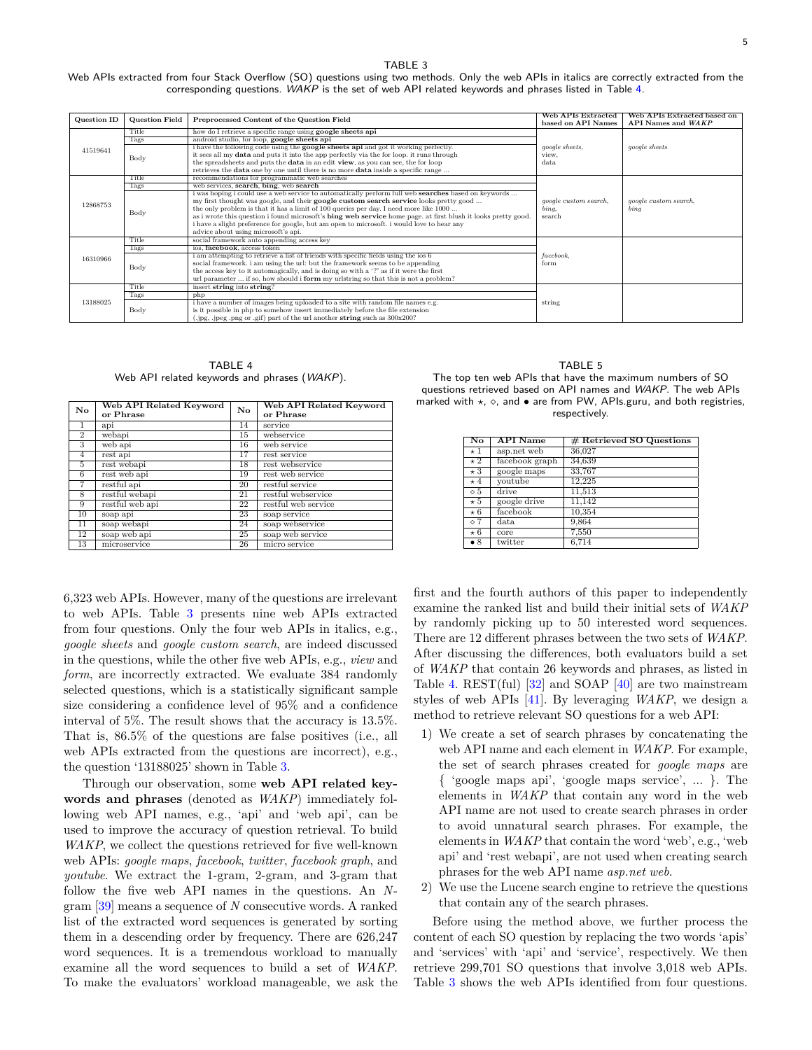<span id="page-4-1"></span>Web APIs extracted from four Stack Overflow (SO) questions using two methods. Only the web APIs in italics are correctly extracted from the corresponding questions. *WAKP* is the set of web API related keywords and phrases listed in Table [4.](#page-4-0)

| Question ID | <b>Question Field</b> | Preprocessed Content of the Question Field                                                                    | <b>Web APIs Extracted</b><br>based on API Names | Web APIs Extracted based on<br>API Names and WAKP |
|-------------|-----------------------|---------------------------------------------------------------------------------------------------------------|-------------------------------------------------|---------------------------------------------------|
|             | Title                 | how do I retrieve a specific range using google sheets api                                                    |                                                 |                                                   |
|             | Tags                  | android studio, for loop, google sheets api                                                                   |                                                 |                                                   |
| 41519641    |                       | i have the following code using the google sheets api and got it working perfectly.                           | google sheets,                                  | <i>google sheets</i>                              |
|             | Body                  | it sees all my <b>data</b> and puts it into the app perfectly via the for loop, it runs through               | view.                                           |                                                   |
|             |                       | the spreadsheets and puts the <b>data</b> in an edit view. as you can see, the for loop                       | data                                            |                                                   |
|             |                       | retrieves the <b>data</b> one by one until there is no more <b>data</b> inside a specific range               |                                                 |                                                   |
|             | Title                 | recommendations for programmatic web searches                                                                 |                                                 |                                                   |
|             | Tags                  | web services, search, bing, web search                                                                        |                                                 |                                                   |
|             |                       | i was hoping i could use a web service to automatically perform full web <b>searches</b> based on keywords    |                                                 |                                                   |
| 12868753    |                       | my first thought was google, and their google custom search service looks pretty good                         | qoogle custom search,                           | google custom search.                             |
|             | Body                  | the only problem is that it has a limit of 100 queries per day. I need more like 1000                         | bing.                                           | $_{binq}$                                         |
|             |                       | as i wrote this question i found microsoft's bing web service home page. at first blush it looks pretty good. | search                                          |                                                   |
|             |                       | i have a slight preference for google, but am open to microsoft. i would love to hear any                     |                                                 |                                                   |
|             |                       | advice about using microsoft's api.                                                                           |                                                 |                                                   |
|             | Title                 | social framework auto appending access key                                                                    |                                                 |                                                   |
|             | Tags                  | ios, facebook, access token                                                                                   |                                                 |                                                   |
| 16310966    |                       | i am attempting to retrieve a list of friends with specific fields using the ios 6                            | facebook,                                       |                                                   |
|             | Body                  | social framework, i am using the url: but the framework seems to be appending                                 | form                                            |                                                   |
|             |                       | the access key to it automagically, and is doing so with a '?' as if it were the first                        |                                                 |                                                   |
|             |                       | url parameter  if so, how should i form my urlstring so that this is not a problem?                           |                                                 |                                                   |
|             | Title                 | insert string into string?                                                                                    |                                                 |                                                   |
|             | Tags                  | php                                                                                                           |                                                 |                                                   |
| 13188025    |                       | i have a number of images being uploaded to a site with random file names e.g.                                | string                                          |                                                   |
|             | Body                  | is it possible in php to somehow insert immediately before the file extension                                 |                                                 |                                                   |
|             |                       | (.jpg, .jpeg .png or .gif) part of the url another string such as 300x200?                                    |                                                 |                                                   |

TABLE 4 Web API related keywords and phrases (*WAKP*).

<span id="page-4-0"></span>

| $\mathbf{N}\mathbf{o}$ | Web API Related Keyword<br>or Phrase | $\mathbf{N}\mathbf{o}$ | Web API Related Keyword<br>or Phrase |
|------------------------|--------------------------------------|------------------------|--------------------------------------|
| $\mathbf{1}$           | api                                  | 14                     | service                              |
| $\overline{2}$         | webapi                               | 15                     | webservice                           |
| 3                      | web api                              | 16                     | web service                          |
| $\overline{4}$         | $rest$ api                           | 17                     | rest service                         |
| 5                      | rest webapi                          | 18                     | rest webservice                      |
| 6                      | rest web api                         | 19                     | rest web service                     |
| 7                      | restful api                          | 20                     | restful service                      |
| 8                      | restful webapi                       | 21                     | restful webservice                   |
| 9                      | restful web api                      | 22                     | restful web service                  |
| 10                     | soap api                             | 23                     | soap service                         |
| 11                     | soap webapi                          | 24                     | soap webservice                      |
| 12                     | soap web api                         | 25                     | soap web service                     |
| 13                     | microservice                         | 26                     | micro service                        |

6,323 web APIs. However, many of the questions are irrelevant to web APIs. Table [3](#page-4-1) presents nine web APIs extracted from four questions. Only the four web APIs in italics, e.g., *google sheets* and *google custom search*, are indeed discussed in the questions, while the other five web APIs, e.g., *view* and *form*, are incorrectly extracted. We evaluate 384 randomly selected questions, which is a statistically significant sample size considering a confidence level of 95% and a confidence interval of 5%. The result shows that the accuracy is 13.5%. That is, 86.5% of the questions are false positives (i.e., all web APIs extracted from the questions are incorrect), e.g., the question '13188025' shown in Table [3](#page-4-1).

Through our observation, some **web API related keywords and phrases** (denoted as *WAKP*) immediately following web API names, e.g., 'api' and 'web api', can be used to improve the accuracy of question retrieval. To build *WAKP*, we collect the questions retrieved for five well-known web APIs: *google maps*, *facebook*, *twitter*, *facebook graph*, and *youtube*. We extract the 1-gram, 2-gram, and 3-gram that follow the five web API names in the questions. An *N*gram [\[39\]](#page-26-38) means a sequence of *N* consecutive words. A ranked list of the extracted word sequences is generated by sorting them in a descending order by frequency. There are 626,247 word sequences. It is a tremendous workload to manually examine all the word sequences to build a set of *WAKP*. To make the evaluators' workload manageable, we ask the

TABLE 5

<span id="page-4-2"></span>The top ten web APIs that have the maximum numbers of SO questions retrieved based on API names and *WAKP*. The web APIs marked with *⋆*, *⋄*, and *•* are from PW, APIs.guru, and both registries, respectively.

| No           | <b>API</b> Name | # Retrieved SO Questions |
|--------------|-----------------|--------------------------|
| $\star$ 1    | asp.net web     | 36,027                   |
| $\star 2$    | facebook graph  | 34,639                   |
| $\star 3$    | google maps     | 33,767                   |
| $\star$ 4    | youtube         | 12,225                   |
| $\circ 5$    | drive           | 11,513                   |
| $\star 5$    | google drive    | 11.142                   |
| $*6$         | facebook        | 10,354                   |
| $\diamond$ 7 | data            | 9,864                    |
| $*6$         | core            | 7,550                    |
| $\bullet$ 8  | twitter         | 6,714                    |

first and the fourth authors of this paper to independently examine the ranked list and build their initial sets of *WAKP* by randomly picking up to 50 interested word sequences. There are 12 different phrases between the two sets of *WAKP*. After discussing the differences, both evaluators build a set of *WAKP* that contain 26 keywords and phrases, as listed in Table [4](#page-4-0). REST(ful)  $[32]$  and SOAP  $[40]$  are two mainstream styles of web APIs [\[41\]](#page-26-40). By leveraging *WAKP*, we design a method to retrieve relevant SO questions for a web API:

- 1) We create a set of search phrases by concatenating the web API name and each element in *WAKP*. For example, the set of search phrases created for *google maps* are { 'google maps api', 'google maps service', ... }. The elements in *WAKP* that contain any word in the web API name are not used to create search phrases in order to avoid unnatural search phrases. For example, the elements in *WAKP* that contain the word 'web', e.g., 'web api' and 'rest webapi', are not used when creating search phrases for the web API name *asp.net web*.
- 2) We use the Lucene search engine to retrieve the questions that contain any of the search phrases.

Before using the method above, we further process the content of each SO question by replacing the two words 'apis' and 'services' with 'api' and 'service', respectively. We then retrieve 299,701 SO questions that involve 3,018 web APIs. Table [3](#page-4-1) shows the web APIs identified from four questions.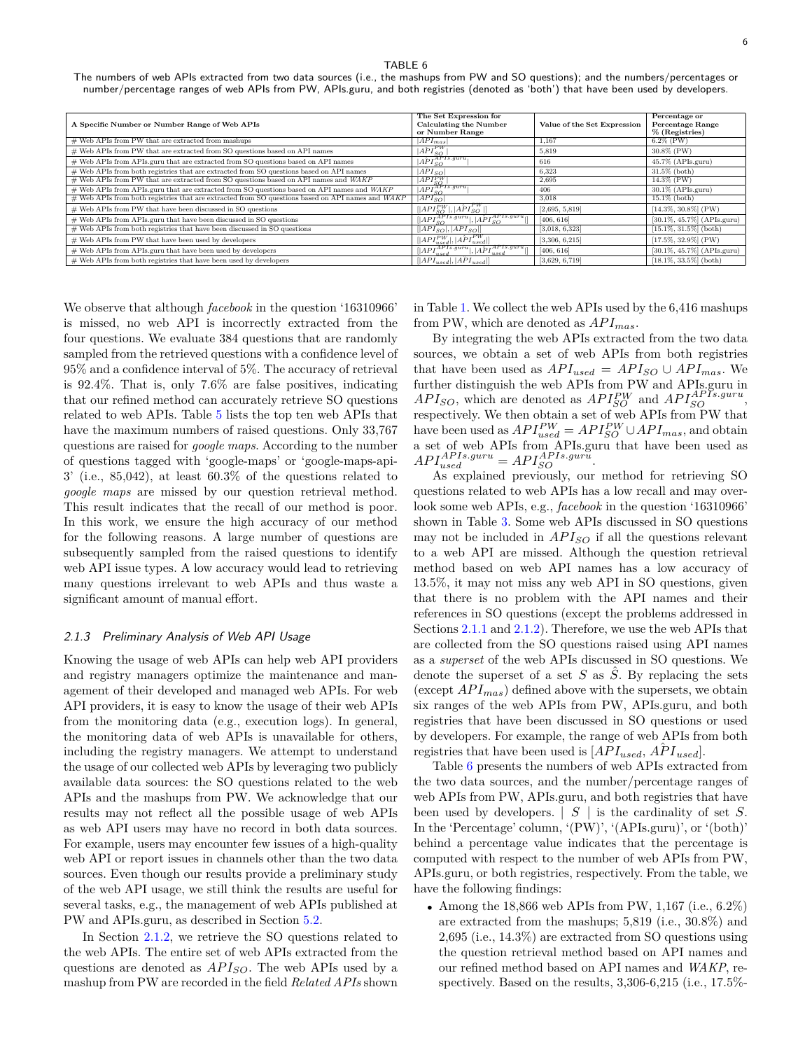<span id="page-5-0"></span>The numbers of web APIs extracted from two data sources (i.e., the mashups from PW and SO questions); and the numbers/percentages or number/percentage ranges of web APIs from PW, APIs.guru, and both registries (denoted as 'both') that have been used by developers.

| A Specific Number or Number Range of Web APIs                                                      | The Set Expression for<br><b>Calculating the Number</b><br>or Number Range | Value of the Set Expression | Percentage or<br><b>Percentage Range</b><br>$%$ (Registries) |
|----------------------------------------------------------------------------------------------------|----------------------------------------------------------------------------|-----------------------------|--------------------------------------------------------------|
| # Web APIs from PW that are extracted from mashups                                                 | $ API_{mas} $                                                              | 1.167                       | $6.2\%$ (PW)                                                 |
| # Web APIs from PW that are extracted from SO questions based on API names                         | $ A\hat{P}I_{SO}^{PW} $                                                    | 5.819                       | $30.8\%$ (PW)                                                |
| # Web APIs from APIs.guru that are extracted from SO questions based on API names                  | $ \hat{APIS_O}^{APIs.guru} $                                               | 616                         | $45.7\%$ (APIs.guru)                                         |
| # Web APIs from both registries that are extracted from SO questions based on API names            | $API_{SO}$                                                                 | 6.323                       | $31.5\%$ (both)                                              |
| # Web APIs from PW that are extracted from SO questions based on API names and WAKP                | $[API_{SO}^{PW}]$                                                          | 2.695                       | $14.3\%$ (PW)                                                |
| # Web APIs from APIs.guru that are extracted from SO questions based on API names and WAKP         | $ API_{SO}^{APPIs.guru} $                                                  | 406                         | $30.1\%$ (APIs.guru)                                         |
| $#$ Web APIs from both registries that are extracted from SO questions based on API names and WAKP | $ \overline{API}_{SO} $                                                    | 3.018                       | $15.1\%$ (both)                                              |
| # Web APIs from PW that have been discussed in SO questions                                        | $[ API_{SO}^{PW} ,  API_{SO}^{PW} ]$                                       | [2,695, 5,819]              | $[14.3\%, 30.8\%]$ (PW)                                      |
| # Web APIs from APIs.guru that have been discussed in SO questions                                 | $[ API_{SO}^{APIs. guru} ,  API_{SO}^{APIs. guru} ]$                       | [406, 616]                  | [30.1%, 45.7%] (APIs.guru)                                   |
| # Web APIs from both registries that have been discussed in SO questions                           | $[ API_{SO} ,  API_{SO} ]$                                                 | [3,018, 6,323]              | $[15.1\%, 31.5\%]$ (both)                                    |
| # Web APIs from PW that have been used by developers                                               | $[ API_{used}^{PW} ,  \hat{API}_{used}^{PW} ]$                             | [3,306, 6,215]              | $[17.5\%, 32.9\%]$ (PW)                                      |
| # Web APIs from APIs.guru that have been used by developers                                        | $[ API^{APIs.guru}_{used} ,  A\hat{P}I^{APIs.guru}_{used} ]$               | [406, 616]                  | $[30.1\%, 45.7\%]$ (APIs.guru)                               |
| # Web APIs from both registries that have been used by developers                                  | $[ API_{used} ,  API_{used} ]$                                             | [3,629, 6,719]              | $[18.1\%, 33.5\%]$ (both)                                    |

We observe that although *facebook* in the question '16310966' is missed, no web API is incorrectly extracted from the four questions. We evaluate 384 questions that are randomly sampled from the retrieved questions with a confidence level of 95% and a confidence interval of 5%. The accuracy of retrieval is 92.4%. That is, only 7.6% are false positives, indicating that our refined method can accurately retrieve SO questions related to web APIs. Table [5](#page-4-2) lists the top ten web APIs that have the maximum numbers of raised questions. Only  $33,767$ questions are raised for *google maps*. According to the number of questions tagged with 'google-maps' or 'google-maps-api- $3'$  (i.e., 85,042), at least 60.3% of the questions related to *google maps* are missed by our question retrieval method. This result indicates that the recall of our method is poor. In this work, we ensure the high accuracy of our method for the following reasons. A large number of questions are subsequently sampled from the raised questions to identify web API issue types. A low accuracy would lead to retrieving many questions irrelevant to web APIs and thus waste a significant amount of manual effort.

#### <span id="page-5-1"></span>*2.1.3 Preliminary Analysis of Web API Usage*

Knowing the usage of web APIs can help web API providers and registry managers optimize the maintenance and management of their developed and managed web APIs. For web API providers, it is easy to know the usage of their web APIs from the monitoring data (e.g., execution logs). In general, the monitoring data of web APIs is unavailable for others, including the registry managers. We attempt to understand the usage of our collected web APIs by leveraging two publicly available data sources: the SO questions related to the web APIs and the mashups from PW. We acknowledge that our results may not reflect all the possible usage of web APIs as web API users may have no record in both data sources. For example, users may encounter few issues of a high-quality web API or report issues in channels other than the two data sources. Even though our results provide a preliminary study of the web API usage, we still think the results are useful for several tasks, e.g., the management of web APIs published at PW and APIs.guru, as described in Section [5.2.](#page-22-1)

In Section [2.1.2](#page-3-2), we retrieve the SO questions related to the web APIs. The entire set of web APIs extracted from the questions are denoted as  $API<sub>SO</sub>$ . The web APIs used by a mashup from PW are recorded in the field *Related APIs* shown in Table [1.](#page-2-2) We collect the web APIs used by the 6,416 mashups from PW, which are denoted as *AP Imas*.

By integrating the web APIs extracted from the two data sources, we obtain a set of web APIs from both registries that have been used as  $API_{used} = API_{SO} \cup API_{mas}$ . We further distinguish the web APIs from PW and APIs.guru in  $API<sub>SO</sub>$ , which are denoted as  $API<sub>SO</sub><sup>PW</sup>$  and  $API<sub>SO</sub><sup>APIs. guru</sup>$ , respectively. We then obtain a set of web APIs from PW that have been used as  $API_{used}^{PW} = API_{SO}^{PW} \cup API_{mas}$ , and obtain a set of web APIs from APIs.guru that have been used as  $API_{used}^{APIs.guru} = API_{SO}^{APIs.guri}$ .

As explained previously, our method for retrieving SO questions related to web APIs has a low recall and may overlook some web APIs, e.g., *facebook* in the question '16310966' shown in Table [3.](#page-4-1) Some web APIs discussed in SO questions may not be included in *AP ISO* if all the questions relevant to a web API are missed. Although the question retrieval method based on web API names has a low accuracy of 13.5%, it may not miss any web API in SO questions, given that there is no problem with the API names and their references in SO questions (except the problems addressed in Sections [2.1.1](#page-2-5) and [2.1.2](#page-3-2)). Therefore, we use the web APIs that are collected from the SO questions raised using API names as a *superset* of the web APIs discussed in SO questions. We denote the superset of a set *S* as *S*ˆ. By replacing the sets (except  $API_{mas}$ ) defined above with the supersets, we obtain six ranges of the web APIs from PW, APIs.guru, and both registries that have been discussed in SO questions or used by developers. For example, the range of web APIs from both registries that have been used is  $[API_{used}, \hat{API}_{used}]$ .

Table [6](#page-5-0) presents the numbers of web APIs extracted from the two data sources, and the number/percentage ranges of web APIs from PW, APIs.guru, and both registries that have been used by developers.  $|S|$  is the cardinality of set *S*. In the 'Percentage' column, '(PW)', '(APIs.guru)', or '(both)' behind a percentage value indicates that the percentage is computed with respect to the number of web APIs from PW, APIs.guru, or both registries, respectively. From the table, we have the following findings:

*•* Among the 18,866 web APIs from PW, 1,167 (i.e., 6.2%) are extracted from the mashups; 5,819 (i.e., 30.8%) and 2,695 (i.e., 14.3%) are extracted from SO questions using the question retrieval method based on API names and our refined method based on API names and *WAKP*, respectively. Based on the results, 3,306-6,215 (i.e., 17.5%-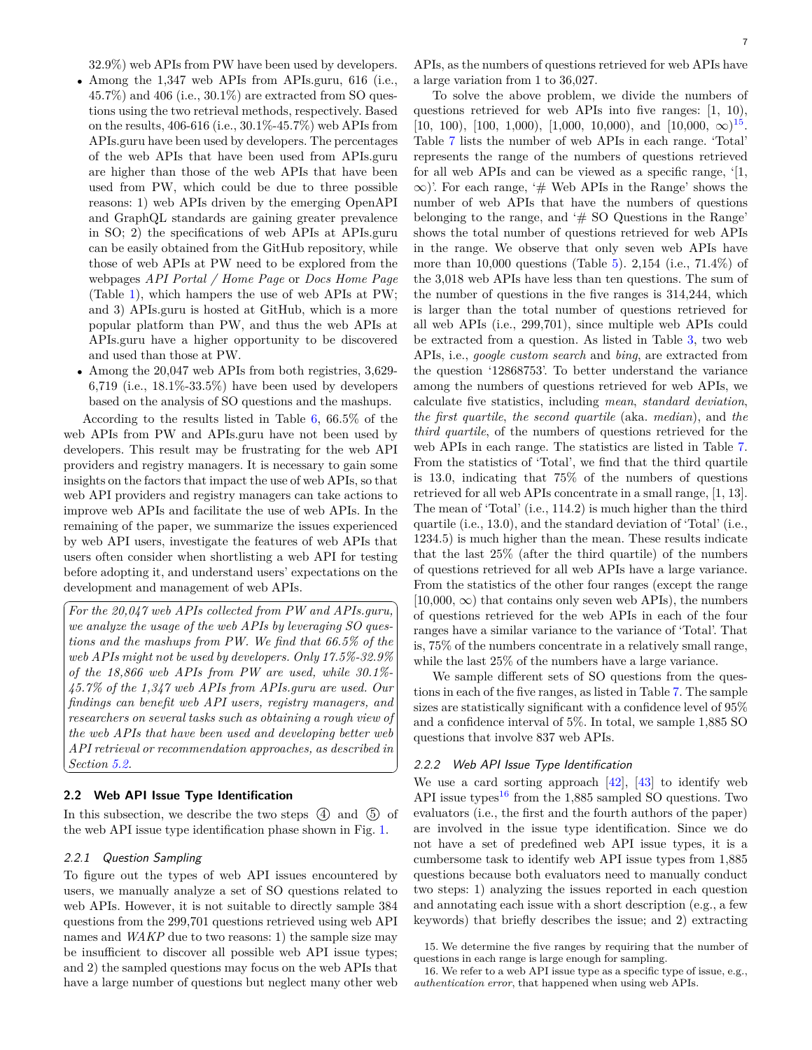- *•* Among the 1,347 web APIs from APIs.guru, 616 (i.e.,  $45.7\%$ ) and  $406$  (i.e.,  $30.1\%$ ) are extracted from SO questions using the two retrieval methods, respectively. Based on the results, 406-616 (i.e., 30.1%-45.7%) web APIs from APIs.guru have been used by developers. The percentages of the web APIs that have been used from APIs.guru are higher than those of the web APIs that have been used from PW, which could be due to three possible reasons: 1) web APIs driven by the emerging OpenAPI and GraphQL standards are gaining greater prevalence in SO; 2) the specifications of web APIs at APIs.guru can be easily obtained from the GitHub repository, while those of web APIs at PW need to be explored from the webpages *API Portal / Home Page* or *Docs Home Page* (Table [1](#page-2-2)), which hampers the use of web APIs at PW; and 3) APIs.guru is hosted at GitHub, which is a more popular platform than PW, and thus the web APIs at APIs.guru have a higher opportunity to be discovered and used than those at PW.
- *•* Among the 20,047 web APIs from both registries, 3,629- 6,719 (i.e., 18.1%-33.5%) have been used by developers based on the analysis of SO questions and the mashups.

According to the results listed in Table [6](#page-5-0), 66.5% of the web APIs from PW and APIs.guru have not been used by developers. This result may be frustrating for the web API providers and registry managers. It is necessary to gain some insights on the factors that impact the use of web APIs, so that web API providers and registry managers can take actions to improve web APIs and facilitate the use of web APIs. In the remaining of the paper, we summarize the issues experienced by web API users, investigate the features of web APIs that users often consider when shortlisting a web API for testing before adopting it, and understand users' expectations on the development and management of web APIs.

*For the 20,047 web APIs collected from PW and APIs.guru,* ✝ *Section [5.2.](#page-22-1) we analyze the usage of the web APIs by leveraging SO questions and the mashups from PW. We find that 66.5% of the web APIs might not be used by developers. Only 17.5%-32.9% of the 18,866 web APIs from PW are used, while 30.1%- 45.7% of the 1,347 web APIs from APIs.guru are used. Our findings can benefit web API users, registry managers, and researchers on several tasks such as obtaining a rough view of the web APIs that have been used and developing better web API retrieval or recommendation approaches, as described in*

#### **2.2 Web API Issue Type Identification**

In this subsection, we describe the two steps  $(4)$  and  $(5)$  of the web API issue type identification phase shown in Fig. [1.](#page-1-2)

#### *2.2.1 Question Sampling*

To figure out the types of web API issues encountered by users, we manually analyze a set of SO questions related to web APIs. However, it is not suitable to directly sample 384 questions from the 299,701 questions retrieved using web API names and *WAKP* due to two reasons: 1) the sample size may be insufficient to discover all possible web API issue types; and 2) the sampled questions may focus on the web APIs that have a large number of questions but neglect many other web

APIs, as the numbers of questions retrieved for web APIs have a large variation from 1 to 36,027.

To solve the above problem, we divide the numbers of questions retrieved for web APIs into five ranges: [1, 10), [10, 100), [100, 1,000), [1,000, 10,000), and  $[10,000, \infty)$ <sup>[15](#page-6-0)</sup>. Table [7](#page-7-0) lists the number of web APIs in each range. 'Total' represents the range of the numbers of questions retrieved for all web APIs and can be viewed as a specific range, '[1, *∞*)'. For each range, '# Web APIs in the Range' shows the number of web APIs that have the numbers of questions belonging to the range, and '# SO Questions in the Range' shows the total number of questions retrieved for web APIs in the range. We observe that only seven web APIs have more than 10,000 questions (Table [5](#page-4-2)). 2,154 (i.e., 71.4%) of the 3,018 web APIs have less than ten questions. The sum of the number of questions in the five ranges is 314,244, which is larger than the total number of questions retrieved for all web APIs (i.e., 299,701), since multiple web APIs could be extracted from a question. As listed in Table [3](#page-4-1), two web APIs, i.e., *google custom search* and *bing*, are extracted from the question '12868753'. To better understand the variance among the numbers of questions retrieved for web APIs, we calculate five statistics, including *mean*, *standard deviation*, *the first quartile*, *the second quartile* (aka. *median*), and *the third quartile*, of the numbers of questions retrieved for the web APIs in each range. The statistics are listed in Table [7](#page-7-0). From the statistics of 'Total', we find that the third quartile is 13.0, indicating that 75% of the numbers of questions retrieved for all web APIs concentrate in a small range, [1, 13]. The mean of 'Total' (i.e., 114.2) is much higher than the third quartile (i.e., 13.0), and the standard deviation of 'Total' (i.e., 1234.5) is much higher than the mean. These results indicate that the last 25% (after the third quartile) of the numbers of questions retrieved for all web APIs have a large variance. From the statistics of the other four ranges (except the range  $[10,000, \infty)$  that contains only seven web APIs), the numbers of questions retrieved for the web APIs in each of the four ranges have a similar variance to the variance of 'Total'. That is, 75% of the numbers concentrate in a relatively small range, while the last 25% of the numbers have a large variance.

We sample different sets of SO questions from the questions in each of the five ranges, as listed in Table [7](#page-7-0). The sample sizes are statistically significant with a confidence level of 95% and a confidence interval of 5%. In total, we sample 1,885 SO questions that involve 837 web APIs.

#### <span id="page-6-2"></span>*2.2.2 Web API Issue Type Identification*

☎

✆

We use a card sorting approach  $[42]$ ,  $[43]$  to identify web API issue types<sup>[16](#page-6-1)</sup> from the 1,885 sampled SO questions. Two evaluators (i.e., the first and the fourth authors of the paper) are involved in the issue type identification. Since we do not have a set of predefined web API issue types, it is a cumbersome task to identify web API issue types from 1,885 questions because both evaluators need to manually conduct two steps: 1) analyzing the issues reported in each question and annotating each issue with a short description (e.g., a few keywords) that briefly describes the issue; and 2) extracting

<span id="page-6-0"></span>15. We determine the five ranges by requiring that the number of questions in each range is large enough for sampling.

<span id="page-6-1"></span>16. We refer to a web API issue type as a specific type of issue, e.g., *authentication error*, that happened when using web APIs.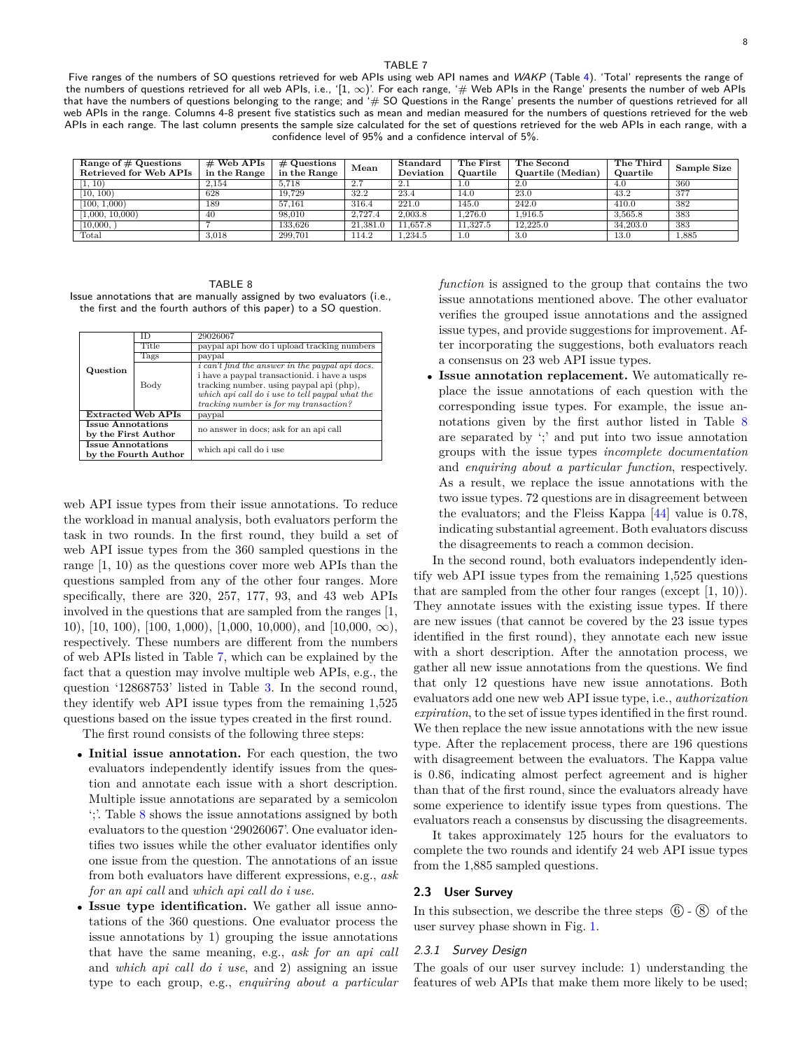<span id="page-7-0"></span>Five ranges of the numbers of SO questions retrieved for web APIs using web API names and *WAKP* (Table [4](#page-4-0)). 'Total' represents the range of the numbers of questions retrieved for all web APIs, i.e., '[1, ∞)'. For each range, '# Web APIs in the Range' presents the number of web APIs that have the numbers of questions belonging to the range; and '# SO Questions in the Range' presents the number of questions retrieved for all web APIs in the range. Columns 4-8 present five statistics such as mean and median measured for the numbers of questions retrieved for the web APIs in each range. The last column presents the sample size calculated for the set of questions retrieved for the web APIs in each range, with a confidence level of 95% and a confidence interval of 5%.

| Range of $\#$ Questions<br>Retrieved for Web APIs | $\#$ Web APIs<br>in the Range | $#$ Questions<br>in the Range | Mean     | Standard<br>Deviation | The First<br>Quartile | The Second<br>Quartile (Median) | The Third<br>Quartile | Sample Size |
|---------------------------------------------------|-------------------------------|-------------------------------|----------|-----------------------|-----------------------|---------------------------------|-----------------------|-------------|
| 1, 10)                                            | 2.154                         | 5.718                         | 2.7      | 2.1                   | 1.0                   | 2.0                             | 4.0                   | 360         |
| $\overline{10, 100}$                              | 628                           | 19.729                        | 32.2     | 23.4                  | 14.0                  | 23.0                            | 43.2                  | -377        |
| [100, 1,000]                                      | 189                           | 57.161                        | 316.4    | 221.0                 | 145.0                 | 242.0                           | 410.0                 | 382         |
| 1,000, 10,000                                     | 40                            | 98,010                        | 2.727.4  | 2.003.8               | 1.276.0               | 1.916.5                         | 3.565.8               | 383         |
| 10,000,                                           |                               | 133.626                       | 21.381.0 | 11.657.8              | 11.327.5              | 12.225.0                        | 34,203.0              | 383         |
| Total                                             | 3,018                         | 299,701                       | 114.2    | 1,234.5               | 1.0                   | 3.0                             | 13.0                  | 1,885       |

<span id="page-7-1"></span>TABLE 8 Issue annotations that are manually assigned by two evaluators (i.e., the first and the fourth authors of this paper) to a SO question.

|                          | ΙD                        | 29026067                                               |  |
|--------------------------|---------------------------|--------------------------------------------------------|--|
|                          | Title                     | paypal api how do i upload tracking numbers            |  |
|                          | Tags                      | paypal                                                 |  |
| Question                 |                           | <i>i</i> can't find the answer in the paypal api docs. |  |
|                          |                           | i have a paypal transactionid. i have a usps           |  |
|                          | Body                      | tracking number, using paypal api (php),               |  |
|                          |                           | which api call do i use to tell paypal what the        |  |
|                          |                           | tracking number is for my transaction?                 |  |
|                          | <b>Extracted Web APIs</b> | paypal                                                 |  |
| <b>Issue Annotations</b> |                           | no answer in docs; ask for an api call                 |  |
| by the First Author      |                           |                                                        |  |
| <b>Issue Annotations</b> |                           |                                                        |  |
|                          | by the Fourth Author      | which api call do i use                                |  |

web API issue types from their issue annotations. To reduce the workload in manual analysis, both evaluators perform the task in two rounds. In the first round, they build a set of web API issue types from the 360 sampled questions in the range [1, 10) as the questions cover more web APIs than the questions sampled from any of the other four ranges. More specifically, there are 320, 257, 177, 93, and 43 web APIs involved in the questions that are sampled from the ranges [1, 10), [10, 100), [100, 1,000), [1,000, 10,000), and [10,000, *∞*), respectively. These numbers are different from the numbers of web APIs listed in Table [7,](#page-7-0) which can be explained by the fact that a question may involve multiple web APIs, e.g., the question '12868753' listed in Table [3](#page-4-1). In the second round, they identify web API issue types from the remaining 1,525 questions based on the issue types created in the first round.

The first round consists of the following three steps:

- *•* **Initial issue annotation.** For each question, the two evaluators independently identify issues from the question and annotate each issue with a short description. Multiple issue annotations are separated by a semicolon ';'. Table [8](#page-7-1) shows the issue annotations assigned by both evaluators to the question '29026067'. One evaluator identifies two issues while the other evaluator identifies only one issue from the question. The annotations of an issue from both evaluators have different expressions, e.g., *ask for an api call* and *which api call do i use*.
- *•* **Issue type identification.** We gather all issue annotations of the 360 questions. One evaluator process the issue annotations by 1) grouping the issue annotations that have the same meaning, e.g., *ask for an api call* and *which api call do i use*, and 2) assigning an issue type to each group, e.g., *enquiring about a particular*

*function* is assigned to the group that contains the two issue annotations mentioned above. The other evaluator verifies the grouped issue annotations and the assigned issue types, and provide suggestions for improvement. After incorporating the suggestions, both evaluators reach a consensus on 23 web API issue types.

**Issue annotation replacement.** We automatically replace the issue annotations of each question with the corresponding issue types. For example, the issue annotations given by the first author listed in Table [8](#page-7-1) are separated by ';' and put into two issue annotation groups with the issue types *incomplete documentation* and *enquiring about a particular function*, respectively. As a result, we replace the issue annotations with the two issue types. 72 questions are in disagreement between the evaluators; and the Fleiss Kappa [\[44\]](#page-26-43) value is 0.78, indicating substantial agreement. Both evaluators discuss the disagreements to reach a common decision.

In the second round, both evaluators independently identify web API issue types from the remaining 1,525 questions that are sampled from the other four ranges (except [1, 10)). They annotate issues with the existing issue types. If there are new issues (that cannot be covered by the 23 issue types identified in the first round), they annotate each new issue with a short description. After the annotation process, we gather all new issue annotations from the questions. We find that only 12 questions have new issue annotations. Both evaluators add one new web API issue type, i.e., *authorization expiration*, to the set of issue types identified in the first round. We then replace the new issue annotations with the new issue type. After the replacement process, there are 196 questions with disagreement between the evaluators. The Kappa value is 0.86, indicating almost perfect agreement and is higher than that of the first round, since the evaluators already have some experience to identify issue types from questions. The evaluators reach a consensus by discussing the disagreements.

It takes approximately 125 hours for the evaluators to complete the two rounds and identify 24 web API issue types from the 1,885 sampled questions.

#### **2.3 User Survey**

In this subsection, we describe the three steps  $\circled{6}$  -  $\circled{8}$  of the user survey phase shown in Fig. [1](#page-1-2).

#### <span id="page-7-2"></span>*2.3.1 Survey Design*

The goals of our user survey include: 1) understanding the features of web APIs that make them more likely to be used;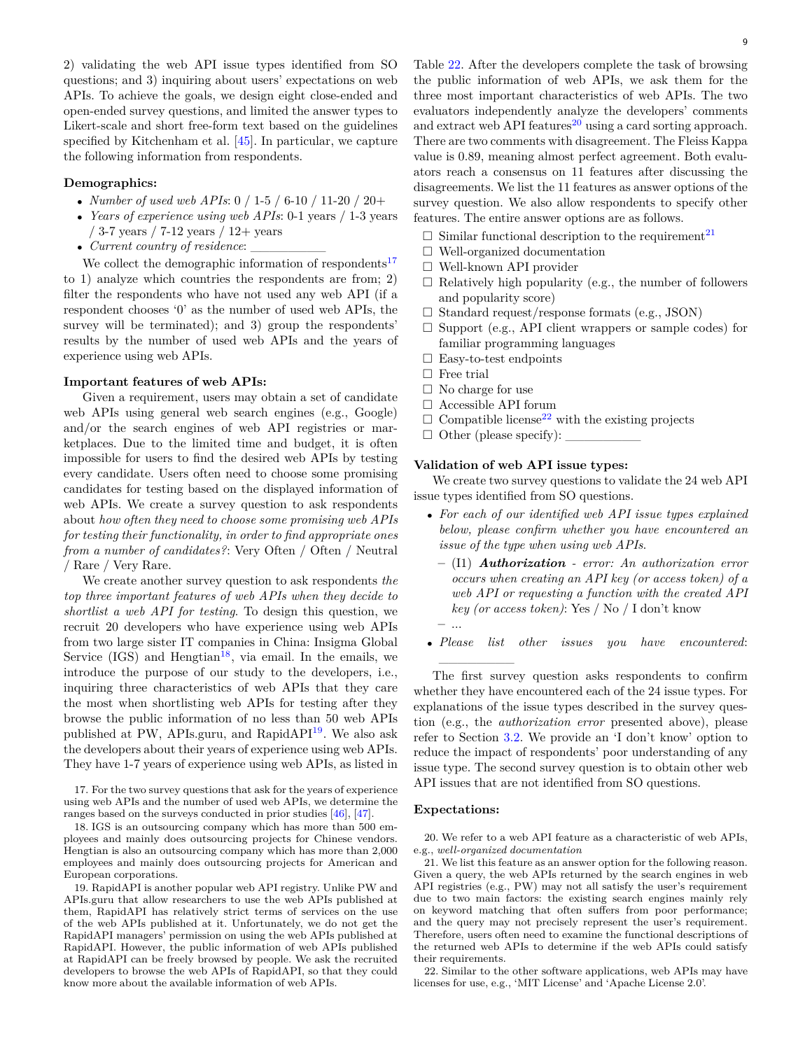2) validating the web API issue types identified from SO questions; and 3) inquiring about users' expectations on web APIs. To achieve the goals, we design eight close-ended and open-ended survey questions, and limited the answer types to Likert-scale and short free-form text based on the guidelines specified by Kitchenham et al. [\[45\]](#page-27-0). In particular, we capture the following information from respondents.

## **Demographics:**

- *• Number of used web APIs*: 0 / 1-5 / 6-10 / 11-20 / 20+
- *• Years of experience using web APIs*: 0-1 years / 1-3 years / 3-7 years / 7-12 years / 12+ years
- *Current country of residence*:

We collect the demographic information of respondents<sup>[17](#page-8-0)</sup> to 1) analyze which countries the respondents are from; 2) filter the respondents who have not used any web API (if a respondent chooses '0' as the number of used web APIs, the survey will be terminated); and 3) group the respondents' results by the number of used web APIs and the years of experience using web APIs.

#### **Important features of web APIs:**

Given a requirement, users may obtain a set of candidate web APIs using general web search engines (e.g., Google) and/or the search engines of web API registries or marketplaces. Due to the limited time and budget, it is often impossible for users to find the desired web APIs by testing every candidate. Users often need to choose some promising candidates for testing based on the displayed information of web APIs. We create a survey question to ask respondents about *how often they need to choose some promising web APIs for testing their functionality, in order to find appropriate ones from a number of candidates?*: Very Often / Often / Neutral / Rare / Very Rare.

We create another survey question to ask respondents *the top three important features of web APIs when they decide to shortlist a web API for testing*. To design this question, we recruit 20 developers who have experience using web APIs from two large sister IT companies in China: Insigma Global Service  $(IGS)$  and Hengtian<sup>[18](#page-8-1)</sup>, via email. In the emails, we introduce the purpose of our study to the developers, i.e., inquiring three characteristics of web APIs that they care the most when shortlisting web APIs for testing after they browse the public information of no less than 50 web APIs published at PW, APIs.guru, and RapidAPI<sup>[19](#page-8-2)</sup>. We also ask the developers about their years of experience using web APIs. They have 1-7 years of experience using web APIs, as listed in

<span id="page-8-0"></span>17. For the two survey questions that ask for the years of experience using web APIs and the number of used web APIs, we determine the ranges based on the surveys conducted in prior studies [\[46\]](#page-27-1), [\[47\]](#page-27-2).

<span id="page-8-1"></span>18. IGS is an outsourcing company which has more than 500 employees and mainly does outsourcing projects for Chinese vendors. Hengtian is also an outsourcing company which has more than 2,000 employees and mainly does outsourcing projects for American and European corporations.

<span id="page-8-2"></span>19. RapidAPI is another popular web API registry. Unlike PW and APIs.guru that allow researchers to use the web APIs published at them, RapidAPI has relatively strict terms of services on the use of the web APIs published at it. Unfortunately, we do not get the RapidAPI managers' permission on using the web APIs published at RapidAPI. However, the public information of web APIs published at RapidAPI can be freely browsed by people. We ask the recruited developers to browse the web APIs of RapidAPI, so that they could know more about the available information of web APIs.

Table [22](#page-29-0). After the developers complete the task of browsing the public information of web APIs, we ask them for the three most important characteristics of web APIs. The two evaluators independently analyze the developers' comments and extract web API features $^{20}$  $^{20}$  $^{20}$  using a card sorting approach. There are two comments with disagreement. The Fleiss Kappa value is 0.89, meaning almost perfect agreement. Both evaluators reach a consensus on 11 features after discussing the disagreements. We list the 11 features as answer options of the survey question. We also allow respondents to specify other features. The entire answer options are as follows.

- $\Box$  Similar functional description to the requirement<sup>[21](#page-8-4)</sup>
- $\Box$  Well-organized documentation
- □ Well-known API provider
- $\square$  Relatively high popularity (e.g., the number of followers and popularity score)
- $\square$  Standard request/response formats (e.g., JSON)
- $\square$  Support (e.g., API client wrappers or sample codes) for familiar programming languages
- $\square$  Easy-to-test endpoints
- □ Free trial
- □ No charge for use
- □ Accessible API forum
- $\Box$  Compatible license<sup>[22](#page-8-5)</sup> with the existing projects
- $\Box$  Other (please specify):

#### **Validation of web API issue types:**

We create two survey questions to validate the 24 web API issue types identified from SO questions.

- *• For each of our identified web API issue types explained below, please confirm whether you have encountered an issue of the type when using web APIs*.
	- **–** (I1) *Authorization error: An authorization error occurs when creating an API key (or access token) of a web API or requesting a function with the created API key (or access token)*: Yes / No / I don't know **–** ...
- *• Please list other issues you have encountered*:  $\mathcal{L}=\mathcal{L}^{\mathcal{L}}$

The first survey question asks respondents to confirm whether they have encountered each of the 24 issue types. For explanations of the issue types described in the survey question (e.g., the *authorization error* presented above), please refer to Section [3.2](#page-12-0). We provide an 'I don't know' option to reduce the impact of respondents' poor understanding of any issue type. The second survey question is to obtain other web API issues that are not identified from SO questions.

#### **Expectations:**

<span id="page-8-3"></span>20. We refer to a web API feature as a characteristic of web APIs, e.g., *well-organized documentation*

<span id="page-8-4"></span>21. We list this feature as an answer option for the following reason. Given a query, the web APIs returned by the search engines in web API registries (e.g., PW) may not all satisfy the user's requirement due to two main factors: the existing search engines mainly rely on keyword matching that often suffers from poor performance; and the query may not precisely represent the user's requirement. Therefore, users often need to examine the functional descriptions of the returned web APIs to determine if the web APIs could satisfy their requirements.

<span id="page-8-5"></span>22. Similar to the other software applications, web APIs may have licenses for use, e.g., 'MIT License' and 'Apache License 2.0'.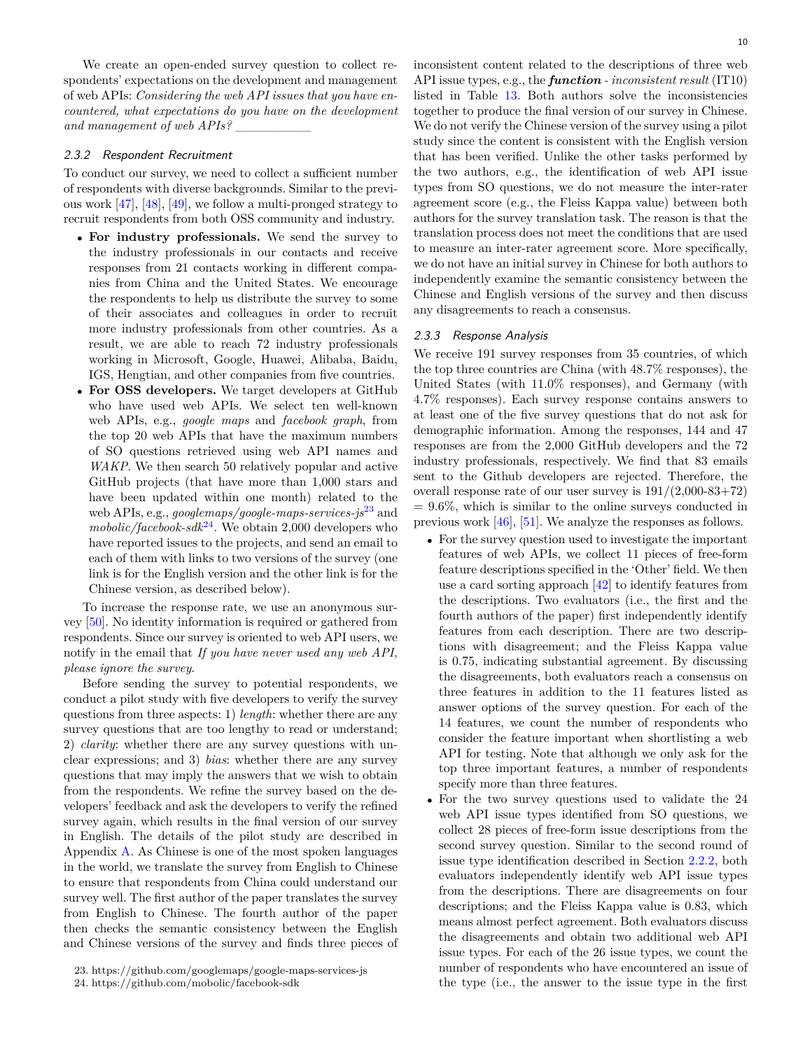We create an open-ended survey question to collect respondents' expectations on the development and management of web APIs: *Considering the web API issues that you have encountered, what expectations do you have on the development and management of web APIs?* \_\_\_\_\_\_\_\_

## <span id="page-9-2"></span>*2.3.2 Respondent Recruitment*

To conduct our survey, we need to collect a sufficient number of respondents with diverse backgrounds. Similar to the previous work [[47](#page-27-2)], [[48](#page-27-3)], [[49](#page-27-4)], we follow a multi-pronged strategy to recruit respondents from both OSS community and industry.

- *•* **For industry professionals.** We send the survey to the industry professionals in our contacts and receive responses from 21 contacts working in different companies from China and the United States. We encourage the respondents to help us distribute the survey to some of their associates and colleagues in order to recruit more industry professionals from other countries. As a result, we are able to reach 72 industry professionals working in Microsoft, Google, Huawei, Alibaba, Baidu, IGS, Hengtian, and other companies from five countries.
- *•* **For OSS developers.** We target developers at GitHub who have used web APIs. We select ten well-known web APIs, e.g., *google maps* and *facebook graph*, from the top 20 web APIs that have the maximum numbers of SO questions retrieved using web API names and *WAKP*. We then search 50 relatively popular and active GitHub projects (that have more than 1,000 stars and have been updated within one month) related to the web APIs, e.g., *googlemaps/google-maps-services-js*[23](#page-9-0) and  $mabolic/facebook-sdk<sup>24</sup>$  $mabolic/facebook-sdk<sup>24</sup>$  $mabolic/facebook-sdk<sup>24</sup>$ . We obtain 2,000 developers who have reported issues to the projects, and send an email to each of them with links to two versions of the survey (one link is for the English version and the other link is for the Chinese version, as described below).

To increase the response rate, we use an anonymous survey [\[50\]](#page-27-5). No identity information is required or gathered from respondents. Since our survey is oriented to web API users, we notify in the email that *If you have never used any web API, please ignore the survey*.

Before sending the survey to potential respondents, we conduct a pilot study with five developers to verify the survey questions from three aspects: 1) *length*: whether there are any survey questions that are too lengthy to read or understand; 2) *clarity*: whether there are any survey questions with unclear expressions; and 3) *bias*: whether there are any survey questions that may imply the answers that we wish to obtain from the respondents. We refine the survey based on the developers' feedback and ask the developers to verify the refined survey again, which results in the final version of our survey in English. The details of the pilot study are described in Appendix [A](#page-29-1). As Chinese is one of the most spoken languages in the world, we translate the survey from English to Chinese to ensure that respondents from China could understand our survey well. The first author of the paper translates the survey from English to Chinese. The fourth author of the paper then checks the semantic consistency between the English and Chinese versions of the survey and finds three pieces of 10

inconsistent content related to the descriptions of three web API issue types, e.g., the *function - inconsistent result* (IT10) listed in Table [13](#page-13-0). Both authors solve the inconsistencies together to produce the final version of our survey in Chinese. We do not verify the Chinese version of the survey using a pilot study since the content is consistent with the English version that has been verified. Unlike the other tasks performed by the two authors, e.g., the identification of web API issue types from SO questions, we do not measure the inter-rater agreement score (e.g., the Fleiss Kappa value) between both authors for the survey translation task. The reason is that the translation process does not meet the conditions that are used to measure an inter-rater agreement score. More specifically, we do not have an initial survey in Chinese for both authors to independently examine the semantic consistency between the Chinese and English versions of the survey and then discuss any disagreements to reach a consensus.

#### *2.3.3 Response Analysis*

We receive 191 survey responses from 35 countries, of which the top three countries are China (with 48.7% responses), the United States (with 11.0% responses), and Germany (with 4.7% responses). Each survey response contains answers to at least one of the five survey questions that do not ask for demographic information. Among the responses, 144 and 47 responses are from the 2,000 GitHub developers and the 72 industry professionals, respectively. We find that 83 emails sent to the Github developers are rejected. Therefore, the overall response rate of our user survey is  $191/(2,000-83+72)$  $= 9.6\%$ , which is similar to the online surveys conducted in previous work [[46](#page-27-1)], [[51](#page-27-6)]. We analyze the responses as follows.

- *•* For the survey question used to investigate the important features of web APIs, we collect 11 pieces of free-form feature descriptions specified in the 'Other' field. We then use a card sorting approach [\[42\]](#page-26-41) to identify features from the descriptions. Two evaluators (i.e., the first and the fourth authors of the paper) first independently identify features from each description. There are two descriptions with disagreement; and the Fleiss Kappa value is 0.75, indicating substantial agreement. By discussing the disagreements, both evaluators reach a consensus on three features in addition to the 11 features listed as answer options of the survey question. For each of the 14 features, we count the number of respondents who consider the feature important when shortlisting a web API for testing. Note that although we only ask for the top three important features, a number of respondents specify more than three features.
- *•* For the two survey questions used to validate the 24 web API issue types identified from SO questions, we collect 28 pieces of free-form issue descriptions from the second survey question. Similar to the second round of issue type identification described in Section [2.2.2,](#page-6-2) both evaluators independently identify web API issue types from the descriptions. There are disagreements on four descriptions; and the Fleiss Kappa value is 0.83, which means almost perfect agreement. Both evaluators discuss the disagreements and obtain two additional web API issue types. For each of the 26 issue types, we count the number of respondents who have encountered an issue of the type (i.e., the answer to the issue type in the first

<span id="page-9-0"></span><sup>23.</sup> https://github.com/googlemaps/google-maps-services-js

<span id="page-9-1"></span><sup>24.</sup> https://github.com/mobolic/facebook-sdk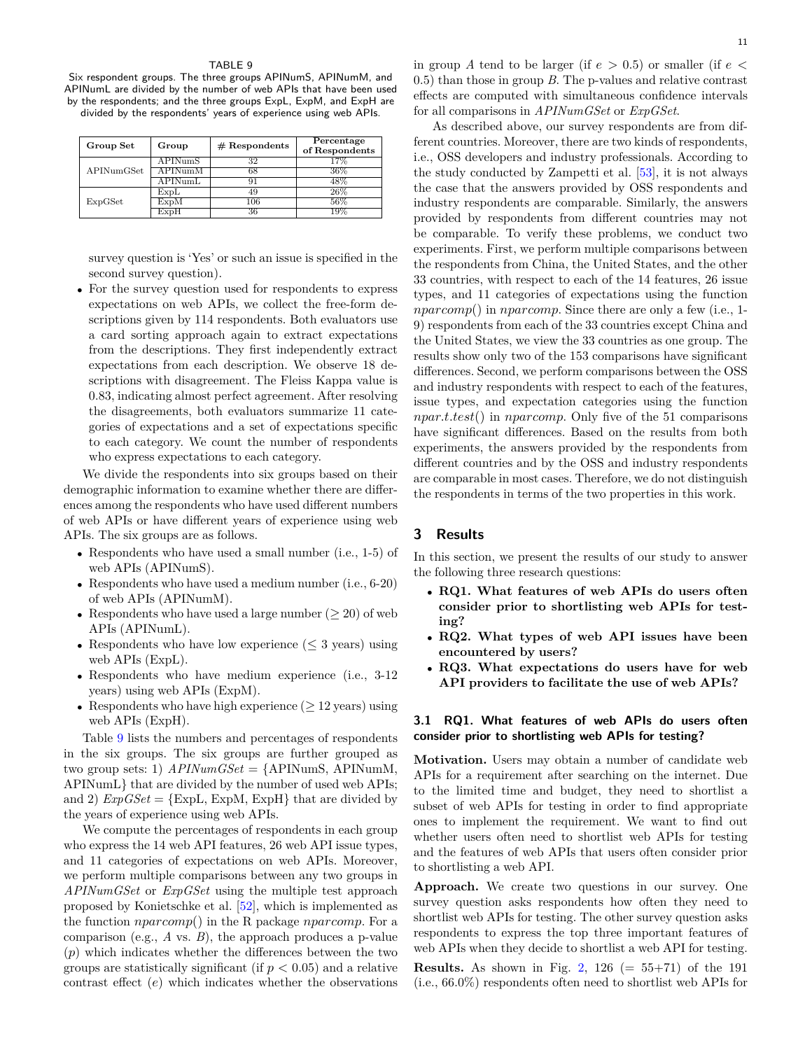<span id="page-10-1"></span>Six respondent groups. The three groups APINumS, APINumM, and APINumL are divided by the number of web APIs that have been used by the respondents; and the three groups ExpL, ExpM, and ExpH are

divided by the respondents' years of experience using web APIs.

| Group Set  | Group   | $#$ Respondents | Percentage<br>of Respondents |
|------------|---------|-----------------|------------------------------|
|            | APINumS | 32              | 17%                          |
| APINumGSet | APINumM | 68              | 36%                          |
|            | APINumL |                 | 48%                          |
|            | ExpL    | 49              | 26%                          |
| ExpGSet    | ExpM    | 106             | 56%                          |
|            | ExpH    | 36              | 1 Q 9                        |

survey question is 'Yes' or such an issue is specified in the second survey question).

*•* For the survey question used for respondents to express expectations on web APIs, we collect the free-form descriptions given by 114 respondents. Both evaluators use a card sorting approach again to extract expectations from the descriptions. They first independently extract expectations from each description. We observe 18 descriptions with disagreement. The Fleiss Kappa value is 0.83, indicating almost perfect agreement. After resolving the disagreements, both evaluators summarize 11 categories of expectations and a set of expectations specific to each category. We count the number of respondents who express expectations to each category.

We divide the respondents into six groups based on their demographic information to examine whether there are differences among the respondents who have used different numbers of web APIs or have different years of experience using web APIs. The six groups are as follows.

- *•* Respondents who have used a small number (i.e., 1-5) of web APIs (APINumS).
- *•* Respondents who have used a medium number (i.e., 6-20) of web APIs (APINumM).
- *•* Respondents who have used a large number (*≥* 20) of web APIs (APINumL).
- *•* Respondents who have low experience (*≤* 3 years) using web APIs (ExpL).
- Respondents who have medium experience (i.e., 3-12) years) using web APIs (ExpM).
- *•* Respondents who have high experience (*≥* 12 years) using web APIs (ExpH).

Table [9](#page-10-1) lists the numbers and percentages of respondents in the six groups. The six groups are further grouped as two group sets: 1) *APINumGSet* = {APINumS, APINumM, APINumL} that are divided by the number of used web APIs; and 2)  $ExpGSet = \{ExpL, ExpM, ExpH\}$  that are divided by the years of experience using web APIs.

We compute the percentages of respondents in each group who express the 14 web API features, 26 web API issue types, and 11 categories of expectations on web APIs. Moreover, we perform multiple comparisons between any two groups in *APINumGSet* or *ExpGSet* using the multiple test approach proposed by Konietschke et al. [[52](#page-27-7)], which is implemented as the function *nparcomp*() in the R package *nparcomp*. For a comparison (e.g., *A* vs. *B*), the approach produces a p-value (*p*) which indicates whether the differences between the two groups are statistically significant (if *p <* 0.05) and a relative contrast effect (*e*) which indicates whether the observations in group *A* tend to be larger (if  $e > 0.5$ ) or smaller (if  $e <$ 0.5) than those in group *B*. The p-values and relative contrast effects are computed with simultaneous confidence intervals for all comparisons in *APINumGSet* or *ExpGSet*.

As described above, our survey respondents are from different countries. Moreover, there are two kinds of respondents, i.e., OSS developers and industry professionals. According to the study conducted by Zampetti et al. [\[53\]](#page-27-8), it is not always the case that the answers provided by OSS respondents and industry respondents are comparable. Similarly, the answers provided by respondents from different countries may not be comparable. To verify these problems, we conduct two experiments. First, we perform multiple comparisons between the respondents from China, the United States, and the other 33 countries, with respect to each of the 14 features, 26 issue types, and 11 categories of expectations using the function *nparcomp*() in *nparcomp*. Since there are only a few (i.e., 1- 9) respondents from each of the 33 countries except China and the United States, we view the 33 countries as one group. The results show only two of the 153 comparisons have significant differences. Second, we perform comparisons between the OSS and industry respondents with respect to each of the features, issue types, and expectation categories using the function *npar.t.test*() in *nparcomp*. Only five of the 51 comparisons have significant differences. Based on the results from both experiments, the answers provided by the respondents from different countries and by the OSS and industry respondents are comparable in most cases. Therefore, we do not distinguish the respondents in terms of the two properties in this work.

## <span id="page-10-0"></span>**3 Results**

In this section, we present the results of our study to answer the following three research questions:

- *•* **RQ1. What features of web APIs do users often consider prior to shortlisting web APIs for testing?**
- *•* **RQ2. What types of web API issues have been encountered by users?**
- *•* **RQ3. What expectations do users have for web API providers to facilitate the use of web APIs?**

## **3.1 RQ1. What features of web APIs do users often consider prior to shortlisting web APIs for testing?**

**Motivation.** Users may obtain a number of candidate web APIs for a requirement after searching on the internet. Due to the limited time and budget, they need to shortlist a subset of web APIs for testing in order to find appropriate ones to implement the requirement. We want to find out whether users often need to shortlist web APIs for testing and the features of web APIs that users often consider prior to shortlisting a web API.

**Approach.** We create two questions in our survey. One survey question asks respondents how often they need to shortlist web APIs for testing. The other survey question asks respondents to express the top three important features of web APIs when they decide to shortlist a web API for testing.

**Results.** As shown in Fig. [2,](#page-11-0) 126 ( $= 55+71$ ) of the 191 (i.e., 66.0%) respondents often need to shortlist web APIs for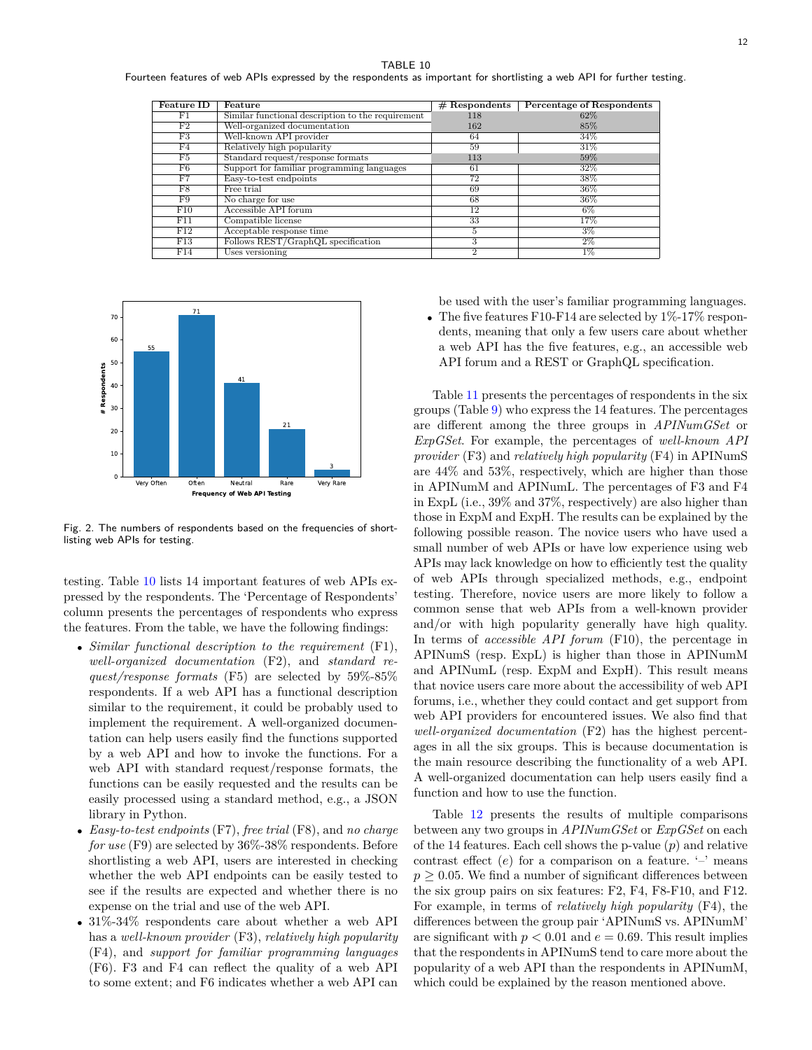<span id="page-11-1"></span>Fourteen features of web APIs expressed by the respondents as important for shortlisting a web API for further testing.

| <b>Feature ID</b> | Feature                                           | $#$ Respondents | <b>Percentage of Respondents</b> |
|-------------------|---------------------------------------------------|-----------------|----------------------------------|
| $_{\rm F1}$       | Similar functional description to the requirement | 118             | 62%                              |
| F2                | Well-organized documentation                      | 162             | 85%                              |
| F3                | Well-known API provider                           | 64              | 34%                              |
| F4                | Relatively high popularity                        | 59              | 31%                              |
| F5                | Standard request/response formats                 | 113             | 59%                              |
| F6                | Support for familiar programming languages        | 61              | 32%                              |
| F7                | Easy-to-test endpoints                            | 72              | 38%                              |
| F8                | Free trial                                        | 69              | $36\%$                           |
| F9                | No charge for use                                 | 68              | 36%                              |
| F10               | Accessible API forum                              | 12              | $6\%$                            |
| F11               | Compatible license                                | 33              | 17%                              |
| F12               | Acceptable response time                          | 5               | 3%                               |
| F13               | Follows REST/GraphQL specification                | 3               | $2\%$                            |
| F14               | Uses versioning                                   | $\overline{2}$  | $1\%$                            |



<span id="page-11-0"></span>Fig. 2. The numbers of respondents based on the frequencies of shortlisting web APIs for testing.

testing. Table [10](#page-11-1) lists 14 important features of web APIs expressed by the respondents. The 'Percentage of Respondents' column presents the percentages of respondents who express the features. From the table, we have the following findings:

- *• Similar functional description to the requirement* (F1), *well-organized documentation* (F2), and *standard request/response formats* (F5) are selected by 59%-85% respondents. If a web API has a functional description similar to the requirement, it could be probably used to implement the requirement. A well-organized documentation can help users easily find the functions supported by a web API and how to invoke the functions. For a web API with standard request/response formats, the functions can be easily requested and the results can be easily processed using a standard method, e.g., a JSON library in Python.
- *• Easy-to-test endpoints* (F7), *free trial* (F8), and *no charge for use* (F9) are selected by 36%-38% respondents. Before shortlisting a web API, users are interested in checking whether the web API endpoints can be easily tested to see if the results are expected and whether there is no expense on the trial and use of the web API.
- $31\%$ -34% respondents care about whether a web API has a *well-known provider* (F3), *relatively high popularity* (F4), and *support for familiar programming languages* (F6). F3 and F4 can reflect the quality of a web API to some extent; and F6 indicates whether a web API can

be used with the user's familiar programming languages.

*•* The five features F10-F14 are selected by 1%-17% respondents, meaning that only a few users care about whether a web API has the five features, e.g., an accessible web API forum and a REST or GraphQL specification.

Table [11](#page-12-1) presents the percentages of respondents in the six groups (Table [9](#page-10-1)) who express the 14 features. The percentages are different among the three groups in *APINumGSet* or *ExpGSet*. For example, the percentages of *well-known API provider* (F3) and *relatively high popularity* (F4) in APINumS are 44% and 53%, respectively, which are higher than those in APINumM and APINumL. The percentages of F3 and F4 in ExpL (i.e., 39% and 37%, respectively) are also higher than those in ExpM and ExpH. The results can be explained by the following possible reason. The novice users who have used a small number of web APIs or have low experience using web APIs may lack knowledge on how to efficiently test the quality of web APIs through specialized methods, e.g., endpoint testing. Therefore, novice users are more likely to follow a common sense that web APIs from a well-known provider and/or with high popularity generally have high quality. In terms of *accessible API forum* (F10), the percentage in APINumS (resp. ExpL) is higher than those in APINumM and APINumL (resp. ExpM and ExpH). This result means that novice users care more about the accessibility of web API forums, i.e., whether they could contact and get support from web API providers for encountered issues. We also find that *well-organized documentation* (F2) has the highest percentages in all the six groups. This is because documentation is the main resource describing the functionality of a web API. A well-organized documentation can help users easily find a function and how to use the function.

Table [12](#page-12-2) presents the results of multiple comparisons between any two groups in *APINumGSet* or *ExpGSet* on each of the 14 features. Each cell shows the p-value (*p*) and relative contrast effect  $(e)$  for a comparison on a feature.  $\prime$ - $\prime$  means  $p \geq 0.05$ . We find a number of significant differences between the six group pairs on six features: F2, F4, F8-F10, and F12. For example, in terms of *relatively high popularity* (F4), the differences between the group pair 'APINumS vs. APINumM' are significant with  $p < 0.01$  and  $e = 0.69$ . This result implies that the respondents in APINumS tend to care more about the popularity of a web API than the respondents in APINumM, which could be explained by the reason mentioned above.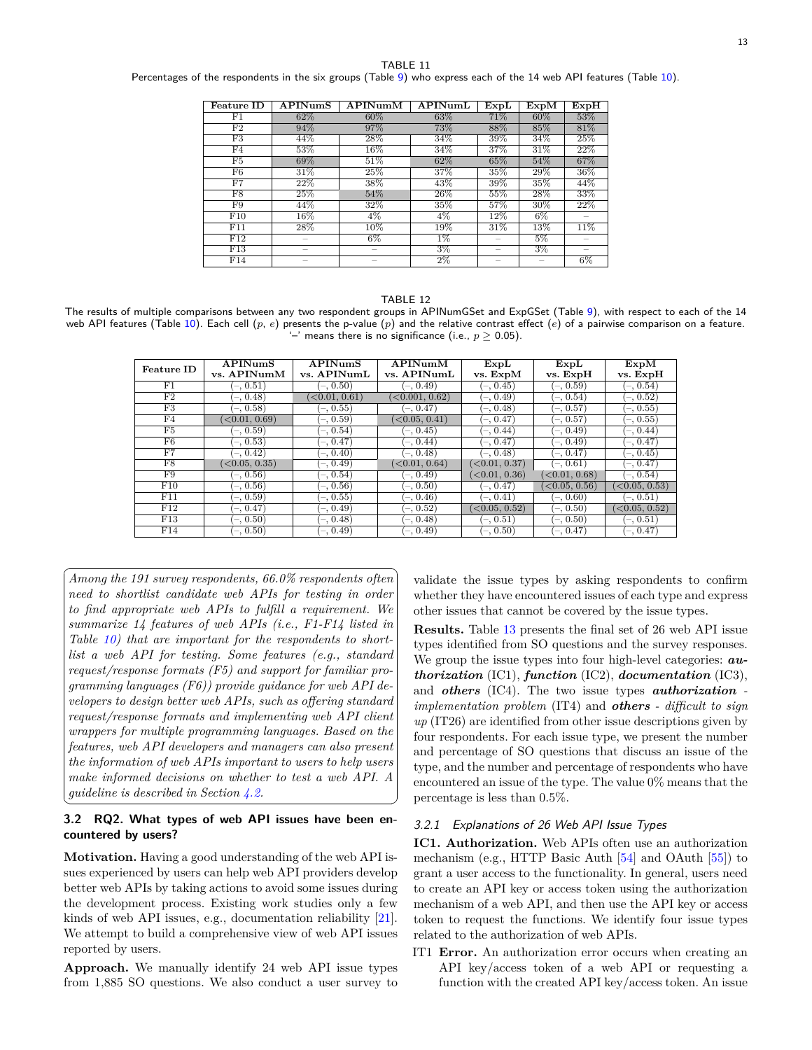<span id="page-12-1"></span>Percentages of the respondents in the six groups (Table [9](#page-10-1)) who express each of the 14 web API features (Table [10](#page-11-1)).

| <b>Feature ID</b> | APINumS                  | APINumM | APINumL | ExpL                     | $Exp\overline{M}$ | ExpH                     |
|-------------------|--------------------------|---------|---------|--------------------------|-------------------|--------------------------|
| F1                | 62\%                     | $60\%$  | 63%     | 71%                      | 60%               | 53%                      |
| F <sub>2</sub>    | 94%                      | 97%     | 73%     | 88%                      | 85%               | 81%                      |
| F3                | 44%                      | 28%     | 34%     | 39%                      | 34%               | 25%                      |
| F4                | 53%                      | 16%     | 34%     | 37%                      | 31\%              | 22%                      |
| F5                | 69%                      | 51%     | 62%     | 65%                      | 54%               | 67%                      |
| F6                | 31%                      | 25%     | 37%     | 35%                      | 29%               | 36%                      |
| F7                | 22%                      | 38%     | 43%     | 39%                      | 35%               | 44%                      |
| F8                | 25%                      | 54%     | 26%     | 55%                      | 28%               | 33%                      |
| $\overline{F9}$   | 44%                      | 32%     | 35%     | 57%                      | $30\%$            | 22%                      |
| F10               | $16\%$                   | $4\%$   | 4%      | $12\%$                   | $6\%$             |                          |
| F11               | 28%                      | 10%     | 19%     | 31%                      | 13%               | 11%                      |
| F12               | $\overline{\phantom{a}}$ | $6\%$   | $1\%$   | $\overline{\phantom{a}}$ | 5%                |                          |
| $\overline{F13}$  | $\overline{\phantom{a}}$ |         | $3\%$   | $\overline{\phantom{a}}$ | $3\%$             | $\overline{\phantom{a}}$ |
| F14               |                          |         | $2\%$   | -                        |                   | $6\%$                    |

#### TABLE 12

<span id="page-12-2"></span>The results of multiple comparisons between any two respondent groups in APINumGSet and ExpGSet (Table [9](#page-10-1)), with respect to each of the 14 web API features (Table [10\)](#page-11-1). Each cell (*p*, *e*) presents the p-value (*p*) and the relative contrast effect (*e*) of a pairwise comparison on a feature. '–' means there is no significance (i.e., *p ≥* 0.05).

| <b>Feature ID</b> | APINumS                      | <b>APINumS</b>               | APINumM                       | ExpL                         | ExpL                         | ExpM                         |
|-------------------|------------------------------|------------------------------|-------------------------------|------------------------------|------------------------------|------------------------------|
|                   | vs. APINumM                  | vs. APINumL                  | vs. APINumL                   | vs. ExpM                     | vs. ExpH                     | vs. ExpH                     |
| F1                | $(-, 0.51)$                  | $(-, 0.50)$                  | $(-, 0.49)$                   | $(-, 0.45)$                  | $(-, 0.59)$                  | $(-, 0.54)$                  |
| F2                | $(-, 0.48)$                  | $\left( <0.01, 0.61 \right)$ | $\langle 0.001, 0.62 \rangle$ | $(-, 0.49)$                  | $(-, 0.54)$                  | $(-, 0.52)$                  |
| F3                | $(-, 0.58)$                  | $(-, 0.55)$                  | $(-, 0.47)$                   | $(-, 0.48)$                  | $(-, 0.57)$                  | $(-, 0.55)$                  |
| F <sub>4</sub>    | $\left( <0.01, 0.69 \right)$ | (–. 0.59)                    | $\langle 0.05, 0.41 \rangle$  | $(-, 0.47)$                  | $(-, 0.57)$                  | $(-, 0.55)$                  |
| F5                | $(-, 0.59)$                  | $(-, 0.54)$                  | $(-, 0.45)$                   | $(-, 0.44)$                  | $(-, 0.49)$                  | $(-, 0.44)$                  |
| F6                | $(-, 0.53)$                  | $(-, 0.47)$                  | $(-, 0.44)$                   | $(-, 0.47)$                  | $(-, 0.49)$                  | $(-, 0.47)$                  |
| F7                | $(-, 0.42)$                  | $(-, 0.40)$                  | $(-, 0.48)$                   | $(-, 0.48)$                  | (–. 0.47)                    | $(-, 0.45)$                  |
| F8                | $\langle 0.05, 0.35 \rangle$ | $(-, 0.49)$                  | $\langle 0.01, 0.64 \rangle$  | $\langle 0.01, 0.37 \rangle$ | $(-, 0.61)$                  | $(-, 0.47)$                  |
| F9                | $(-, 0.56)$                  | $(-, 0.54)$                  | $-0.49$                       | $\langle 0.01, 0.36 \rangle$ | $\langle 0.01, 0.68 \rangle$ | $(-, 0.54)$                  |
| F10               | $(-, 0.56)$                  | $(-, 0.56)$                  | $(-, 0.50)$                   | $(-, 0.47)$                  | $\langle 0.05, 0.56 \rangle$ | $\langle 0.05, 0.53 \rangle$ |
| F11               | $(-, 0.59)$                  | $(-, 0.55)$                  | $(-, 0.46)$                   | $(-, 0.41)$                  | $(-, 0.60)$                  | $(-, 0.51)$                  |
| F12               | $(-, 0.47)$                  | $(-, 0.49)$                  | $-0.52$                       | $\langle 0.05, 0.52 \rangle$ | $(-, 0.50)$                  | $\langle 0.05, 0.52 \rangle$ |
| F13               | $(-, 0.50)$                  | $(-, 0.48)$                  | $(-, 0.48)$                   | $(-, 0.51)$                  | $(-, 0.50)$                  | $(-, 0.51)$                  |
| F14               | $(-, 0.50)$                  | $(-, 0.49)$                  | $(-, 0.49)$                   | $(-, 0.50)$                  | $(-, 0.47)$                  | $^{\prime}$ -, 0.47)         |

☎

✆

✞ *Among the 191 survey respondents, 66.0% respondents often* ✝ *need to shortlist candidate web APIs for testing in order to find appropriate web APIs to fulfill a requirement. We summarize 14 features of web APIs (i.e., F1-F14 listed in Table [10](#page-11-1)) that are important for the respondents to shortlist a web API for testing. Some features (e.g., standard request/response formats (F5) and support for familiar programming languages (F6)) provide guidance for web API developers to design better web APIs, such as offering standard request/response formats and implementing web API client wrappers for multiple programming languages. Based on the features, web API developers and managers can also present the information of web APIs important to users to help users make informed decisions on whether to test a web API. A guideline is described in Section [4.2.](#page-21-0)*

## <span id="page-12-0"></span>**3.2 RQ2. What types of web API issues have been encountered by users?**

**Motivation.** Having a good understanding of the web API issues experienced by users can help web API providers develop better web APIs by taking actions to avoid some issues during the development process. Existing work studies only a few kinds of web API issues, e.g., documentation reliability [\[21\]](#page-26-20). We attempt to build a comprehensive view of web API issues reported by users.

**Approach.** We manually identify 24 web API issue types from 1,885 SO questions. We also conduct a user survey to validate the issue types by asking respondents to confirm whether they have encountered issues of each type and express other issues that cannot be covered by the issue types.

**Results.** Table [13](#page-13-0) presents the final set of 26 web API issue types identified from SO questions and the survey responses. We group the issue types into four high-level categories: *authorization* (IC1), *function* (IC2), *documentation* (IC3), and *others* (IC4). The two issue types *authorization implementation problem* (IT4) and *others - difficult to sign up* (IT26) are identified from other issue descriptions given by four respondents. For each issue type, we present the number and percentage of SO questions that discuss an issue of the type, and the number and percentage of respondents who have encountered an issue of the type. The value 0% means that the percentage is less than 0.5%.

#### *3.2.1 Explanations of 26 Web API Issue Types*

**IC1. Authorization.** Web APIs often use an authorization mechanism (e.g., HTTP Basic Auth [\[54\]](#page-27-9) and OAuth [\[55\]](#page-27-10)) to grant a user access to the functionality. In general, users need to create an API key or access token using the authorization mechanism of a web API, and then use the API key or access token to request the functions. We identify four issue types related to the authorization of web APIs.

IT1 **Error.** An authorization error occurs when creating an API key/access token of a web API or requesting a function with the created API key/access token. An issue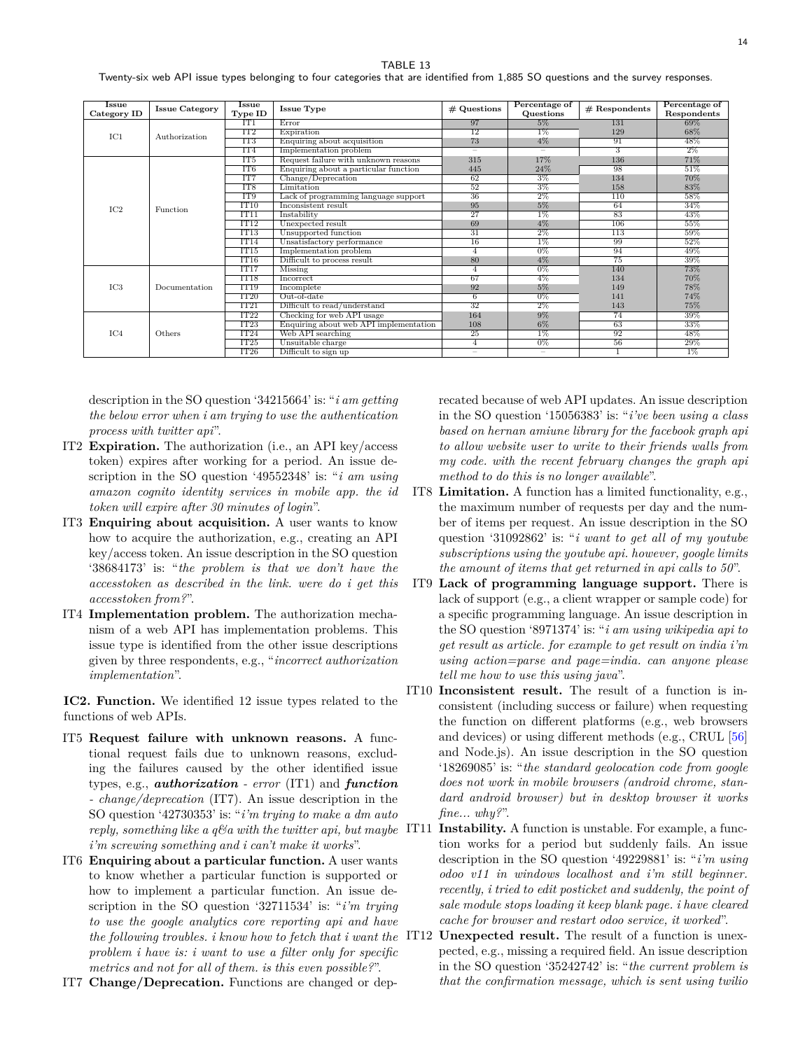<span id="page-13-0"></span>Twenty-six web API issue types belonging to four categories that are identified from 1,885 SO questions and the survey responses.

| <b>Issue</b><br>Category ID | <b>Issue Category</b> | <b>Issue</b><br>Type ID | <b>Issue Type</b>                      | $#$ Questions            | Percentage of<br>Questions | $#$ Respondents  | Percentage of<br>Respondents |
|-----------------------------|-----------------------|-------------------------|----------------------------------------|--------------------------|----------------------------|------------------|------------------------------|
|                             |                       | IT1                     | Error                                  | 97                       | 5%                         | 131              | 69%                          |
| IC1                         | Authorization         | IT2                     | Expiration                             | $\overline{12}$          | $1\%$                      | 129              | 68%                          |
|                             |                       | IT <sub>3</sub>         | Enquiring about acquisition            | 73                       | $4\%$                      | 91               | 48%                          |
|                             |                       | IT4                     | Implementation problem                 | $\overline{\phantom{0}}$ | $\overline{\phantom{0}}$   | 3                | $2\%$                        |
|                             |                       | IT <sub>5</sub>         | Request failure with unknown reasons   | 315                      | 17%                        | 136              | 71%                          |
|                             |                       | IT6                     | Enquiring about a particular function  | 445                      | 24%                        | 98               | 51%                          |
|                             |                       | IT7                     | Change/Deprecation                     | 62                       | $3\%$                      | 134              | 70%                          |
|                             |                       | IT <sub>8</sub>         | Limitation                             | 52                       | $3\%$                      | 158              | 83%                          |
|                             |                       | IT <sub>9</sub>         | Lack of programming language support   | 36                       | $2\%$                      | $\overline{110}$ | 58%                          |
| $_{\rm IC2}$                | Function              | IT10                    | Inconsistent result                    | 95                       | 5%                         | 64               | 34%                          |
|                             |                       | <b>TT11</b>             | Instability                            | $\overline{27}$          | $1\%$                      | 83               | 43%                          |
|                             |                       | IT12                    | Unexpected result                      | 69                       | $4\%$                      | 106              | 55%                          |
|                             |                       | IT13                    | Unsupported function                   | 31                       | $2\%$                      | 113              | 59%                          |
|                             |                       | IT <sub>14</sub>        | Unsatisfactory performance             | 16                       | $1\%$                      | 99               | $52\%$                       |
|                             |                       | IT15                    | Implementation problem                 | $\overline{4}$           | $0\%$                      | 94               | 49%                          |
|                             |                       | IT16                    | Difficult to process result            | 80                       | $4\%$                      | 75               | 39%                          |
|                             |                       | IT17                    | Missing                                | $\overline{4}$           | $0\%$                      | 140              | 73%                          |
|                             |                       | IT18                    | Incorrect                              | 67                       | $4\%$                      | 134              | 70%                          |
| IC3                         | Documentation         | IT19                    | Incomplete                             | 92                       | 5%                         | 149              | 78%                          |
|                             |                       | IT20                    | Out-of-date                            | 6                        | $0\%$                      | 141              | 74%                          |
|                             |                       | IT21                    | Difficult to read/understand           | $\overline{32}$          | $2\%$                      | 143              | 75%                          |
|                             |                       | TT22                    | Checking for web API usage             | 164                      | $9\%$                      | 74               | 39%                          |
| TC4                         |                       | IT23                    | Enquiring about web API implementation | 108                      | 6%                         | 63               | 33%                          |
|                             | Others                | IT24                    | Web API searching                      | $\overline{25}$          | $1\%$                      | 92               | 48%                          |
|                             |                       | IT25                    | Unsuitable charge                      | 4                        | $0\%$                      | 56               | 29%                          |
|                             |                       | IT <sub>26</sub>        | Difficult to sign up                   | $\overline{\phantom{0}}$ | $\overline{\phantom{0}}$   |                  | $1\%$                        |

description in the SO question '34215664' is: "*i am getting the below error when i am trying to use the authentication process with twitter api*".

- IT2 **Expiration.** The authorization (i.e., an API key/access token) expires after working for a period. An issue description in the SO question '49552348' is: "*i am using amazon cognito identity services in mobile app. the id token will expire after 30 minutes of login*".
- IT3 **Enquiring about acquisition.** A user wants to know how to acquire the authorization, e.g., creating an API key/access token. An issue description in the SO question '38684173' is: "*the problem is that we don't have the accesstoken as described in the link. were do i get this accesstoken from?*".
- IT4 **Implementation problem.** The authorization mechanism of a web API has implementation problems. This issue type is identified from the other issue descriptions given by three respondents, e.g., "*incorrect authorization implementation*".

**IC2. Function.** We identified 12 issue types related to the functions of web APIs.

- IT5 **Request failure with unknown reasons.** A functional request fails due to unknown reasons, excluding the failures caused by the other identified issue types, e.g., *authorization - error* (IT1) and *function - change/deprecation* (IT7). An issue description in the SO question '42730353' is: "*i'm trying to make a dm auto i'm screwing something and i can't make it works*".
- IT6 **Enquiring about a particular function.** A user wants to know whether a particular function is supported or how to implement a particular function. An issue description in the SO question '32711534' is: "*i'm trying to use the google analytics core reporting api and have the following troubles. i know how to fetch that i want the problem i have is: i want to use a filter only for specific metrics and not for all of them. is this even possible?*".

IT7 **Change/Deprecation.** Functions are changed or dep-

recated because of web API updates. An issue description in the SO question '15056383' is: "*i've been using a class based on hernan amiune library for the facebook graph api to allow website user to write to their friends walls from my code. with the recent february changes the graph api method to do this is no longer available*".

- IT8 **Limitation.** A function has a limited functionality, e.g., the maximum number of requests per day and the number of items per request. An issue description in the SO question '31092862' is: "*i want to get all of my youtube subscriptions using the youtube api. however, google limits the amount of items that get returned in api calls to 50*".
- IT9 **Lack of programming language support.** There is lack of support (e.g., a client wrapper or sample code) for a specific programming language. An issue description in the SO question '8971374' is: "*i am using wikipedia api to get result as article. for example to get result on india i'm using action=parse and page=india. can anyone please tell me how to use this using java*".
- IT10 **Inconsistent result.** The result of a function is inconsistent (including success or failure) when requesting the function on different platforms (e.g., web browsers and devices) or using different methods (e.g., CRUL [[56](#page-27-11)] and Node.js). An issue description in the SO question '18269085' is: "*the standard geolocation code from google does not work in mobile browsers (android chrome, standard android browser) but in desktop browser it works fine... why?*".
- *reply, something like a q&a with the twitter api, but maybe* IT11 **Instability.** A function is unstable. For example, a function works for a period but suddenly fails. An issue description in the SO question '49229881' is: "*i'm using odoo v11 in windows localhost and i'm still beginner. recently, i tried to edit posticket and suddenly, the point of sale module stops loading it keep blank page. i have cleared cache for browser and restart odoo service, it worked*".
	- **Unexpected result.** The result of a function is unexpected, e.g., missing a required field. An issue description in the SO question '35242742' is: "*the current problem is that the confirmation message, which is sent using twilio*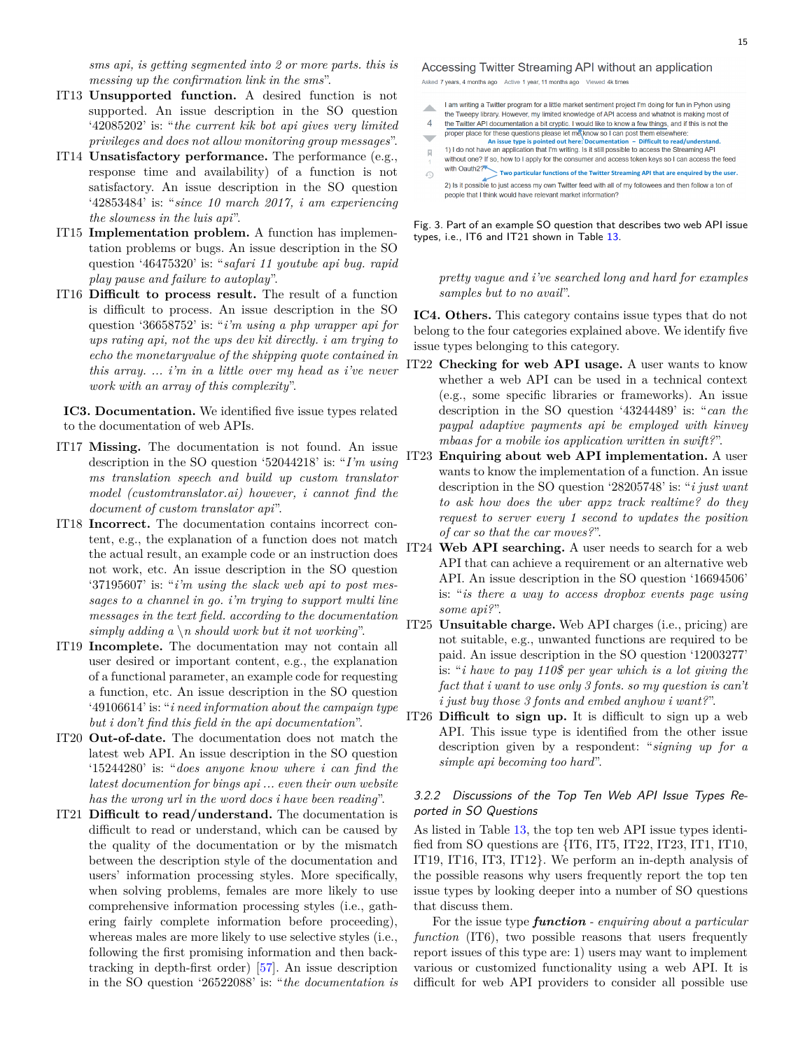*sms api, is getting segmented into 2 or more parts. this is messing up the confirmation link in the sms*".

- IT13 **Unsupported function.** A desired function is not supported. An issue description in the SO question '42085202' is: "*the current kik bot api gives very limited privileges and does not allow monitoring group messages*".
- IT14 **Unsatisfactory performance.** The performance (e.g., response time and availability) of a function is not satisfactory. An issue description in the SO question '42853484' is: "*since 10 march 2017, i am experiencing the slowness in the luis api*".
- IT15 **Implementation problem.** A function has implementation problems or bugs. An issue description in the SO question '46475320' is: "*safari 11 youtube api bug. rapid play pause and failure to autoplay*".
- IT16 **Difficult to process result.** The result of a function is difficult to process. An issue description in the SO question '36658752' is: "*i'm using a php wrapper api for ups rating api, not the ups dev kit directly. i am trying to echo the monetaryvalue of the shipping quote contained in this array. ... i'm in a little over my head as i've never work with an array of this complexity*".

**IC3. Documentation.** We identified five issue types related to the documentation of web APIs.

- IT17 **Missing.** The documentation is not found. An issue description in the SO question '52044218' is: "*I'm using ms translation speech and build up custom translator model (customtranslator.ai) however, i cannot find the document of custom translator api*".
- IT18 **Incorrect.** The documentation contains incorrect content, e.g., the explanation of a function does not match the actual result, an example code or an instruction does not work, etc. An issue description in the SO question '37195607' is: "*i'm using the slack web api to post messages to a channel in go. i'm trying to support multi line messages in the text field. according to the documentation simply adding a \n should work but it not working*".
- IT19 **Incomplete.** The documentation may not contain all user desired or important content, e.g., the explanation of a functional parameter, an example code for requesting a function, etc. An issue description in the SO question '49106614' is: "*i need information about the campaign type but i don't find this field in the api documentation*".
- IT20 **Out-of-date.** The documentation does not match the latest web API. An issue description in the SO question '15244280' is: "*does anyone know where i can find the latest documention for bings api ... even their own website has the wrong url in the word docs i have been reading*".
- IT21 **Difficult to read/understand.** The documentation is difficult to read or understand, which can be caused by the quality of the documentation or by the mismatch between the description style of the documentation and users' information processing styles. More specifically, when solving problems, females are more likely to use comprehensive information processing styles (i.e., gathering fairly complete information before proceeding), whereas males are more likely to use selective styles (i.e., following the first promising information and then backtracking in depth-first order) [[57](#page-27-12)]. An issue description in the SO question '26522088' is: "*the documentation is*

Accessing Twitter Streaming API without an application

- Asked 7 years, 4 months ago Active 1 year, 11 months ago Viewed 4k times
- I am writing a Twitter program for a little market sentiment project I'm doing for fun in Pyhon using zh.
- the Tweepy library. However, my limited knowledge of API access and whatnot is making most of  $\overline{4}$ the Twitter API documentation a bit cryptic. I would like to know a few things, and if this is not the
- proper place for these questions please let me know so I can post them elsewhere:  $\overline{\phantom{0}}$
- **An issue type is pointed out here: Documentation Difficult to read/understand.**
- $\overline{|i|}$ without one? If so, how to I apply for the consumer and access token keys so I can access the feed
- **Two particular functions of the Twitter Streaming API that are enquired by the user.** €
- 2) Is it possible to just access my own Twitter feed with all of my followees and then follow a ton of people that I think would have relevant market information?

<span id="page-14-0"></span>Fig. 3. Part of an example SO question that describes two web API issue types, i.e., IT6 and IT21 shown in Table [13](#page-13-0).

*pretty vague and i've searched long and hard for examples samples but to no avail*".

**IC4. Others.** This category contains issue types that do not belong to the four categories explained above. We identify five issue types belonging to this category.

- IT22 **Checking for web API usage.** A user wants to know whether a web API can be used in a technical context (e.g., some specific libraries or frameworks). An issue description in the SO question '43244489' is: "*can the paypal adaptive payments api be employed with kinvey mbaas for a mobile ios application written in swift?*".
- IT23 **Enquiring about web API implementation.** A user wants to know the implementation of a function. An issue description in the SO question '28205748' is: "*i just want to ask how does the uber appz track realtime? do they request to server every 1 second to updates the position of car so that the car moves?*".
- IT24 **Web API searching.** A user needs to search for a web API that can achieve a requirement or an alternative web API. An issue description in the SO question '16694506' is: "*is there a way to access dropbox events page using some api?*".
- IT25 **Unsuitable charge.** Web API charges (i.e., pricing) are not suitable, e.g., unwanted functions are required to be paid. An issue description in the SO question '12003277' is: "*i have to pay 110\$ per year which is a lot giving the fact that i want to use only 3 fonts. so my question is can't i just buy those 3 fonts and embed anyhow i want?*".
- IT26 **Difficult to sign up.** It is difficult to sign up a web API. This issue type is identified from the other issue description given by a respondent: "*signing up for a simple api becoming too hard*".

## *3.2.2 Discussions of the Top Ten Web API Issue Types Reported in SO Questions*

As listed in Table [13,](#page-13-0) the top ten web API issue types identified from SO questions are {IT6, IT5, IT22, IT23, IT1, IT10, IT19, IT16, IT3, IT12}. We perform an in-depth analysis of the possible reasons why users frequently report the top ten issue types by looking deeper into a number of SO questions that discuss them.

For the issue type *function - enquiring about a particular function* (IT6), two possible reasons that users frequently report issues of this type are: 1) users may want to implement various or customized functionality using a web API. It is difficult for web API providers to consider all possible use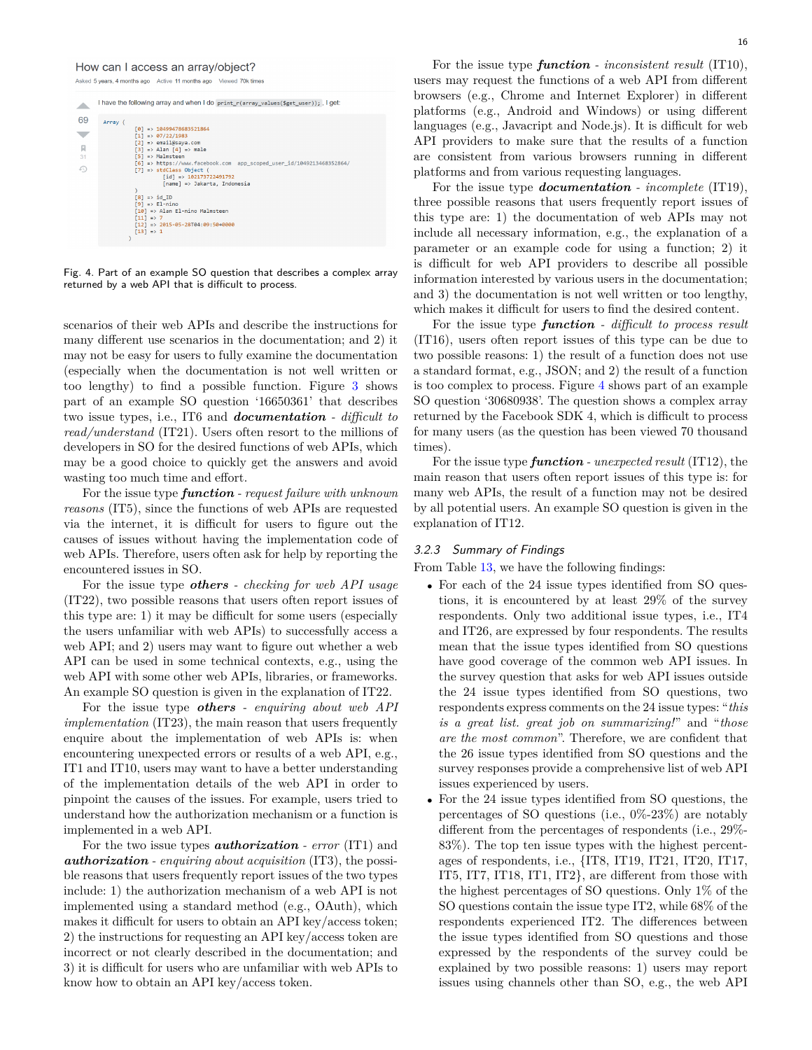#### How can I access an array/object?

Asked 5 years, 4 months ago Active 11 months ago Viewed 70k times



<span id="page-15-0"></span>Fig. 4. Part of an example SO question that describes a complex array returned by a web API that is difficult to process.

scenarios of their web APIs and describe the instructions for many different use scenarios in the documentation; and 2) it may not be easy for users to fully examine the documentation (especially when the documentation is not well written or too lengthy) to find a possible function. Figure [3](#page-14-0) shows part of an example SO question '16650361' that describes two issue types, i.e., IT6 and *documentation - difficult to read/understand* (IT21). Users often resort to the millions of developers in SO for the desired functions of web APIs, which may be a good choice to quickly get the answers and avoid wasting too much time and effort.

For the issue type *function - request failure with unknown reasons* (IT5), since the functions of web APIs are requested via the internet, it is difficult for users to figure out the causes of issues without having the implementation code of web APIs. Therefore, users often ask for help by reporting the encountered issues in SO.

For the issue type *others - checking for web API usage* (IT22), two possible reasons that users often report issues of this type are: 1) it may be difficult for some users (especially the users unfamiliar with web APIs) to successfully access a web API; and 2) users may want to figure out whether a web API can be used in some technical contexts, e.g., using the web API with some other web APIs, libraries, or frameworks. An example SO question is given in the explanation of IT22.

For the issue type *others - enquiring about web API implementation* (IT23), the main reason that users frequently enquire about the implementation of web APIs is: when encountering unexpected errors or results of a web API, e.g., IT1 and IT10, users may want to have a better understanding of the implementation details of the web API in order to pinpoint the causes of the issues. For example, users tried to understand how the authorization mechanism or a function is implemented in a web API.

For the two issue types *authorization - error* (IT1) and *authorization - enquiring about acquisition* (IT3), the possible reasons that users frequently report issues of the two types include: 1) the authorization mechanism of a web API is not implemented using a standard method (e.g., OAuth), which makes it difficult for users to obtain an API key/access token; 2) the instructions for requesting an API key/access token are incorrect or not clearly described in the documentation; and 3) it is difficult for users who are unfamiliar with web APIs to know how to obtain an API key/access token.

For the issue type *function* - inconsistent result (IT10), users may request the functions of a web API from different browsers (e.g., Chrome and Internet Explorer) in different platforms (e.g., Android and Windows) or using different languages (e.g., Javacript and Node.js). It is difficult for web API providers to make sure that the results of a function are consistent from various browsers running in different platforms and from various requesting languages.

For the issue type *documentation - incomplete* (IT19), three possible reasons that users frequently report issues of this type are: 1) the documentation of web APIs may not include all necessary information, e.g., the explanation of a parameter or an example code for using a function; 2) it is difficult for web API providers to describe all possible information interested by various users in the documentation; and 3) the documentation is not well written or too lengthy, which makes it difficult for users to find the desired content.

For the issue type *function - difficult to process result* (IT16), users often report issues of this type can be due to two possible reasons: 1) the result of a function does not use a standard format, e.g., JSON; and 2) the result of a function is too complex to process. Figure [4](#page-15-0) shows part of an example SO question '30680938'. The question shows a complex array returned by the Facebook SDK 4, which is difficult to process for many users (as the question has been viewed 70 thousand times).

For the issue type *function - unexpected result* (IT12), the main reason that users often report issues of this type is: for many web APIs, the result of a function may not be desired by all potential users. An example SO question is given in the explanation of IT12.

#### *3.2.3 Summary of Findings*

From Table [13,](#page-13-0) we have the following findings:

- For each of the 24 issue types identified from SO questions, it is encountered by at least 29% of the survey respondents. Only two additional issue types, i.e., IT4 and IT26, are expressed by four respondents. The results mean that the issue types identified from SO questions have good coverage of the common web API issues. In the survey question that asks for web API issues outside the 24 issue types identified from SO questions, two respondents express comments on the 24 issue types: "*this is a great list. great job on summarizing!*" and "*those are the most common*". Therefore, we are confident that the 26 issue types identified from SO questions and the survey responses provide a comprehensive list of web API issues experienced by users.
- *•* For the 24 issue types identified from SO questions, the percentages of SO questions (i.e., 0%-23%) are notably different from the percentages of respondents (i.e., 29%- 83%). The top ten issue types with the highest percentages of respondents, i.e., {IT8, IT19, IT21, IT20, IT17, IT5, IT7, IT18, IT1, IT2}, are different from those with the highest percentages of SO questions. Only 1% of the SO questions contain the issue type IT2, while 68% of the respondents experienced IT2. The differences between the issue types identified from SO questions and those expressed by the respondents of the survey could be explained by two possible reasons: 1) users may report issues using channels other than SO, e.g., the web API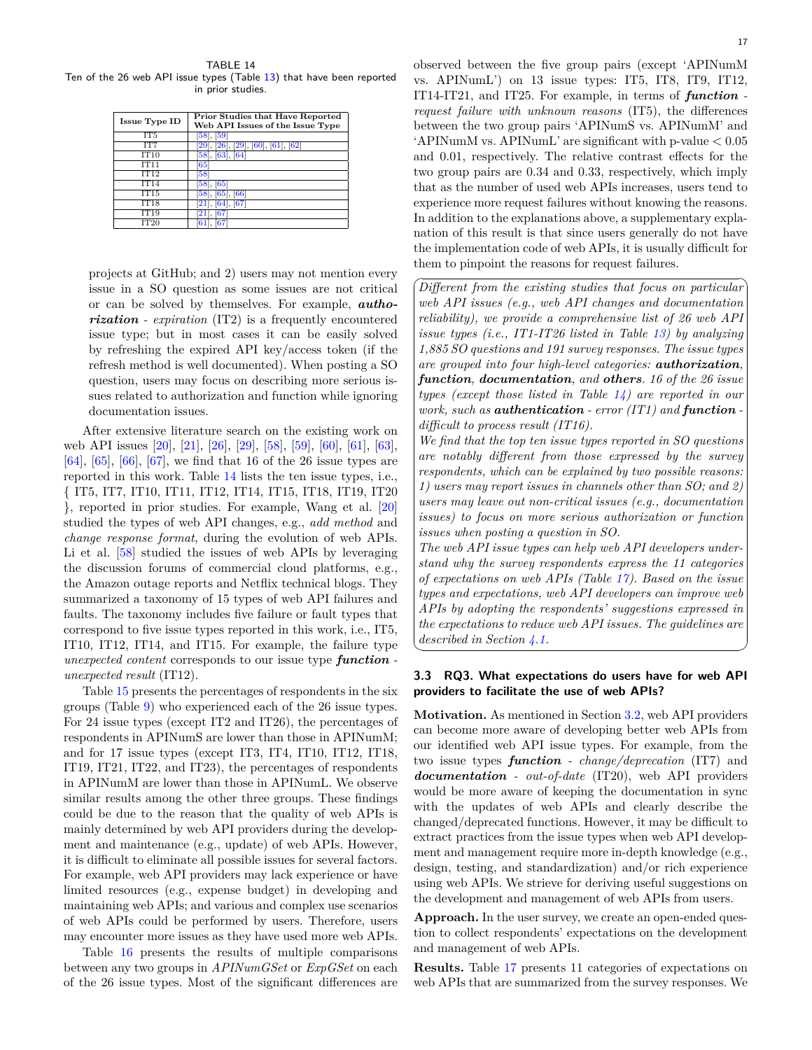<span id="page-16-0"></span>TABLE 14 Ten of the 26 web API issue types (Table [13\)](#page-13-0) that have been reported in prior studies.

| <b>Issue Type ID</b>     | Prior Studies that Have Reported<br>Web API Issues of the Issue Type |
|--------------------------|----------------------------------------------------------------------|
| IT <sub>5</sub>          | $[58]$ , $[59]$                                                      |
| IT7                      | [20], [26], [29], [60], [61], [62]                                   |
| IT10                     | $[58]$ , $[63]$ , $[64]$                                             |
| <b>IT11</b>              | 65                                                                   |
| IT12                     | $\sqrt{58}$                                                          |
| $\overline{\text{IT}}14$ | 58, [65]                                                             |
| IT15                     | [58], [65], [66]                                                     |
| IT18                     | $[21]$ , $[64]$ , $[67]$                                             |
| IT19                     | 167<br>21.                                                           |
| IT20                     |                                                                      |

projects at GitHub; and 2) users may not mention every issue in a SO question as some issues are not critical or can be solved by themselves. For example, *authorization - expiration* (IT2) is a frequently encountered issue type; but in most cases it can be easily solved by refreshing the expired API key/access token (if the refresh method is well documented). When posting a SO question, users may focus on describing more serious issues related to authorization and function while ignoring documentation issues.

After extensive literature search on the existing work on web API issues [[20](#page-26-19)], [[21](#page-26-20)], [[26](#page-26-25)], [[29](#page-26-28)], [\[58\]](#page-27-13), [\[59\]](#page-27-14), [\[60\]](#page-27-15), [\[61\]](#page-27-16), [\[63\]](#page-27-18), [[64](#page-27-19)], [\[65\]](#page-27-20), [\[66\]](#page-27-21), [\[67\]](#page-27-22), we find that 16 of the 26 issue types are reported in this work. Table [14](#page-16-0) lists the ten issue types, i.e., { IT5, IT7, IT10, IT11, IT12, IT14, IT15, IT18, IT19, IT20 }, reported in prior studies. For example, Wang et al. [[20](#page-26-19)] studied the types of web API changes, e.g., *add method* and *change response format*, during the evolution of web APIs. Li et al. [\[58\]](#page-27-13) studied the issues of web APIs by leveraging the discussion forums of commercial cloud platforms, e.g., the Amazon outage reports and Netflix technical blogs. They summarized a taxonomy of 15 types of web API failures and faults. The taxonomy includes five failure or fault types that correspond to five issue types reported in this work, i.e., IT5, IT10, IT12, IT14, and IT15. For example, the failure type *unexpected content* corresponds to our issue type *function unexpected result* (IT12).

Table [15](#page-17-0) presents the percentages of respondents in the six groups (Table [9](#page-10-1)) who experienced each of the 26 issue types. For 24 issue types (except IT2 and IT26), the percentages of respondents in APINumS are lower than those in APINumM; and for 17 issue types (except IT3, IT4, IT10, IT12, IT18, IT19, IT21, IT22, and IT23), the percentages of respondents in APINumM are lower than those in APINumL. We observe similar results among the other three groups. These findings could be due to the reason that the quality of web APIs is mainly determined by web API providers during the development and maintenance (e.g., update) of web APIs. However, it is difficult to eliminate all possible issues for several factors. For example, web API providers may lack experience or have limited resources (e.g., expense budget) in developing and maintaining web APIs; and various and complex use scenarios of web APIs could be performed by users. Therefore, users may encounter more issues as they have used more web APIs.

Table [16](#page-17-1) presents the results of multiple comparisons between any two groups in *APINumGSet* or *ExpGSet* on each of the 26 issue types. Most of the significant differences are ✟

✠

observed between the five group pairs (except 'APINumM vs. APINumL') on 13 issue types: IT5, IT8, IT9, IT12, IT14-IT21, and IT25. For example, in terms of *function request failure with unknown reasons* (IT5), the differences between the two group pairs 'APINumS vs. APINumM' and 'APINumM vs. APINumL' are significant with p-value *<* 0.05 and 0.01, respectively. The relative contrast effects for the two group pairs are 0.34 and 0.33, respectively, which imply that as the number of used web APIs increases, users tend to experience more request failures without knowing the reasons. In addition to the explanations above, a supplementary explanation of this result is that since users generally do not have the implementation code of web APIs, it is usually difficult for them to pinpoint the reasons for request failures.

☛ *Different from the existing studies that focus on particular web API issues (e.g., web API changes and documentation reliability), we provide a comprehensive list of 26 web API issue types (i.e., IT1-IT26 listed in Table [13\)](#page-13-0) by analyzing 1,885 SO questions and 191 survey responses. The issue types are grouped into four high-level categories: authorization, function, documentation, and others. 16 of the 26 issue types (except those listed in Table [14](#page-16-0)) are reported in our work, such as authentication - error (IT1) and function difficult to process result (IT16).*

*We find that the top ten issue types reported in SO questions are notably different from those expressed by the survey respondents, which can be explained by two possible reasons: 1) users may report issues in channels other than SO; and 2) users may leave out non-critical issues (e.g., documentation issues) to focus on more serious authorization or function issues when posting a question in SO.*

✡ *The web API issue types can help web API developers understand why the survey respondents express the 11 categories of expectations on web APIs (Table [17](#page-18-0)). Based on the issue types and expectations, web API developers can improve web APIs by adopting the respondents' suggestions expressed in the expectations to reduce web API issues. The guidelines are described in Section [4.1](#page-20-1).*

#### **3.3 RQ3. What expectations do users have for web API providers to facilitate the use of web APIs?**

**Motivation.** As mentioned in Section [3.2](#page-12-0), web API providers can become more aware of developing better web APIs from our identified web API issue types. For example, from the two issue types *function - change/deprecation* (IT7) and *documentation - out-of-date* (IT20), web API providers would be more aware of keeping the documentation in sync with the updates of web APIs and clearly describe the changed/deprecated functions. However, it may be difficult to extract practices from the issue types when web API development and management require more in-depth knowledge (e.g., design, testing, and standardization) and/or rich experience using web APIs. We strieve for deriving useful suggestions on the development and management of web APIs from users.

**Approach.** In the user survey, we create an open-ended question to collect respondents' expectations on the development and management of web APIs.

**Results.** Table [17](#page-18-0) presents 11 categories of expectations on web APIs that are summarized from the survey responses. We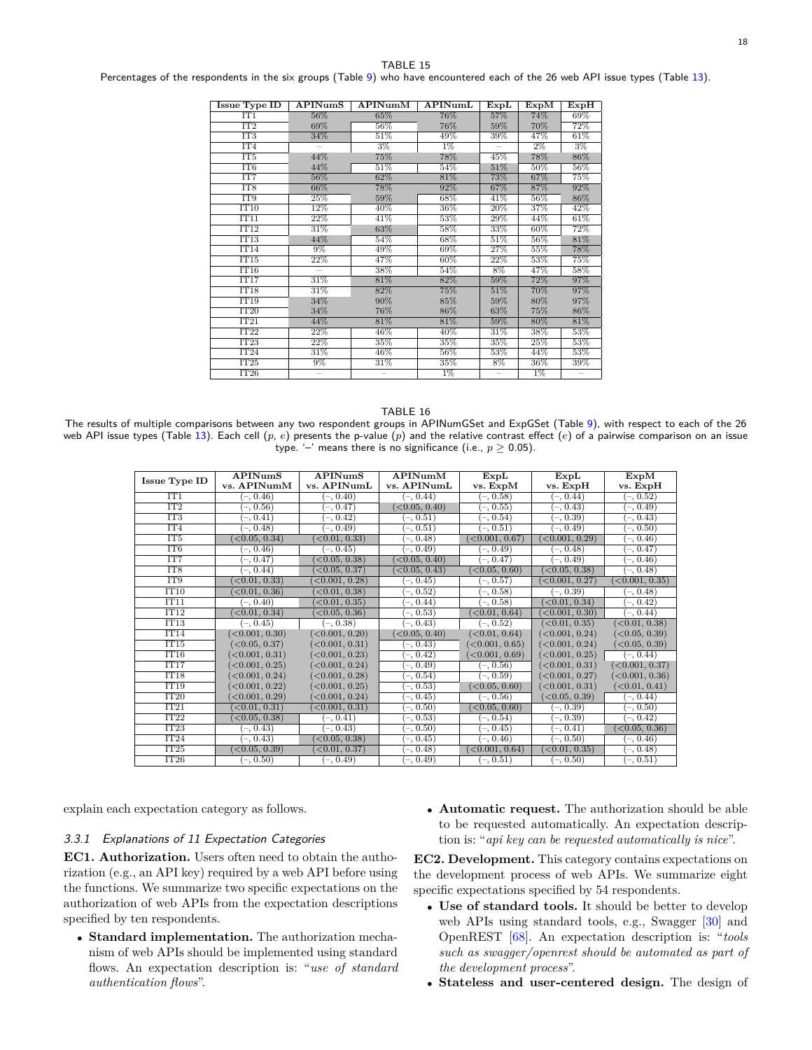<span id="page-17-0"></span>Percentages of the respondents in the six groups (Table [9\)](#page-10-1) who have encountered each of the 26 web API issue types (Table [13\)](#page-13-0).

| <b>Issue Type ID</b>                               | <b>APINumS</b> | APINumM | <b>APINumL</b> | ExpL   | ExpM   | ExpH   |
|----------------------------------------------------|----------------|---------|----------------|--------|--------|--------|
| IT1                                                | 56%            | 65%     | 76%            | 57%    | 74%    | 69%    |
| $\overline{IT2}$                                   | 69%            | 56%     | 76%            | 59%    | 70%    | 72%    |
| IT3                                                | 34%            | 51%     | 49%            | 39%    | 47%    | 61%    |
| IT <sub>4</sub>                                    |                | $3\%$   | $1\%$          |        | $2\%$  | $3\%$  |
| IT <sub>5</sub>                                    | 44%            | 75%     | 78%            | 45%    | 78%    | 86%    |
| IT <sub>6</sub>                                    | 44%            | 51%     | 54%            | 51%    | 50%    | 56%    |
| IT7                                                | 56%            | 62%     | 81%            | 73%    | 67%    | 75%    |
| IT <sub>8</sub>                                    | $66\%$         | 78%     | 92%            | 67%    | 87%    | 92%    |
| IT <sub>9</sub>                                    | 25%            | 59%     | 68%            | 41%    | 56%    | 86%    |
| IT10                                               | 12%            | 40%     | 36%            | 20%    | 37%    | 42%    |
| IT11                                               | 22%            | 41\%    | 53%            | 29%    | 44%    | 61%    |
| $\overline{1}\overline{1}\overline{1}\overline{2}$ | 31%            | $63\%$  | 58%            | $33\%$ | 60%    | 72%    |
| IT13                                               | 44%            | 54%     | 68%            | 51%    | 56%    | 81%    |
| IT14                                               | $9\%$          | 49%     | 69%            | 27%    | 55%    | 78%    |
| $\overline{1}\overline{T}15$                       | 22%            | 47%     | 60%            | 22%    | 53%    | 75%    |
| IT16                                               |                | 38%     | 54%            | $8\%$  | 47%    | 58%    |
| IT17                                               | 31%            | 81%     | 82%            | 59%    | 72%    | 97%    |
| IT18                                               | 31%            | 82%     | 75%            | 51%    | 70%    | 97%    |
| <b>TT19</b>                                        | 34%            | 90%     | 85%            | 59%    | $80\%$ | 97%    |
| IT20                                               | 34%            | 76%     | 86%            | 63%    | 75%    | 86%    |
| IT21                                               | 44%            | 81%     | 81%            | 59%    | 80%    | 81\%   |
| IT22                                               | 22%            | 46%     | 40%            | 31%    | 38%    | $53\%$ |
| TT23                                               | 22%            | 35%     | 35%            | 35%    | 25%    | 53%    |
| IT24                                               | $31\%$         | 46%     | 56%            | 53%    | 44%    | 53%    |
| IT25                                               | 9%             | 31%     | 35%            | 8%     | 36%    | 39%    |
| IT26                                               |                |         | $1\%$          |        | $1\%$  |        |

#### TABLE 16

<span id="page-17-1"></span>The results of multiple comparisons between any two respondent groups in APINumGSet and ExpGSet (Table [9](#page-10-1)), with respect to each of the 26 web API issue types (Table [13\)](#page-13-0). Each cell (*p*, *e*) presents the p-value (*p*) and the relative contrast effect (*e*) of a pairwise comparison on an issue type. '–' means there is no significance (i.e.,  $p \ge 0.05$ ).

|                      | <b>APINumS</b>                | APINumS                       | APINumM       | ExpL                          | ExpL                          | ExpM                          |
|----------------------|-------------------------------|-------------------------------|---------------|-------------------------------|-------------------------------|-------------------------------|
| <b>Issue Type ID</b> | vs. APINumM                   | vs. APINumL                   | vs. APINumL   | vs. ExpM                      | vs. ExpH                      | vs. ExpH                      |
| IT1                  | $(-, 0.46)$                   | $-, 0.40)$                    | $(-, 0.44)$   | $(-, 0.58)$                   | $(-, 0.44)$                   | $(-, 0.52)$                   |
| IT2                  | $(-, 0.56)$                   | $(-, 0.47)$                   | (<0.05, 0.40) | $(-, 0.5\overline{5})$        | $(-, 0.43)$                   | $(-, 0.49)$                   |
| IT <sub>3</sub>      | $(-, 0.41)$                   | $-.0.42)$                     | $(-, 0.51)$   | $(-, 0.54)$                   | $(-, 0.39)$                   | $(-, 0.43)$                   |
| IT <sub>4</sub>      | $(-, 0.48)$                   | $-, 0.49)$                    | $(-, 0.51)$   | $(-, 0.51)$                   | $(-, 0.49)$                   | $(-, 0.50)$                   |
| IT <sub>5</sub>      | $\sim$ 0.05, 0.34)            | $\langle 0.01, 0.33 \rangle$  | $(-, 0.48)$   | $\sim$ 0.001, 0.67)           | $\langle 0.001, 0.29 \rangle$ | $(-, 0.46)$                   |
| IT <sub>6</sub>      | $(-, 0.46)$                   | $(-, 0.45)$                   | $(-, 0.49)$   | $(-, 0.49)$                   | $(-, 0.48)$                   | $(-, 0.47)$                   |
| IT7                  | $-$ , 0.47)                   | (0.05, 0.38)                  | < 0.05, 0.40  | $(-, 0.47)$                   | $(-, 0.49)$                   | $(-, 0.46)$                   |
| IT <sub>8</sub>      | $(-, 0.44)$                   | < 0.05, 0.37                  | <0.05, 0.43   | (<0.05, 0.60)                 | (<0.05, 0.38)                 | $(-, 0.48)$                   |
| IT <sub>9</sub>      | $\langle 0.01, 0.33 \rangle$  | $\langle 0.001, 0.28 \rangle$ | $(-, 0.45)$   | $(-, 0.57)$                   | $\langle 0.001, 0.27 \rangle$ | $\langle 0.001, 0.35 \rangle$ |
| IT10                 | $\langle 0.01, 0.36 \rangle$  | $\langle 0.01, 0.38 \rangle$  | $(-, 0.52)$   | $(-, 0.58)$                   | $(-, 0.39)$                   | $(-, 0.48)$                   |
| IT11                 | $(-, 0.40)$                   | $\langle 0.01, 0.35 \rangle$  | $-$ , 0.44)   | $(-, 0.58)$                   | (<0.01, 0.34)                 | $(-, 0.42)$                   |
| IT12                 | $\langle 0.01, 0.34 \rangle$  | $\langle 0.05, 0.36 \rangle$  | $(-, 0.53)$   | $\langle 0.01, 0.64 \rangle$  | $\langle 0.001, 0.30 \rangle$ | $(-, 0.44)$                   |
| IT13                 | $(-, 0.45)$                   | $(-, 0.38)$                   | $-, 0.43)$    | $(-, 0.52)$                   | $\sim$ 0.01, 0.35)            | $\sim$ 0.01, 0.38)            |
| IT14                 | $\langle 0.001, 0.30 \rangle$ | $\left( <0.001, 0.20 \right)$ | (0.05, 0.40)  | $\left( <0.01, 0.64 \right)$  | < 0.001, 0.24                 | $\langle 0.05, 0.39 \rangle$  |
| IT15                 | < 0.05, 0.37                  | $\left( <0.001, 0.31 \right)$ | $-0.43$       | <0.001, 0.65                  | $\langle 0.001, 0.24 \rangle$ | $\langle 0.05, 0.39 \rangle$  |
| IT16                 | $\langle 0.001, 0.31 \rangle$ | $\langle 0.001, 0.23 \rangle$ | $(-, 0.42)$   | < 0.001, 0.69                 | $\langle 0.001, 0.25 \rangle$ | $(-, 0.44)$                   |
| IT17                 | $\langle 0.001, 0.25 \rangle$ | $\langle 0.001, 0.24 \rangle$ | $(-, 0.49)$   | $(-, 0.56)$                   | (0.001, 0.31)                 | $\left( <0.001, 0.37 \right)$ |
| IT18                 | < 0.001, 0.24                 | $\langle 0.001, 0.28 \rangle$ | $-, 0.54)$    | $(-, 0.59)$                   | < 0.001, 0.27                 | $\left( <0.001, 0.36 \right)$ |
| IT19                 | < 0.001, 0.22                 | $\langle 0.001, 0.25 \rangle$ | $(-, 0.53)$   | $\langle 0.05, 0.60 \rangle$  | $\left( <0.001, 0.31 \right)$ | < 0.01, 0.41                  |
| IT20                 | <0.001, 0.29                  | (0.001, 0.24)                 | $(-, 0.45)$   | $(-, 0.56)$                   | (0.05, 0.39)                  | $(-, 0.44)$                   |
| IT21                 | $\langle 0.01, 0.31 \rangle$  | $\left( <0.001, 0.31 \right)$ | $-, 0.50)$    | (0.05, 0.60)                  | $(-, 0.39)$                   | $(-, 0.50)$                   |
| IT22                 | $\langle 0.05, 0.38 \rangle$  | $-, 0.41)$                    | $(-, 0.53)$   | $(-, 0.54)$                   | $(-, 0.39)$                   | $(-, 0.42)$                   |
| IT23                 | $(-, 0.43)$                   | $-, 0.43)$                    | $-, 0.50)$    | $(-, 0.45)$                   | $(-, 0.41)$                   | $\langle 0.05, 0.36 \rangle$  |
| IT24                 | $(-, 0.43)$                   | $\langle 0.05, 0.38 \rangle$  | $(-, 0.45)$   | $(-, 0.46)$                   | $(-, 0.50)$                   | $(-, 0.46)$                   |
| IT25                 | $\langle 0.05, 0.39 \rangle$  | <0.01, 0.37                   | $(-, 0.48)$   | $\left( <0.001, 0.64 \right)$ | $\langle 0.01, 0.35 \rangle$  | $(-, 0.48)$                   |
| IT26                 | $(-, 0.50)$                   | $(-, 0.49)$                   | $(-, 0.49)$   | $(-, 0.51)$                   | $(-, 0.50)$                   | $(-, 0.51)$                   |

explain each expectation category as follows.

#### *3.3.1 Explanations of 11 Expectation Categories*

**EC1. Authorization.** Users often need to obtain the authorization (e.g., an API key) required by a web API before using the functions. We summarize two specific expectations on the authorization of web APIs from the expectation descriptions specified by ten respondents.

- *•* **Standard implementation.** The authorization mechanism of web APIs should be implemented using standard flows. An expectation description is: "*use of standard authentication flows*".
- *•* **Automatic request.** The authorization should be able to be requested automatically. An expectation description is: "*api key can be requested automatically is nice*".

**EC2. Development.** This category contains expectations on the development process of web APIs. We summarize eight specific expectations specified by 54 respondents.

- *•* **Use of standard tools.** It should be better to develop web APIs using standard tools, e.g., Swagger [\[30\]](#page-26-29) and OpenREST [[68](#page-27-23)]. An expectation description is: "*tools such as swagger/openrest should be automated as part of the development process*".
- *•* **Stateless and user-centered design.** The design of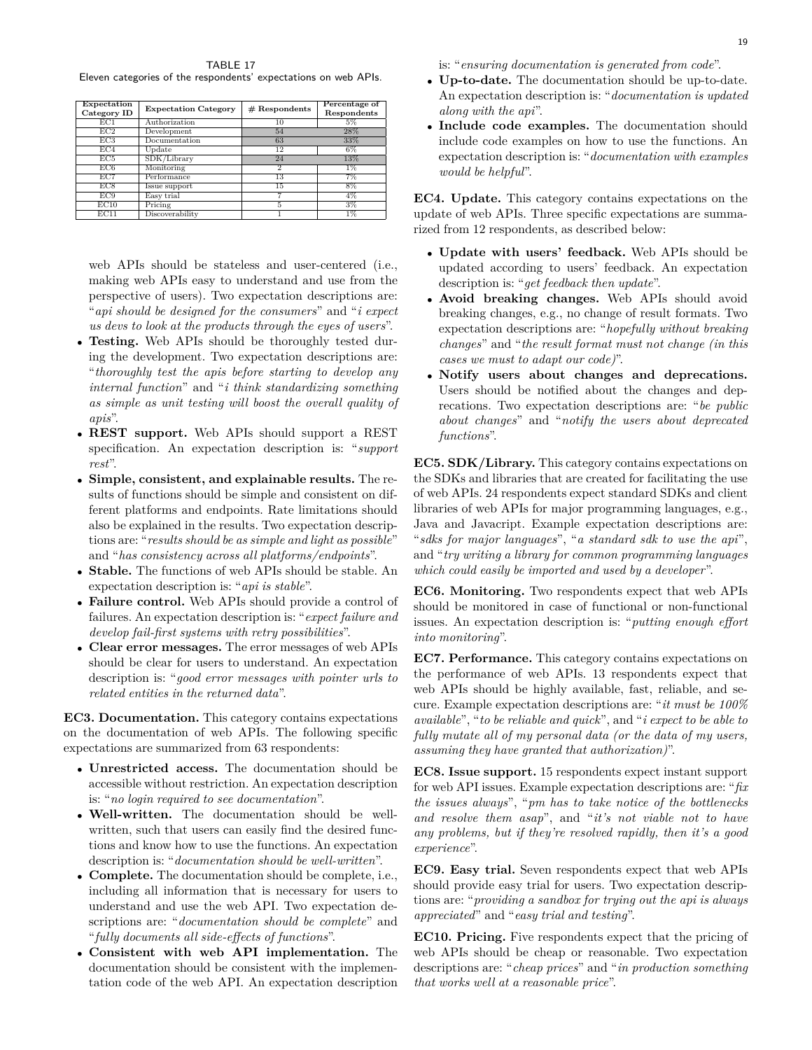<span id="page-18-0"></span>TABLE 17 Eleven categories of the respondents' expectations on web APIs.

| Expectation<br>Category ID | <b>Expectation Category</b> | $#$ Respondents | Percentage of<br>Respondents |
|----------------------------|-----------------------------|-----------------|------------------------------|
| EC1                        | Authorization               | 10              | 5%                           |
| EC2                        | Development                 | 54              | 28%                          |
| EC3                        | Documentation               | 63              | 33%                          |
| EC4                        | Update                      | 12              | 6%                           |
| EC5                        | SDK/Library                 | 24              | 13%                          |
| EC6                        | Monitoring                  | $\mathfrak{D}$  | $1\%$                        |
| EC7                        | Performance                 | 13              | 7%                           |
| EC8                        | Issue support               | 15              | 8%                           |
| EC9                        | Easy trial                  |                 | 4%                           |
| EC10                       | Pricing                     | 5               | $3\%$                        |
| EC11                       | Discoverability             |                 | $1\%$                        |

web APIs should be stateless and user-centered (i.e., making web APIs easy to understand and use from the perspective of users). Two expectation descriptions are: "*api should be designed for the consumers*" and "*i expect us devs to look at the products through the eyes of users*".

- *•* **Testing.** Web APIs should be thoroughly tested during the development. Two expectation descriptions are: "*thoroughly test the apis before starting to develop any internal function*" and "*i think standardizing something as simple as unit testing will boost the overall quality of apis*".
- *•* **REST support.** Web APIs should support a REST specification. An expectation description is: "*support rest*".
- *•* **Simple, consistent, and explainable results.** The results of functions should be simple and consistent on different platforms and endpoints. Rate limitations should also be explained in the results. Two expectation descriptions are: "*results should be as simple and light as possible*" and "*has consistency across all platforms/endpoints*".
- *•* **Stable.** The functions of web APIs should be stable. An expectation description is: "*api is stable*".
- *•* **Failure control.** Web APIs should provide a control of failures. An expectation description is: "*expect failure and develop fail-first systems with retry possibilities*".
- *•* **Clear error messages.** The error messages of web APIs should be clear for users to understand. An expectation description is: "*good error messages with pointer urls to related entities in the returned data*".

**EC3. Documentation.** This category contains expectations on the documentation of web APIs. The following specific expectations are summarized from 63 respondents:

- *•* **Unrestricted access.** The documentation should be accessible without restriction. An expectation description is: "*no login required to see documentation*".
- *•* **Well-written.** The documentation should be wellwritten, such that users can easily find the desired functions and know how to use the functions. An expectation description is: "*documentation should be well-written*".
- *•* **Complete.** The documentation should be complete, i.e., including all information that is necessary for users to understand and use the web API. Two expectation descriptions are: "*documentation should be complete*" and "*fully documents all side-effects of functions*".
- *•* **Consistent with web API implementation.** The documentation should be consistent with the implementation code of the web API. An expectation description

is: "*ensuring documentation is generated from code*".

- *•* **Up-to-date.** The documentation should be up-to-date. An expectation description is: "*documentation is updated along with the api*".
- *•* **Include code examples.** The documentation should include code examples on how to use the functions. An expectation description is: "*documentation with examples would be helpful*".

**EC4. Update.** This category contains expectations on the update of web APIs. Three specific expectations are summarized from 12 respondents, as described below:

- *•* **Update with users' feedback.** Web APIs should be updated according to users' feedback. An expectation description is: "*get feedback then update*".
- *•* **Avoid breaking changes.** Web APIs should avoid breaking changes, e.g., no change of result formats. Two expectation descriptions are: "*hopefully without breaking changes*" and "*the result format must not change (in this cases we must to adapt our code)*".
- *•* **Notify users about changes and deprecations.** Users should be notified about the changes and deprecations. Two expectation descriptions are: "*be public about changes*" and "*notify the users about deprecated functions*".

**EC5. SDK/Library.** This category contains expectations on the SDKs and libraries that are created for facilitating the use of web APIs. 24 respondents expect standard SDKs and client libraries of web APIs for major programming languages, e.g., Java and Javacript. Example expectation descriptions are: "*sdks for major languages*", "*a standard sdk to use the api*", and "*try writing a library for common programming languages which could easily be imported and used by a developer*".

**EC6. Monitoring.** Two respondents expect that web APIs should be monitored in case of functional or non-functional issues. An expectation description is: "*putting enough effort into monitoring*".

**EC7. Performance.** This category contains expectations on the performance of web APIs. 13 respondents expect that web APIs should be highly available, fast, reliable, and secure. Example expectation descriptions are: "*it must be 100% available*", "*to be reliable and quick*", and "*i expect to be able to fully mutate all of my personal data (or the data of my users, assuming they have granted that authorization)*".

**EC8. Issue support.** 15 respondents expect instant support for web API issues. Example expectation descriptions are: "*fix the issues always*", "*pm has to take notice of the bottlenecks and resolve them asap*", and "*it's not viable not to have any problems, but if they're resolved rapidly, then it's a good experience*".

**EC9. Easy trial.** Seven respondents expect that web APIs should provide easy trial for users. Two expectation descriptions are: "*providing a sandbox for trying out the api is always appreciated*" and "*easy trial and testing*".

**EC10. Pricing.** Five respondents expect that the pricing of web APIs should be cheap or reasonable. Two expectation descriptions are: "*cheap prices*" and "*in production something that works well at a reasonable price*".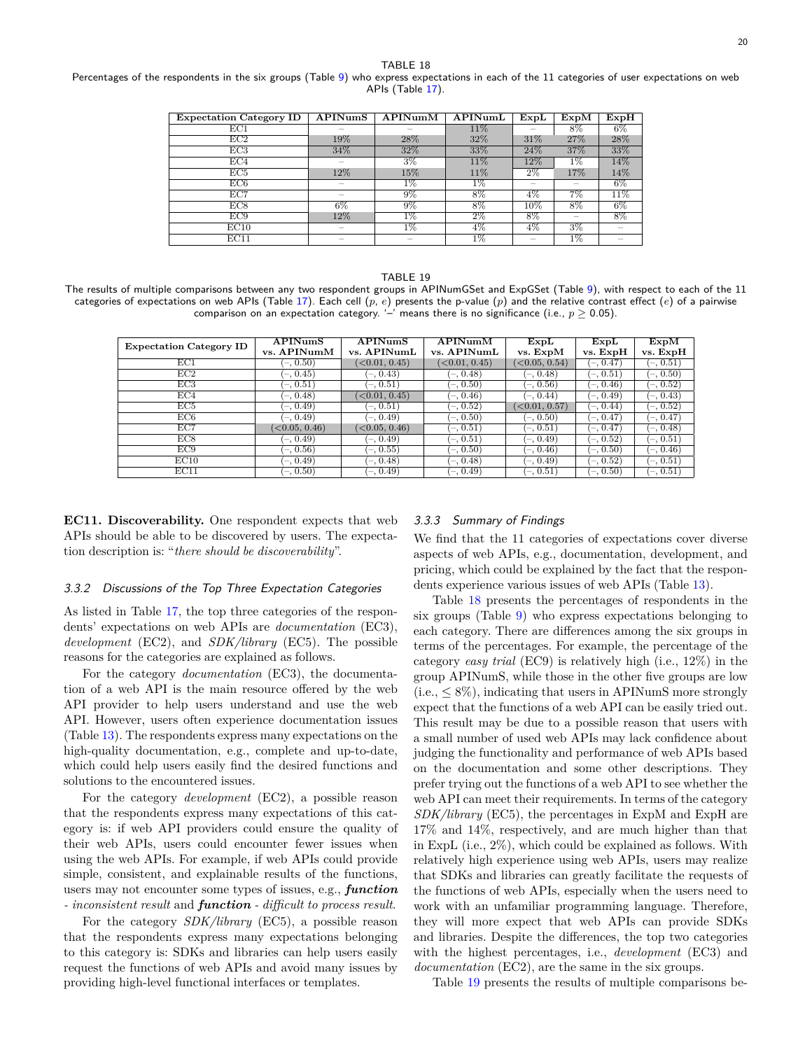<span id="page-19-0"></span>Percentages of the respondents in the six groups (Table [9\)](#page-10-1) who express expectations in each of the 11 categories of user expectations on web APIs (Table [17\)](#page-18-0).

| <b>Expectation Category ID</b> | APINumS                  | $\overline{\bf APINumM}$ | APINumL | $\textbf{ExpL}$ | ExpM  | ExpH                     |
|--------------------------------|--------------------------|--------------------------|---------|-----------------|-------|--------------------------|
| EC1                            |                          |                          | 11%     |                 | 8%    | $6\%$                    |
| EC2                            | 19%                      | 28%                      | 32%     | 31%             | 27%   | 28%                      |
| EC3                            | 34%                      | 32%                      | 33%     | 24%             | 37%   | 33%                      |
| EC4                            |                          | $3\%$                    | 11%     | 12%             | $1\%$ | 14%                      |
| EC5                            | 12%                      | 15%                      | 11%     | $2\%$           | 17%   | 14%                      |
| EC6                            | $\overline{\phantom{a}}$ | $1\%$                    | $1\%$   | $\sim$          |       | $6\%$                    |
| EC7                            | $\sim$                   | $9\%$                    | 8%      | $4\%$           | 7%    | 11%                      |
| EC8                            | 6%                       | $9\%$                    | 8%      | 10%             | 8%    | $6\%$                    |
| EC9                            | 12%                      | $1\%$                    | $2\%$   | 8%              |       | 8%                       |
| EC10                           | $\sim$                   | $1\%$                    | 4%      | $4\%$           | $3\%$ |                          |
| EC11                           | $\sim$                   | $\overline{\phantom{a}}$ | $1\%$   | $-$             | $1\%$ | $\overline{\phantom{a}}$ |

#### TABLE 19

<span id="page-19-1"></span>The results of multiple comparisons between any two respondent groups in APINumGSet and ExpGSet (Table [9](#page-10-1)), with respect to each of the 11 categories of expectations on web APIs (Table [17](#page-18-0)). Each cell (*p*, *e*) presents the p-value (*p*) and the relative contrast effect (*e*) of a pairwise comparison on an expectation category. '–' means there is no significance (i.e.,  $p \geq 0.05$ ).

| <b>Expectation Category ID</b> | APINumS<br>vs. APINumM | APINumS<br>vs. APINumL | APINumM<br>vs. APINumL       | $\textbf{ExpL}$<br>vs. ExpM  | ExpL<br>vs. ExpH | ExpM<br>vs. ExpH |
|--------------------------------|------------------------|------------------------|------------------------------|------------------------------|------------------|------------------|
| EC1                            | $-$ , 0.50)            | (<0.01, 0.45)          | $\langle 0.01, 0.45 \rangle$ | $\langle 0.05, 0.54 \rangle$ | $(-, 0.47)$      | $(-, 0.51)$      |
| EC2                            | $(-, 0.45)$            | $-0.43$                | $-0.48$                      | $(-, 0.48)$                  | $-0.51$          | $(-, 0.50)$      |
| EC3                            | $(-, 0.51)$            | $-0.51$                | $-0.50$                      | $(-, 0.56)$                  | $(-, 0.46)$      | $(-, 0.52)$      |
| EC4                            | $(-, 0.48)$            | (<0.01, 0.45)          | $(-0.46)$                    | $(-, 0.44)$                  | $(-, 0.49)$      | $(-, 0.43)$      |
| EC5                            | $-0.49$                | $-0.51$                | $(-, 0.52)$                  | $\langle 0.01, 0.57 \rangle$ | $-$ , 0.44)      | $(-, 0.52)$      |
| EC6                            | $-0.49$                | $-0.49$                | $(-, 0.50)$                  | $(-, 0.50)$                  | $(-, 0.47)$      | $(-, 0.47)$      |
| EC7                            | (<0.05, 0.46)          | (<0.05, 0.46)          | $-0.51$                      | $(-, 0.51)$                  | $(-, 0.47)$      | $(-, 0.48)$      |
| EC8                            | $-0.49$                | $-0.49$                | $-0.51$                      | $(-, 0.49)$                  | $(-, 0.52)$      | $(-, 0.51)$      |
| EC9                            | $(-, 0.56)$            | $(-, 0.55)$            | $(-, 0.50)$                  | $(-, 0.46)$                  | $(-, 0.50)$      | $(-, 0.46)$      |
| EC10                           | $(-, 0.49)$            | $(-, 0.48)$            | $(-, 0.48)$                  | $(-, 0.49)$                  | $(-, 0.52)$      | $(-, 0.51)$      |
| EC11                           | $-0.50$                | $-0.49$                | $-0.49$                      | $(-, 0.51]$                  | $(-, 0.50)$      | $(-, 0.51)$      |

**EC11. Discoverability.** One respondent expects that web APIs should be able to be discovered by users. The expectation description is: "*there should be discoverability*".

#### *3.3.2 Discussions of the Top Three Expectation Categories*

As listed in Table [17,](#page-18-0) the top three categories of the respondents' expectations on web APIs are *documentation* (EC3), *development* (EC2), and *SDK/library* (EC5). The possible reasons for the categories are explained as follows.

For the category *documentation* (EC3), the documentation of a web API is the main resource offered by the web API provider to help users understand and use the web API. However, users often experience documentation issues (Table [13](#page-13-0)). The respondents express many expectations on the high-quality documentation, e.g., complete and up-to-date, which could help users easily find the desired functions and solutions to the encountered issues.

For the category *development* (EC2), a possible reason that the respondents express many expectations of this category is: if web API providers could ensure the quality of their web APIs, users could encounter fewer issues when using the web APIs. For example, if web APIs could provide simple, consistent, and explainable results of the functions, users may not encounter some types of issues, e.g., *function - inconsistent result* and *function - difficult to process result*.

For the category *SDK/library* (EC5), a possible reason that the respondents express many expectations belonging to this category is: SDKs and libraries can help users easily request the functions of web APIs and avoid many issues by providing high-level functional interfaces or templates.

#### *3.3.3 Summary of Findings*

We find that the 11 categories of expectations cover diverse aspects of web APIs, e.g., documentation, development, and pricing, which could be explained by the fact that the respondents experience various issues of web APIs (Table [13\)](#page-13-0).

Table [18](#page-19-0) presents the percentages of respondents in the six groups (Table [9\)](#page-10-1) who express expectations belonging to each category. There are differences among the six groups in terms of the percentages. For example, the percentage of the category *easy trial* (EC9) is relatively high (i.e., 12%) in the group APINumS, while those in the other five groups are low  $(i.e.,  $\leq 8\%)$ , indicating that users in APINumS more strongly$ expect that the functions of a web API can be easily tried out. This result may be due to a possible reason that users with a small number of used web APIs may lack confidence about judging the functionality and performance of web APIs based on the documentation and some other descriptions. They prefer trying out the functions of a web API to see whether the web API can meet their requirements. In terms of the category *SDK/library* (EC5), the percentages in ExpM and ExpH are 17% and 14%, respectively, and are much higher than that in ExpL (i.e., 2%), which could be explained as follows. With relatively high experience using web APIs, users may realize that SDKs and libraries can greatly facilitate the requests of the functions of web APIs, especially when the users need to work with an unfamiliar programming language. Therefore, they will more expect that web APIs can provide SDKs and libraries. Despite the differences, the top two categories with the highest percentages, i.e., *development* (EC3) and *documentation* (EC2), are the same in the six groups.

Table [19](#page-19-1) presents the results of multiple comparisons be-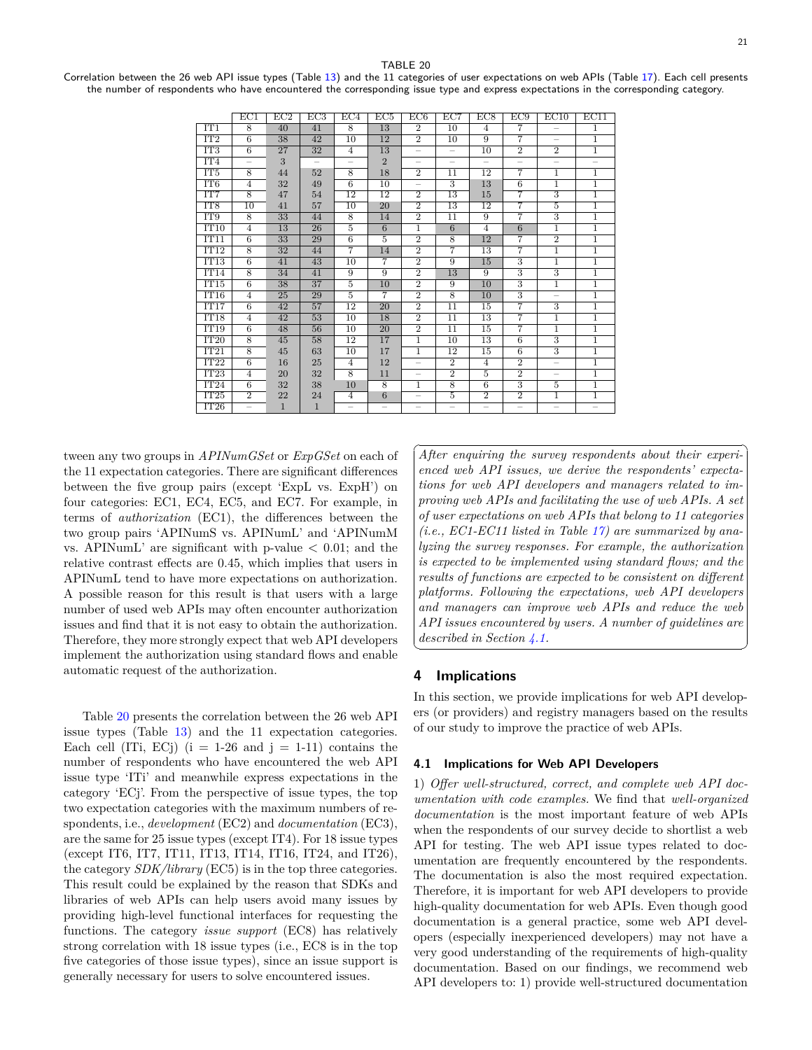☎

✆

TABLE 20

<span id="page-20-2"></span>Correlation between the 26 web API issue types (Table [13](#page-13-0)) and the 11 categories of user expectations on web APIs (Table [17\)](#page-18-0). Each cell presents the number of respondents who have encountered the corresponding issue type and express expectations in the corresponding category.

|                 | EC1                      | EC2          | EC3          | EC4                      | EC5             | EC6                      | EC7                      | EC8             | EC9                       | EC10                      | EC11                     |
|-----------------|--------------------------|--------------|--------------|--------------------------|-----------------|--------------------------|--------------------------|-----------------|---------------------------|---------------------------|--------------------------|
| IT1             | 8                        | 40           | 41           | $\overline{8}$           | 13              | $\overline{2}$           | 10                       | $\overline{4}$  | 7                         | $\overline{\phantom{0}}$  | 1                        |
| IT2             | 6                        | 38           | 42           | 10                       | 12              | $\overline{2}$           | 10                       | 9               | $\overline{7}$            | $\overline{\phantom{0}}$  | 1                        |
| IT3             | $\overline{6}$           | 27           | 32           | $\overline{4}$           | 13              | $\overline{\phantom{0}}$ | $\overline{\phantom{0}}$ | 10              | $\overline{2}$            | $\overline{2}$            | 1                        |
| IT <sub>4</sub> |                          | 3            |              |                          | $\overline{2}$  |                          |                          |                 |                           |                           |                          |
| IT <sub>5</sub> | $\overline{8}$           | 44           | 52           | $\overline{8}$           | 18              | $\overline{2}$           | 11                       | 12              | $\overline{7}$            | $\overline{1}$            | $\overline{1}$           |
| IT6             | $\overline{4}$           | 32           | 49           | 6                        | 10              |                          | 3                        | 13              | 6                         | 1                         | $\mathbf{1}$             |
| IT7             | $\overline{8}$           | 47           | 54           | $\overline{12}$          | $\overline{12}$ | $\overline{2}$           | $\overline{13}$          | 15              | 7                         | $\overline{3}$            | ī                        |
| IT <sub>8</sub> | 10                       | 41           | 57           | 10                       | 20              | $\overline{2}$           | 13                       | 12              | 7                         | $\overline{5}$            | $\mathbf{1}$             |
| IT9             | 8                        | 33           | 44           | $\overline{8}$           | 14              | $\overline{2}$           | 11                       | 9               | $\overline{7}$            | $\overline{3}$            | 1                        |
| IT10            | 4                        | 13           | 26           | 5                        | 6               | $\mathbf{1}$             | 6                        | $\overline{4}$  | 6                         | 1                         | 1                        |
| IT11            | $\overline{6}$           | 33           | 29           | $\overline{6}$           | $\overline{5}$  | $\overline{2}$           | $\overline{8}$           | 12              | 7                         | $\overline{2}$            | $\mathbf{1}$             |
| TT12            | $\overline{8}$           | 32           | 44           | $\overline{7}$           | 14              | $\overline{2}$           | $\overline{7}$           | 13              | 7                         | $\mathbf{1}$              | 1                        |
| IT13            | $\overline{6}$           | 41           | 43           | 10                       | $\overline{7}$  | $\overline{2}$           | 9                        | 15              | 3                         | 1                         | 1                        |
| IT14            | 8                        | 34           | 41           | 9                        | $\overline{9}$  | $\overline{2}$           | 13                       | 9               | 3                         | $\overline{\overline{3}}$ | 1                        |
| TT15            | 6                        | 38           | 37           | 5                        | 10              | $\overline{2}$           | 9                        | 10              | 3                         | 1                         | 1                        |
| IT16            | 4                        | 25           | 29           | $\overline{5}$           | $\overline{7}$  | $\overline{2}$           | $\overline{8}$           | 10              | $\overline{\overline{3}}$ | $\qquad \qquad -$         | 1                        |
| IT17            | $6\overline{6}$          | 42           | 57           | 12                       | 20              | $\overline{2}$           | $\overline{11}$          | 15              | 7                         | 3                         | 1                        |
| IT18            | $\overline{4}$           | 42           | 53           | 10                       | 18              | $\overline{2}$           | $\overline{11}$          | $\overline{13}$ | 7                         | 1                         | 1                        |
| TT19            | 6                        | 48           | 56           | 10                       | 20              | $\overline{2}$           | 11                       | 15              | 7                         | $\mathbf{1}$              | 1                        |
| IT20            | 8                        | 45           | 58           | 12                       | 17              | $\overline{1}$           | 10                       | $\overline{13}$ | 6                         | $\overline{3}$            | T                        |
| IT21            | 8                        | 45           | 63           | 10                       | 17              | $\mathbf{1}$             | 12                       | 15              | 6                         | 3                         | 1                        |
| IT22            | $\overline{6}$           | 16           | 25           | $\overline{4}$           | 12              |                          | $\overline{2}$           | $\overline{4}$  | $\overline{2}$            |                           | $\mathbf{1}$             |
| IT23            | $\overline{4}$           | 20           | 32           | $\overline{8}$           | 11              |                          | $\overline{2}$           | $\overline{5}$  | $\overline{2}$            |                           | 1                        |
| TT24            | 6                        | 32           | 38           | 10                       | 8               | $\mathbf{1}$             | 8                        | 6               | 3                         | 5                         | 1                        |
| IT25            | $\overline{2}$           | 22           | 24           | $\overline{4}$           | $6\overline{6}$ |                          | $\overline{5}$           | $\overline{2}$  | $\overline{2}$            | 1                         | 1                        |
| IT26            | $\overline{\phantom{0}}$ | $\mathbf{1}$ | $\mathbf{1}$ | $\overline{\phantom{0}}$ |                 | $\overline{\phantom{0}}$ |                          |                 |                           | $\overline{\phantom{m}}$  | $\overline{\phantom{0}}$ |

tween any two groups in *APINumGSet* or *ExpGSet* on each of the 11 expectation categories. There are significant differences between the five group pairs (except 'ExpL vs. ExpH') on four categories: EC1, EC4, EC5, and EC7. For example, in terms of *authorization* (EC1), the differences between the two group pairs 'APINumS vs. APINumL' and 'APINumM vs. APINumL' are significant with p-value *<* 0.01; and the relative contrast effects are 0.45, which implies that users in APINumL tend to have more expectations on authorization. A possible reason for this result is that users with a large number of used web APIs may often encounter authorization issues and find that it is not easy to obtain the authorization. Therefore, they more strongly expect that web API developers implement the authorization using standard flows and enable automatic request of the authorization.

Table [20](#page-20-2) presents the correlation between the 26 web API issue types (Table [13](#page-13-0)) and the 11 expectation categories. Each cell (ITi, ECj)  $(i = 1-26$  and  $j = 1-11$ ) contains the number of respondents who have encountered the web API issue type 'ITi' and meanwhile express expectations in the category 'ECj'. From the perspective of issue types, the top two expectation categories with the maximum numbers of respondents, i.e., *development* (EC2) and *documentation* (EC3), are the same for 25 issue types (except IT4). For 18 issue types (except IT6, IT7, IT11, IT13, IT14, IT16, IT24, and IT26), the category *SDK/library* (EC5) is in the top three categories. This result could be explained by the reason that SDKs and libraries of web APIs can help users avoid many issues by providing high-level functional interfaces for requesting the functions. The category *issue support* (EC8) has relatively strong correlation with 18 issue types (i.e., EC8 is in the top five categories of those issue types), since an issue support is generally necessary for users to solve encountered issues.

✞ *After enquiring the survey respondents about their experi-*✝ *enced web API issues, we derive the respondents' expectations for web API developers and managers related to improving web APIs and facilitating the use of web APIs. A set of user expectations on web APIs that belong to 11 categories (i.e., EC1-EC11 listed in Table [17\)](#page-18-0) are summarized by analyzing the survey responses. For example, the authorization is expected to be implemented using standard flows; and the results of functions are expected to be consistent on different platforms. Following the expectations, web API developers and managers can improve web APIs and reduce the web API issues encountered by users. A number of guidelines are described in Section [4.1](#page-20-1).*

## <span id="page-20-0"></span>**4 Implications**

In this section, we provide implications for web API developers (or providers) and registry managers based on the results of our study to improve the practice of web APIs.

#### <span id="page-20-1"></span>**4.1 Implications for Web API Developers**

1) *Offer well-structured, correct, and complete web API documentation with code examples.* We find that *well-organized documentation* is the most important feature of web APIs when the respondents of our survey decide to shortlist a web API for testing. The web API issue types related to documentation are frequently encountered by the respondents. The documentation is also the most required expectation. Therefore, it is important for web API developers to provide high-quality documentation for web APIs. Even though good documentation is a general practice, some web API developers (especially inexperienced developers) may not have a very good understanding of the requirements of high-quality documentation. Based on our findings, we recommend web API developers to: 1) provide well-structured documentation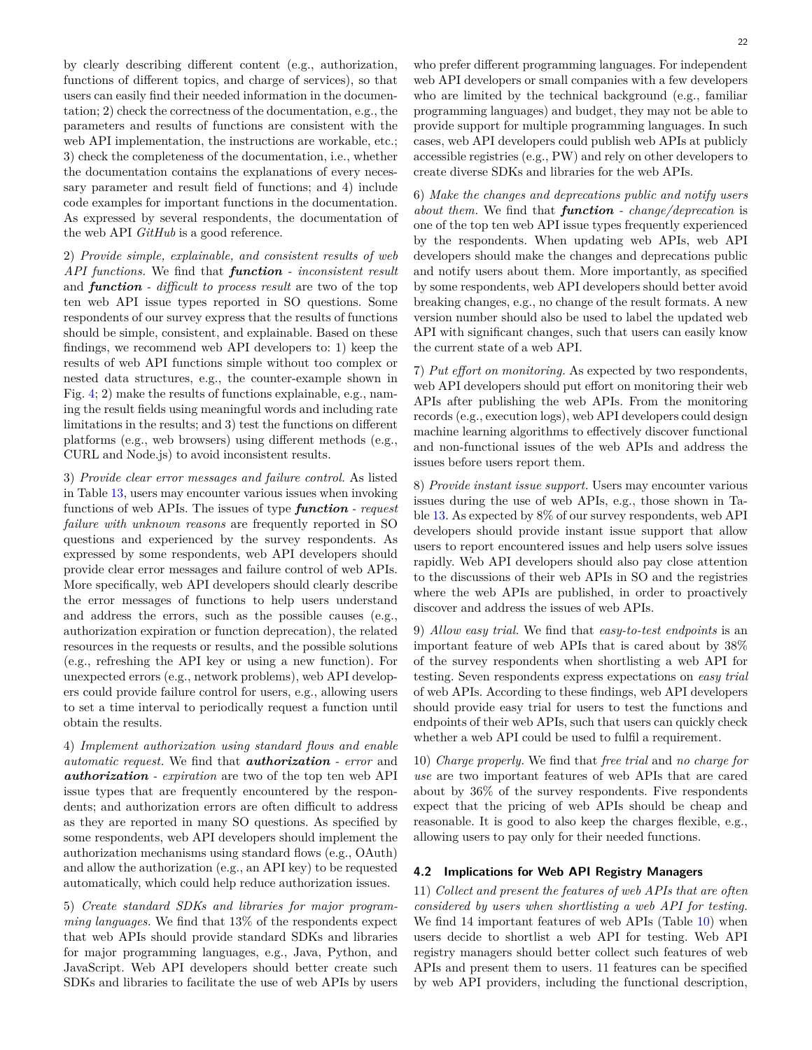by clearly describing different content (e.g., authorization, functions of different topics, and charge of services), so that users can easily find their needed information in the documentation; 2) check the correctness of the documentation, e.g., the parameters and results of functions are consistent with the web API implementation, the instructions are workable, etc.; 3) check the completeness of the documentation, i.e., whether the documentation contains the explanations of every necessary parameter and result field of functions; and 4) include code examples for important functions in the documentation. As expressed by several respondents, the documentation of the web API *GitHub* is a good reference.

2) *Provide simple, explainable, and consistent results of web API functions.* We find that *function - inconsistent result* and *function - difficult to process result* are two of the top ten web API issue types reported in SO questions. Some respondents of our survey express that the results of functions should be simple, consistent, and explainable. Based on these findings, we recommend web API developers to: 1) keep the results of web API functions simple without too complex or nested data structures, e.g., the counter-example shown in Fig. [4;](#page-15-0) 2) make the results of functions explainable, e.g., naming the result fields using meaningful words and including rate limitations in the results; and 3) test the functions on different platforms (e.g., web browsers) using different methods (e.g., CURL and Node.js) to avoid inconsistent results.

3) *Provide clear error messages and failure control.* As listed in Table [13](#page-13-0), users may encounter various issues when invoking functions of web APIs. The issues of type *function - request failure with unknown reasons* are frequently reported in SO questions and experienced by the survey respondents. As expressed by some respondents, web API developers should provide clear error messages and failure control of web APIs. More specifically, web API developers should clearly describe the error messages of functions to help users understand and address the errors, such as the possible causes (e.g., authorization expiration or function deprecation), the related resources in the requests or results, and the possible solutions (e.g., refreshing the API key or using a new function). For unexpected errors (e.g., network problems), web API developers could provide failure control for users, e.g., allowing users to set a time interval to periodically request a function until obtain the results.

4) *Implement authorization using standard flows and enable automatic request.* We find that *authorization - error* and *authorization - expiration* are two of the top ten web API issue types that are frequently encountered by the respondents; and authorization errors are often difficult to address as they are reported in many SO questions. As specified by some respondents, web API developers should implement the authorization mechanisms using standard flows (e.g., OAuth) and allow the authorization (e.g., an API key) to be requested automatically, which could help reduce authorization issues.

5) *Create standard SDKs and libraries for major programming languages.* We find that 13% of the respondents expect that web APIs should provide standard SDKs and libraries for major programming languages, e.g., Java, Python, and JavaScript. Web API developers should better create such SDKs and libraries to facilitate the use of web APIs by users who prefer different programming languages. For independent web API developers or small companies with a few developers who are limited by the technical background (e.g., familiar programming languages) and budget, they may not be able to provide support for multiple programming languages. In such cases, web API developers could publish web APIs at publicly accessible registries (e.g., PW) and rely on other developers to create diverse SDKs and libraries for the web APIs.

6) *Make the changes and deprecations public and notify users about them.* We find that *function - change/deprecation* is one of the top ten web API issue types frequently experienced by the respondents. When updating web APIs, web API developers should make the changes and deprecations public and notify users about them. More importantly, as specified by some respondents, web API developers should better avoid breaking changes, e.g., no change of the result formats. A new version number should also be used to label the updated web API with significant changes, such that users can easily know the current state of a web API.

7) *Put effort on monitoring.* As expected by two respondents, web API developers should put effort on monitoring their web APIs after publishing the web APIs. From the monitoring records (e.g., execution logs), web API developers could design machine learning algorithms to effectively discover functional and non-functional issues of the web APIs and address the issues before users report them.

8) *Provide instant issue support.* Users may encounter various issues during the use of web APIs, e.g., those shown in Table [13.](#page-13-0) As expected by 8% of our survey respondents, web API developers should provide instant issue support that allow users to report encountered issues and help users solve issues rapidly. Web API developers should also pay close attention to the discussions of their web APIs in SO and the registries where the web APIs are published, in order to proactively discover and address the issues of web APIs.

9) *Allow easy trial.* We find that *easy-to-test endpoints* is an important feature of web APIs that is cared about by 38% of the survey respondents when shortlisting a web API for testing. Seven respondents express expectations on *easy trial* of web APIs. According to these findings, web API developers should provide easy trial for users to test the functions and endpoints of their web APIs, such that users can quickly check whether a web API could be used to fulfil a requirement.

10) *Charge properly.* We find that *free trial* and *no charge for use* are two important features of web APIs that are cared about by 36% of the survey respondents. Five respondents expect that the pricing of web APIs should be cheap and reasonable. It is good to also keep the charges flexible, e.g., allowing users to pay only for their needed functions.

#### <span id="page-21-0"></span>**4.2 Implications for Web API Registry Managers**

11) *Collect and present the features of web APIs that are often considered by users when shortlisting a web API for testing.* We find 14 important features of web APIs (Table [10](#page-11-1)) when users decide to shortlist a web API for testing. Web API registry managers should better collect such features of web APIs and present them to users. 11 features can be specified by web API providers, including the functional description,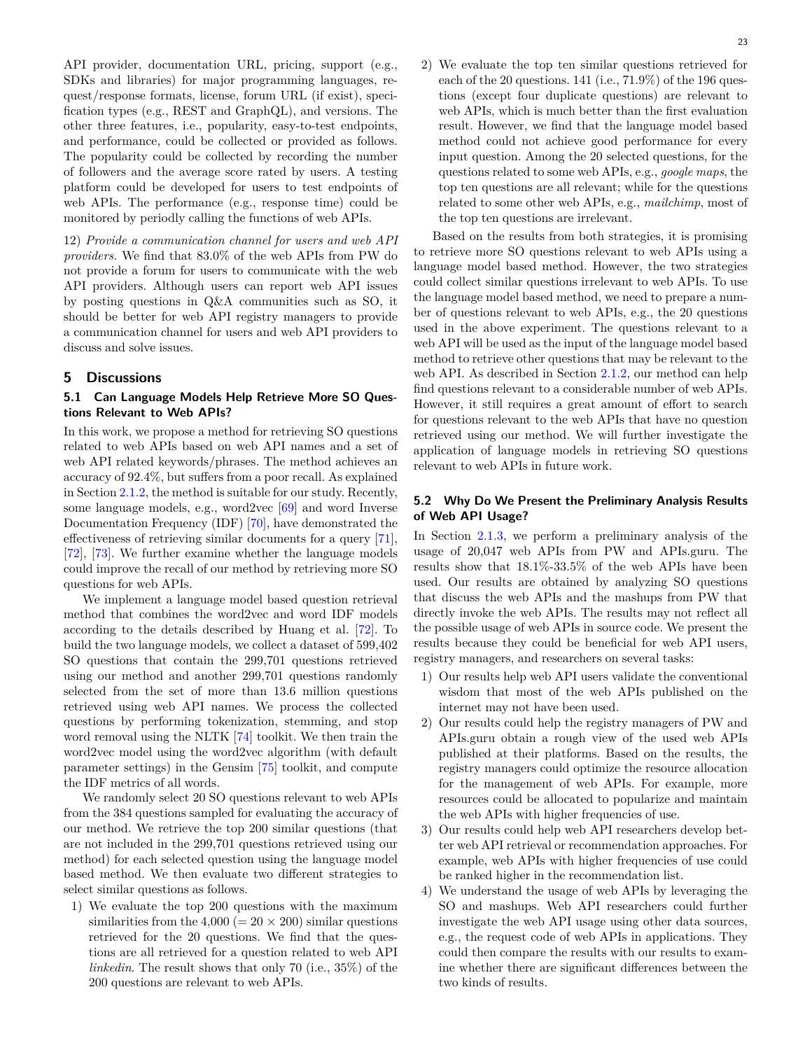API provider, documentation URL, pricing, support (e.g., SDKs and libraries) for major programming languages, request/response formats, license, forum URL (if exist), specification types (e.g., REST and GraphQL), and versions. The other three features, i.e., popularity, easy-to-test endpoints, and performance, could be collected or provided as follows. The popularity could be collected by recording the number of followers and the average score rated by users. A testing platform could be developed for users to test endpoints of web APIs. The performance (e.g., response time) could be monitored by periodly calling the functions of web APIs.

12) *Provide a communication channel for users and web API providers.* We find that 83.0% of the web APIs from PW do not provide a forum for users to communicate with the web API providers. Although users can report web API issues by posting questions in Q&A communities such as SO, it should be better for web API registry managers to provide a communication channel for users and web API providers to discuss and solve issues.

## <span id="page-22-0"></span>**5 Discussions**

## <span id="page-22-2"></span>**5.1 Can Language Models Help Retrieve More SO Questions Relevant to Web APIs?**

In this work, we propose a method for retrieving SO questions related to web APIs based on web API names and a set of web API related keywords/phrases. The method achieves an accuracy of 92.4%, but suffers from a poor recall. As explained in Section [2.1.2,](#page-3-2) the method is suitable for our study. Recently, some language models, e.g., word2vec [\[69\]](#page-27-24) and word Inverse Documentation Frequency (IDF) [[70](#page-27-25)], have demonstrated the effectiveness of retrieving similar documents for a query [\[71\]](#page-27-26), [[72](#page-27-27)], [[73](#page-27-28)]. We further examine whether the language models could improve the recall of our method by retrieving more SO questions for web APIs.

We implement a language model based question retrieval method that combines the word2vec and word IDF models according to the details described by Huang et al. [\[72\]](#page-27-27). To build the two language models, we collect a dataset of 599,402 SO questions that contain the 299,701 questions retrieved using our method and another 299,701 questions randomly selected from the set of more than 13.6 million questions retrieved using web API names. We process the collected questions by performing tokenization, stemming, and stop word removal using the NLTK [[74](#page-27-29)] toolkit. We then train the word2vec model using the word2vec algorithm (with default parameter settings) in the Gensim [\[75\]](#page-27-30) toolkit, and compute the IDF metrics of all words.

We randomly select 20 SO questions relevant to web APIs from the 384 questions sampled for evaluating the accuracy of our method. We retrieve the top 200 similar questions (that are not included in the 299,701 questions retrieved using our method) for each selected question using the language model based method. We then evaluate two different strategies to select similar questions as follows.

1) We evaluate the top 200 questions with the maximum similarities from the  $4,000 (= 20 \times 200)$  similar questions retrieved for the 20 questions. We find that the questions are all retrieved for a question related to web API *linkedin*. The result shows that only 70 (i.e., 35%) of the 200 questions are relevant to web APIs.

2) We evaluate the top ten similar questions retrieved for each of the 20 questions. 141 (i.e.,  $71.9\%$ ) of the 196 questions (except four duplicate questions) are relevant to web APIs, which is much better than the first evaluation result. However, we find that the language model based method could not achieve good performance for every input question. Among the 20 selected questions, for the questions related to some web APIs, e.g., *google maps*, the top ten questions are all relevant; while for the questions related to some other web APIs, e.g., *mailchimp*, most of the top ten questions are irrelevant.

Based on the results from both strategies, it is promising to retrieve more SO questions relevant to web APIs using a language model based method. However, the two strategies could collect similar questions irrelevant to web APIs. To use the language model based method, we need to prepare a number of questions relevant to web APIs, e.g., the 20 questions used in the above experiment. The questions relevant to a web API will be used as the input of the language model based method to retrieve other questions that may be relevant to the web API. As described in Section [2.1.2,](#page-3-2) our method can help find questions relevant to a considerable number of web APIs. However, it still requires a great amount of effort to search for questions relevant to the web APIs that have no question retrieved using our method. We will further investigate the application of language models in retrieving SO questions relevant to web APIs in future work.

## <span id="page-22-1"></span>**5.2 Why Do We Present the Preliminary Analysis Results of Web API Usage?**

In Section [2.1.3,](#page-5-1) we perform a preliminary analysis of the usage of 20,047 web APIs from PW and APIs.guru. The results show that 18.1%-33.5% of the web APIs have been used. Our results are obtained by analyzing SO questions that discuss the web APIs and the mashups from PW that directly invoke the web APIs. The results may not reflect all the possible usage of web APIs in source code. We present the results because they could be beneficial for web API users, registry managers, and researchers on several tasks:

- 1) Our results help web API users validate the conventional wisdom that most of the web APIs published on the internet may not have been used.
- 2) Our results could help the registry managers of PW and APIs.guru obtain a rough view of the used web APIs published at their platforms. Based on the results, the registry managers could optimize the resource allocation for the management of web APIs. For example, more resources could be allocated to popularize and maintain the web APIs with higher frequencies of use.
- 3) Our results could help web API researchers develop better web API retrieval or recommendation approaches. For example, web APIs with higher frequencies of use could be ranked higher in the recommendation list.
- 4) We understand the usage of web APIs by leveraging the SO and mashups. Web API researchers could further investigate the web API usage using other data sources, e.g., the request code of web APIs in applications. They could then compare the results with our results to examine whether there are significant differences between the two kinds of results.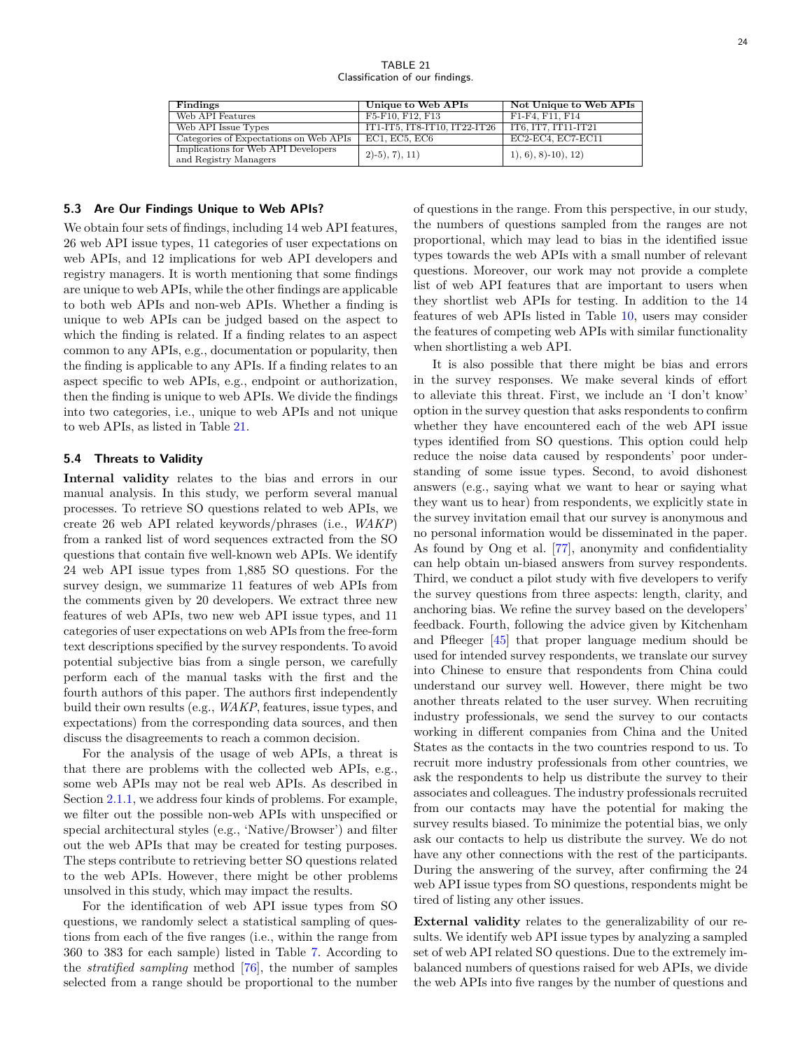TABLE 21 Classification of our findings.

<span id="page-23-0"></span>

| Findings                                                     | Unique to Web APIs           | Not Unique to Web APIs |
|--------------------------------------------------------------|------------------------------|------------------------|
| Web API Features                                             | F5-F10, F12, F13             | F1-F4, F11, F14        |
| Web API Issue Types                                          | IT1-IT5, IT8-IT10, IT22-IT26 | IT6, IT7, IT11-IT21    |
| Categories of Expectations on Web APIs                       | EC1, EC5, EC6                | $EC2-EC4, EC7-EC11$    |
| Implications for Web API Developers<br>and Registry Managers | $2(-5), 7), 11)$             | $1, 6, 8$ -10, 12)     |

#### **5.3 Are Our Findings Unique to Web APIs?**

We obtain four sets of findings, including 14 web API features, 26 web API issue types, 11 categories of user expectations on web APIs, and 12 implications for web API developers and registry managers. It is worth mentioning that some findings are unique to web APIs, while the other findings are applicable to both web APIs and non-web APIs. Whether a finding is unique to web APIs can be judged based on the aspect to which the finding is related. If a finding relates to an aspect common to any APIs, e.g., documentation or popularity, then the finding is applicable to any APIs. If a finding relates to an aspect specific to web APIs, e.g., endpoint or authorization, then the finding is unique to web APIs. We divide the findings into two categories, i.e., unique to web APIs and not unique to web APIs, as listed in Table [21.](#page-23-0)

## **5.4 Threats to Validity**

**Internal validity** relates to the bias and errors in our manual analysis. In this study, we perform several manual processes. To retrieve SO questions related to web APIs, we create 26 web API related keywords/phrases (i.e., *WAKP*) from a ranked list of word sequences extracted from the SO questions that contain five well-known web APIs. We identify 24 web API issue types from 1,885 SO questions. For the survey design, we summarize 11 features of web APIs from the comments given by 20 developers. We extract three new features of web APIs, two new web API issue types, and 11 categories of user expectations on web APIs from the free-form text descriptions specified by the survey respondents. To avoid potential subjective bias from a single person, we carefully perform each of the manual tasks with the first and the fourth authors of this paper. The authors first independently build their own results (e.g., *WAKP*, features, issue types, and expectations) from the corresponding data sources, and then discuss the disagreements to reach a common decision.

For the analysis of the usage of web APIs, a threat is that there are problems with the collected web APIs, e.g., some web APIs may not be real web APIs. As described in Section [2.1.1,](#page-2-5) we address four kinds of problems. For example, we filter out the possible non-web APIs with unspecified or special architectural styles (e.g., 'Native/Browser') and filter out the web APIs that may be created for testing purposes. The steps contribute to retrieving better SO questions related to the web APIs. However, there might be other problems unsolved in this study, which may impact the results.

For the identification of web API issue types from SO questions, we randomly select a statistical sampling of questions from each of the five ranges (i.e., within the range from 360 to 383 for each sample) listed in Table [7](#page-7-0). According to the *stratified sampling* method [\[76\]](#page-27-31), the number of samples selected from a range should be proportional to the number of questions in the range. From this perspective, in our study, the numbers of questions sampled from the ranges are not proportional, which may lead to bias in the identified issue types towards the web APIs with a small number of relevant questions. Moreover, our work may not provide a complete list of web API features that are important to users when they shortlist web APIs for testing. In addition to the 14 features of web APIs listed in Table [10](#page-11-1), users may consider the features of competing web APIs with similar functionality when shortlisting a web API.

It is also possible that there might be bias and errors in the survey responses. We make several kinds of effort to alleviate this threat. First, we include an 'I don't know' option in the survey question that asks respondents to confirm whether they have encountered each of the web API issue types identified from SO questions. This option could help reduce the noise data caused by respondents' poor understanding of some issue types. Second, to avoid dishonest answers (e.g., saying what we want to hear or saying what they want us to hear) from respondents, we explicitly state in the survey invitation email that our survey is anonymous and no personal information would be disseminated in the paper. As found by Ong et al. [[77](#page-27-32)], anonymity and confidentiality can help obtain un-biased answers from survey respondents. Third, we conduct a pilot study with five developers to verify the survey questions from three aspects: length, clarity, and anchoring bias. We refine the survey based on the developers' feedback. Fourth, following the advice given by Kitchenham and Pfleeger [\[45\]](#page-27-0) that proper language medium should be used for intended survey respondents, we translate our survey into Chinese to ensure that respondents from China could understand our survey well. However, there might be two another threats related to the user survey. When recruiting industry professionals, we send the survey to our contacts working in different companies from China and the United States as the contacts in the two countries respond to us. To recruit more industry professionals from other countries, we ask the respondents to help us distribute the survey to their associates and colleagues. The industry professionals recruited from our contacts may have the potential for making the survey results biased. To minimize the potential bias, we only ask our contacts to help us distribute the survey. We do not have any other connections with the rest of the participants. During the answering of the survey, after confirming the 24 web API issue types from SO questions, respondents might be tired of listing any other issues.

**External validity** relates to the generalizability of our results. We identify web API issue types by analyzing a sampled set of web API related SO questions. Due to the extremely imbalanced numbers of questions raised for web APIs, we divide the web APIs into five ranges by the number of questions and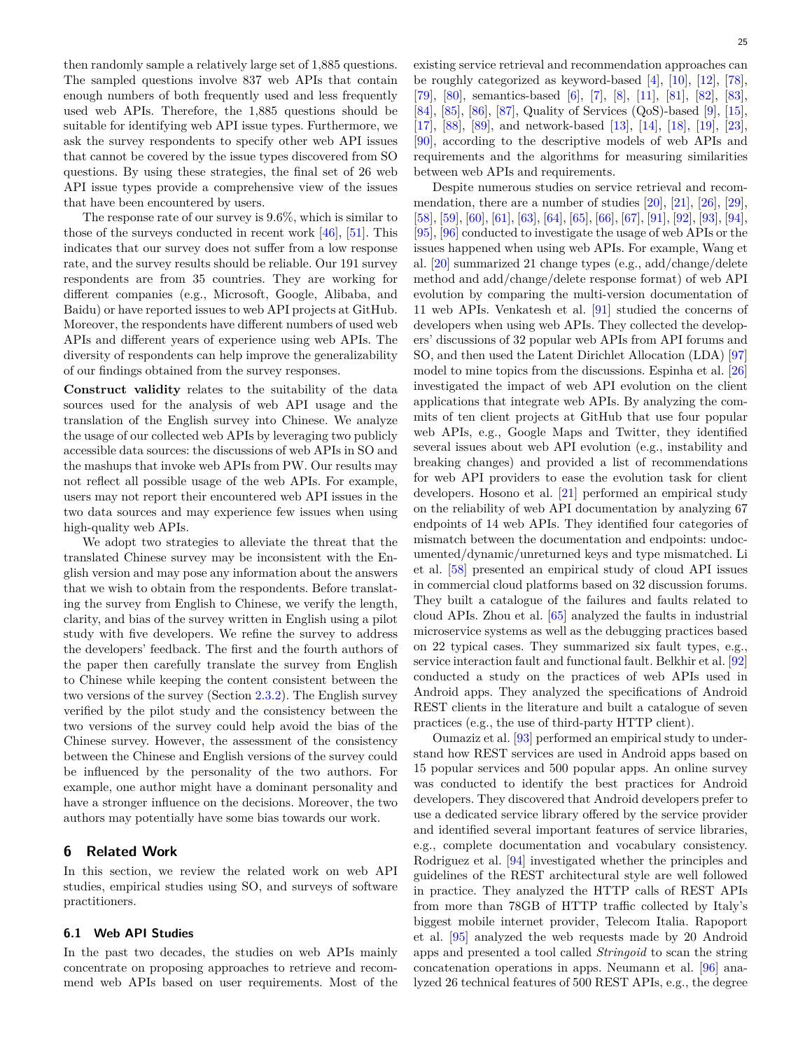then randomly sample a relatively large set of 1,885 questions. The sampled questions involve 837 web APIs that contain enough numbers of both frequently used and less frequently used web APIs. Therefore, the 1,885 questions should be suitable for identifying web API issue types. Furthermore, we ask the survey respondents to specify other web API issues that cannot be covered by the issue types discovered from SO questions. By using these strategies, the final set of 26 web API issue types provide a comprehensive view of the issues

that have been encountered by users. The response rate of our survey is 9.6%, which is similar to those of the surveys conducted in recent work  $[46]$ ,  $[51]$  $[51]$  $[51]$ . This indicates that our survey does not suffer from a low response rate, and the survey results should be reliable. Our 191 survey respondents are from 35 countries. They are working for different companies (e.g., Microsoft, Google, Alibaba, and Baidu) or have reported issues to web API projects at GitHub. Moreover, the respondents have different numbers of used web APIs and different years of experience using web APIs. The diversity of respondents can help improve the generalizability of our findings obtained from the survey responses.

**Construct validity** relates to the suitability of the data sources used for the analysis of web API usage and the translation of the English survey into Chinese. We analyze the usage of our collected web APIs by leveraging two publicly accessible data sources: the discussions of web APIs in SO and the mashups that invoke web APIs from PW. Our results may not reflect all possible usage of the web APIs. For example, users may not report their encountered web API issues in the two data sources and may experience few issues when using high-quality web APIs.

We adopt two strategies to alleviate the threat that the translated Chinese survey may be inconsistent with the English version and may pose any information about the answers that we wish to obtain from the respondents. Before translating the survey from English to Chinese, we verify the length, clarity, and bias of the survey written in English using a pilot study with five developers. We refine the survey to address the developers' feedback. The first and the fourth authors of the paper then carefully translate the survey from English to Chinese while keeping the content consistent between the two versions of the survey (Section [2.3.2](#page-9-2)). The English survey verified by the pilot study and the consistency between the two versions of the survey could help avoid the bias of the Chinese survey. However, the assessment of the consistency between the Chinese and English versions of the survey could be influenced by the personality of the two authors. For example, one author might have a dominant personality and have a stronger influence on the decisions. Moreover, the two authors may potentially have some bias towards our work.

## <span id="page-24-0"></span>**6 Related Work**

In this section, we review the related work on web API studies, empirical studies using SO, and surveys of software practitioners.

## **6.1 Web API Studies**

In the past two decades, the studies on web APIs mainly concentrate on proposing approaches to retrieve and recommend web APIs based on user requirements. Most of the existing service retrieval and recommendation approaches can be roughly categorized as keyword-based [\[4](#page-26-3)], [[10](#page-26-9)], [\[12\]](#page-26-11), [\[78\]](#page-27-33), [[79](#page-27-34)], [[80](#page-27-35)], semantics-based [\[6\]](#page-26-5), [[7](#page-26-6)], [\[8\]](#page-26-7), [[11](#page-26-10)], [[81](#page-27-36)], [\[82\]](#page-27-37), [\[83\]](#page-27-38), [[84](#page-27-39)], [\[85\]](#page-27-40), [[86](#page-27-41)], [[87](#page-27-42)], Quality of Services (QoS)-based [\[9](#page-26-8)], [\[15\]](#page-26-14), [[17](#page-26-16)], [\[88\]](#page-28-0), [[89](#page-28-1)], and network-based [[13](#page-26-12)], [\[14\]](#page-26-13), [[18](#page-26-17)], [[19](#page-26-18)], [\[23\]](#page-26-22), [[90](#page-28-2)], according to the descriptive models of web APIs and requirements and the algorithms for measuring similarities between web APIs and requirements.

Despite numerous studies on service retrieval and recommendation, there are a number of studies [\[20\]](#page-26-19), [\[21\]](#page-26-20), [[26](#page-26-25)], [\[29\]](#page-26-28), [[58](#page-27-13)], [\[59\]](#page-27-14), [[60](#page-27-15)], [\[61\]](#page-27-16), [[63](#page-27-18)], [\[64\]](#page-27-19), [[65](#page-27-20)], [\[66\]](#page-27-21), [\[67\]](#page-27-22), [[91](#page-28-3)], [\[92\]](#page-28-4), [[93](#page-28-5)], [\[94\]](#page-28-6), [[95](#page-28-7)], [\[96\]](#page-28-8) conducted to investigate the usage of web APIs or the issues happened when using web APIs. For example, Wang et al. [[20](#page-26-19)] summarized 21 change types (e.g., add/change/delete method and add/change/delete response format) of web API evolution by comparing the multi-version documentation of 11 web APIs. Venkatesh et al. [[91](#page-28-3)] studied the concerns of developers when using web APIs. They collected the developers' discussions of 32 popular web APIs from API forums and SO, and then used the Latent Dirichlet Allocation (LDA) [[97](#page-28-9)] model to mine topics from the discussions. Espinha et al. [[26](#page-26-25)] investigated the impact of web API evolution on the client applications that integrate web APIs. By analyzing the commits of ten client projects at GitHub that use four popular web APIs, e.g., Google Maps and Twitter, they identified several issues about web API evolution (e.g., instability and breaking changes) and provided a list of recommendations for web API providers to ease the evolution task for client developers. Hosono et al. [[21](#page-26-20)] performed an empirical study on the reliability of web API documentation by analyzing 67 endpoints of 14 web APIs. They identified four categories of mismatch between the documentation and endpoints: undocumented/dynamic/unreturned keys and type mismatched. Li et al. [\[58\]](#page-27-13) presented an empirical study of cloud API issues in commercial cloud platforms based on 32 discussion forums. They built a catalogue of the failures and faults related to cloud APIs. Zhou et al. [[65](#page-27-20)] analyzed the faults in industrial microservice systems as well as the debugging practices based on 22 typical cases. They summarized six fault types, e.g., service interaction fault and functional fault. Belkhir et al. [[92](#page-28-4)] conducted a study on the practices of web APIs used in Android apps. They analyzed the specifications of Android REST clients in the literature and built a catalogue of seven practices (e.g., the use of third-party HTTP client).

Oumaziz et al. [[93](#page-28-5)] performed an empirical study to understand how REST services are used in Android apps based on 15 popular services and 500 popular apps. An online survey was conducted to identify the best practices for Android developers. They discovered that Android developers prefer to use a dedicated service library offered by the service provider and identified several important features of service libraries, e.g., complete documentation and vocabulary consistency. Rodriguez et al. [[94](#page-28-6)] investigated whether the principles and guidelines of the REST architectural style are well followed in practice. They analyzed the HTTP calls of REST APIs from more than 78GB of HTTP traffic collected by Italy's biggest mobile internet provider, Telecom Italia. Rapoport et al. [\[95\]](#page-28-7) analyzed the web requests made by 20 Android apps and presented a tool called *Stringoid* to scan the string concatenation operations in apps. Neumann et al. [\[96\]](#page-28-8) analyzed 26 technical features of 500 REST APIs, e.g., the degree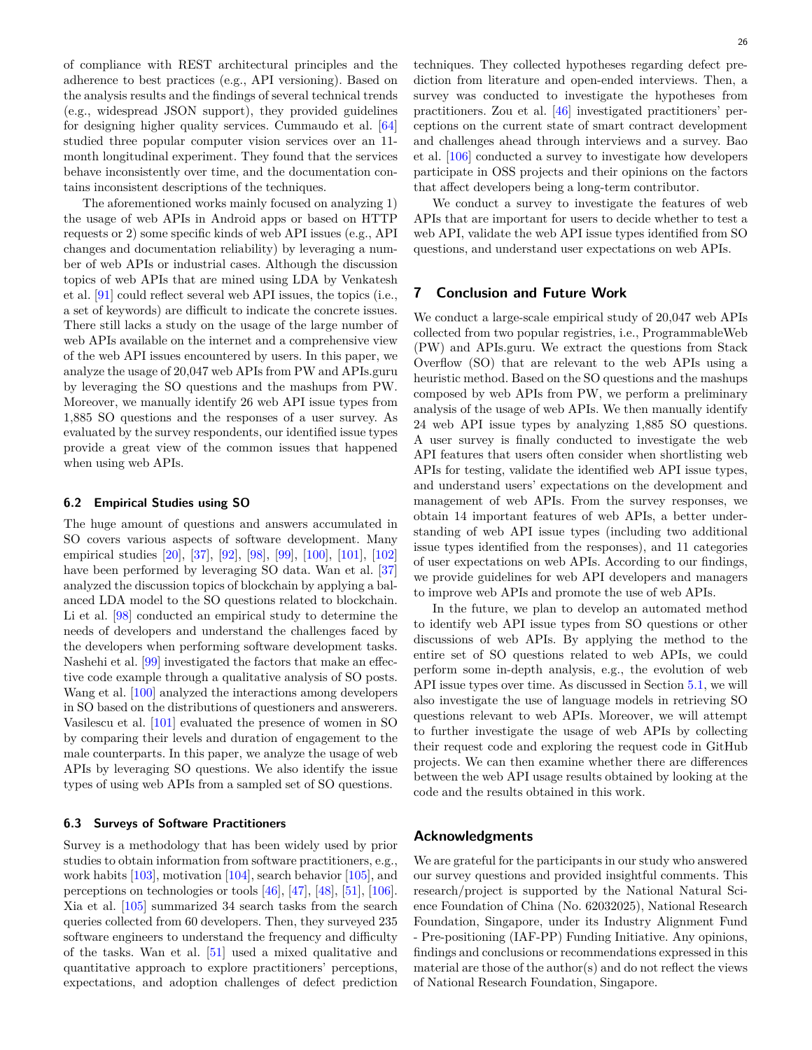of compliance with REST architectural principles and the adherence to best practices (e.g., API versioning). Based on the analysis results and the findings of several technical trends (e.g., widespread JSON support), they provided guidelines for designing higher quality services. Cummaudo et al. [[64](#page-27-19)] studied three popular computer vision services over an 11 month longitudinal experiment. They found that the services behave inconsistently over time, and the documentation contains inconsistent descriptions of the techniques.

The aforementioned works mainly focused on analyzing 1) the usage of web APIs in Android apps or based on HTTP requests or 2) some specific kinds of web API issues (e.g., API changes and documentation reliability) by leveraging a number of web APIs or industrial cases. Although the discussion topics of web APIs that are mined using LDA by Venkatesh et al. [[91](#page-28-3)] could reflect several web API issues, the topics (i.e., a set of keywords) are difficult to indicate the concrete issues. There still lacks a study on the usage of the large number of web APIs available on the internet and a comprehensive view of the web API issues encountered by users. In this paper, we analyze the usage of 20,047 web APIs from PW and APIs.guru by leveraging the SO questions and the mashups from PW. Moreover, we manually identify 26 web API issue types from 1,885 SO questions and the responses of a user survey. As evaluated by the survey respondents, our identified issue types provide a great view of the common issues that happened when using web APIs.

#### **6.2 Empirical Studies using SO**

The huge amount of questions and answers accumulated in SO covers various aspects of software development. Many empirical studies [[20](#page-26-19)], [\[37\]](#page-26-36), [\[92\]](#page-28-4), [[98](#page-28-10)], [[99](#page-28-11)], [\[100](#page-28-12)], [\[101](#page-28-13)], [\[102](#page-28-14)] have been performed by leveraging SO data. Wan et al. [[37](#page-26-36)] analyzed the discussion topics of blockchain by applying a balanced LDA model to the SO questions related to blockchain. Li et al. [[98](#page-28-10)] conducted an empirical study to determine the needs of developers and understand the challenges faced by the developers when performing software development tasks. Nashehi et al. [\[99\]](#page-28-11) investigated the factors that make an effective code example through a qualitative analysis of SO posts. Wang et al. [[100](#page-28-12)] analyzed the interactions among developers in SO based on the distributions of questioners and answerers. Vasilescu et al. [[101](#page-28-13)] evaluated the presence of women in SO by comparing their levels and duration of engagement to the male counterparts. In this paper, we analyze the usage of web APIs by leveraging SO questions. We also identify the issue types of using web APIs from a sampled set of SO questions.

#### **6.3 Surveys of Software Practitioners**

Survey is a methodology that has been widely used by prior studies to obtain information from software practitioners, e.g., work habits [[103](#page-28-15)], motivation [\[104\]](#page-28-16), search behavior [[105](#page-28-17)], and perceptions on technologies or tools [[46](#page-27-1)], [\[47\]](#page-27-2), [\[48\]](#page-27-3), [\[51\]](#page-27-6), [\[106\]](#page-28-18). Xia et al. [[105](#page-28-17)] summarized 34 search tasks from the search queries collected from 60 developers. Then, they surveyed 235 software engineers to understand the frequency and difficulty of the tasks. Wan et al. [\[51\]](#page-27-6) used a mixed qualitative and quantitative approach to explore practitioners' perceptions, expectations, and adoption challenges of defect prediction

techniques. They collected hypotheses regarding defect prediction from literature and open-ended interviews. Then, a survey was conducted to investigate the hypotheses from practitioners. Zou et al. [\[46\]](#page-27-1) investigated practitioners' perceptions on the current state of smart contract development and challenges ahead through interviews and a survey. Bao et al. [[106](#page-28-18)] conducted a survey to investigate how developers participate in OSS projects and their opinions on the factors that affect developers being a long-term contributor.

We conduct a survey to investigate the features of web APIs that are important for users to decide whether to test a web API, validate the web API issue types identified from SO questions, and understand user expectations on web APIs.

## <span id="page-25-0"></span>**7 Conclusion and Future Work**

We conduct a large-scale empirical study of 20,047 web APIs collected from two popular registries, i.e., ProgrammableWeb (PW) and APIs.guru. We extract the questions from Stack Overflow (SO) that are relevant to the web APIs using a heuristic method. Based on the SO questions and the mashups composed by web APIs from PW, we perform a preliminary analysis of the usage of web APIs. We then manually identify 24 web API issue types by analyzing 1,885 SO questions. A user survey is finally conducted to investigate the web API features that users often consider when shortlisting web APIs for testing, validate the identified web API issue types, and understand users' expectations on the development and management of web APIs. From the survey responses, we obtain 14 important features of web APIs, a better understanding of web API issue types (including two additional issue types identified from the responses), and 11 categories of user expectations on web APIs. According to our findings, we provide guidelines for web API developers and managers to improve web APIs and promote the use of web APIs.

In the future, we plan to develop an automated method to identify web API issue types from SO questions or other discussions of web APIs. By applying the method to the entire set of SO questions related to web APIs, we could perform some in-depth analysis, e.g., the evolution of web API issue types over time. As discussed in Section [5.1,](#page-22-2) we will also investigate the use of language models in retrieving SO questions relevant to web APIs. Moreover, we will attempt to further investigate the usage of web APIs by collecting their request code and exploring the request code in GitHub projects. We can then examine whether there are differences between the web API usage results obtained by looking at the code and the results obtained in this work.

## **Acknowledgments**

We are grateful for the participants in our study who answered our survey questions and provided insightful comments. This research/project is supported by the National Natural Science Foundation of China (No. 62032025), National Research Foundation, Singapore, under its Industry Alignment Fund - Pre-positioning (IAF-PP) Funding Initiative. Any opinions, findings and conclusions or recommendations expressed in this material are those of the author(s) and do not reflect the views of National Research Foundation, Singapore.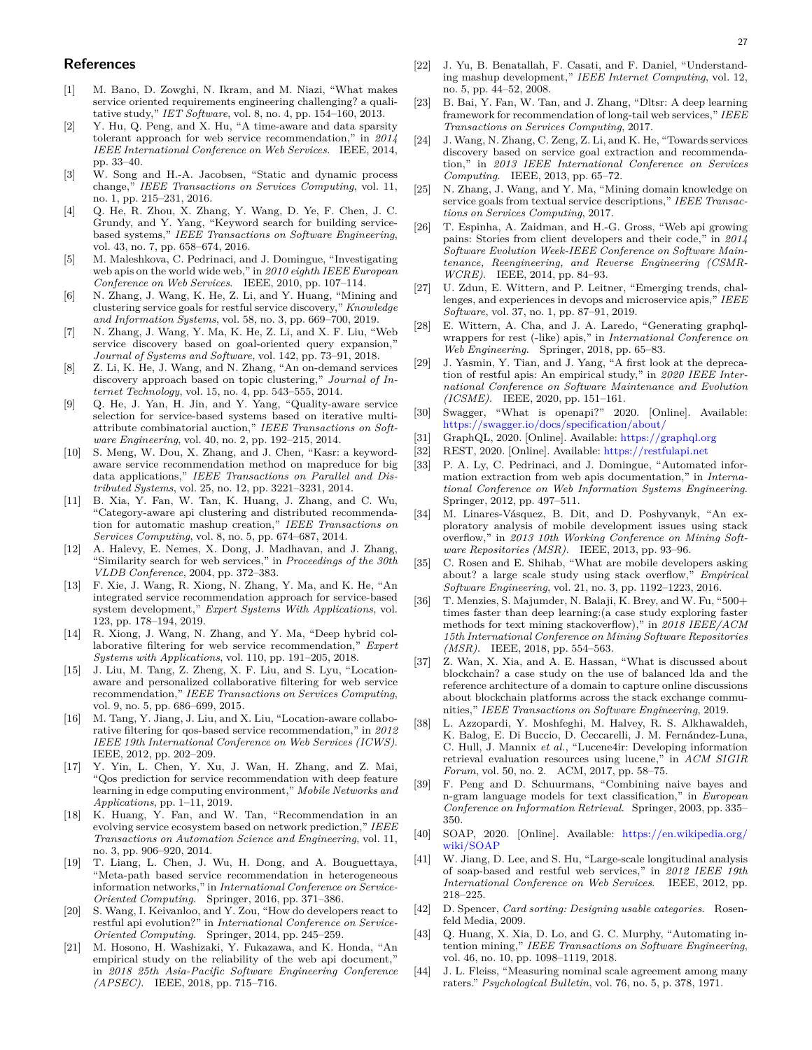## **References**

- <span id="page-26-0"></span>[1] M. Bano, D. Zowghi, N. Ikram, and M. Niazi, "What makes service oriented requirements engineering challenging? a qualitative study," *IET Software*, vol. 8, no. 4, pp. 154–160, 2013.
- <span id="page-26-1"></span>[2] Y. Hu, Q. Peng, and X. Hu, "A time-aware and data sparsity tolerant approach for web service recommendation," in *2014 IEEE International Conference on Web Services*. IEEE, 2014, pp. 33–40.
- <span id="page-26-2"></span>[3] W. Song and H.-A. Jacobsen, "Static and dynamic process change," *IEEE Transactions on Services Computing*, vol. 11, no. 1, pp. 215–231, 2016.
- <span id="page-26-3"></span>[4] Q. He, R. Zhou, X. Zhang, Y. Wang, D. Ye, F. Chen, J. C. Grundy, and Y. Yang, "Keyword search for building servicebased systems," *IEEE Transactions on Software Engineering*, vol. 43, no. 7, pp. 658–674, 2016.
- <span id="page-26-4"></span>[5] M. Maleshkova, C. Pedrinaci, and J. Domingue, "Investigating web apis on the world wide web," in *2010 eighth IEEE European Conference on Web Services*. IEEE, 2010, pp. 107–114.
- <span id="page-26-5"></span>[6] N. Zhang, J. Wang, K. He, Z. Li, and Y. Huang, "Mining and clustering service goals for restful service discovery," *Knowledge and Information Systems*, vol. 58, no. 3, pp. 669–700, 2019.
- <span id="page-26-6"></span>[7] N. Zhang, J. Wang, Y. Ma, K. He, Z. Li, and X. F. Liu, "Web service discovery based on goal-oriented query expansion," *Journal of Systems and Software*, vol. 142, pp. 73–91, 2018.
- <span id="page-26-7"></span>[8] Z. Li, K. He, J. Wang, and N. Zhang, "An on-demand services discovery approach based on topic clustering," *Journal of Internet Technology*, vol. 15, no. 4, pp. 543–555, 2014.
- <span id="page-26-8"></span>[9] Q. He, J. Yan, H. Jin, and Y. Yang, "Quality-aware service selection for service-based systems based on iterative multiattribute combinatorial auction," *IEEE Transactions on Software Engineering*, vol. 40, no. 2, pp. 192–215, 2014.
- <span id="page-26-9"></span>[10] S. Meng, W. Dou, X. Zhang, and J. Chen, "Kasr: a keywordaware service recommendation method on mapreduce for big data applications," *IEEE Transactions on Parallel and Distributed Systems*, vol. 25, no. 12, pp. 3221–3231, 2014.
- <span id="page-26-10"></span>[11] B. Xia, Y. Fan, W. Tan, K. Huang, J. Zhang, and C. Wu, "Category-aware api clustering and distributed recommendation for automatic mashup creation," *IEEE Transactions on Services Computing*, vol. 8, no. 5, pp. 674–687, 2014.
- <span id="page-26-11"></span>[12] A. Halevy, E. Nemes, X. Dong, J. Madhavan, and J. Zhang, "Similarity search for web services," in *Proceedings of the 30th VLDB Conference*, 2004, pp. 372–383.
- <span id="page-26-12"></span>[13] F. Xie, J. Wang, R. Xiong, N. Zhang, Y. Ma, and K. He, "An integrated service recommendation approach for service-based system development," *Expert Systems With Applications*, vol. 123, pp. 178–194, 2019.
- <span id="page-26-13"></span>[14] R. Xiong, J. Wang, N. Zhang, and Y. Ma, "Deep hybrid collaborative filtering for web service recommendation," *Expert Systems with Applications*, vol. 110, pp. 191–205, 2018.
- <span id="page-26-14"></span>[15] J. Liu, M. Tang, Z. Zheng, X. F. Liu, and S. Lyu, "Locationaware and personalized collaborative filtering for web service recommendation," *IEEE Transactions on Services Computing*, vol. 9, no. 5, pp. 686–699, 2015.
- <span id="page-26-15"></span>[16] M. Tang, Y. Jiang, J. Liu, and X. Liu, "Location-aware collaborative filtering for qos-based service recommendation," in *2012 IEEE 19th International Conference on Web Services (ICWS)*. IEEE, 2012, pp. 202–209.
- <span id="page-26-16"></span>[17] Y. Yin, L. Chen, Y. Xu, J. Wan, H. Zhang, and Z. Mai, "Qos prediction for service recommendation with deep feature learning in edge computing environment," *Mobile Networks and Applications*, pp. 1–11, 2019.
- <span id="page-26-17"></span>[18] K. Huang, Y. Fan, and W. Tan, "Recommendation in an evolving service ecosystem based on network prediction," *IEEE Transactions on Automation Science and Engineering*, vol. 11, no. 3, pp. 906–920, 2014.
- <span id="page-26-18"></span>[19] T. Liang, L. Chen, J. Wu, H. Dong, and A. Bouguettaya, "Meta-path based service recommendation in heterogeneous information networks," in *International Conference on Service-Oriented Computing*. Springer, 2016, pp. 371–386.
- <span id="page-26-19"></span>[20] S. Wang, I. Keivanloo, and Y. Zou, "How do developers react to restful api evolution?" in *International Conference on Service-Oriented Computing*. Springer, 2014, pp. 245–259.
- <span id="page-26-20"></span>[21] M. Hosono, H. Washizaki, Y. Fukazawa, and K. Honda, "An empirical study on the reliability of the web api document," in *2018 25th Asia-Pacific Software Engineering Conference (APSEC)*. IEEE, 2018, pp. 715–716.
- <span id="page-26-21"></span>[22] J. Yu, B. Benatallah, F. Casati, and F. Daniel, "Understanding mashup development," *IEEE Internet Computing*, vol. 12, no. 5, pp. 44–52, 2008.
- <span id="page-26-22"></span>[23] B. Bai, Y. Fan, W. Tan, and J. Zhang, "Dltsr: A deep learning framework for recommendation of long-tail web services," *IEEE Transactions on Services Computing*, 2017.
- <span id="page-26-23"></span>[24] J. Wang, N. Zhang, C. Zeng, Z. Li, and K. He, "Towards services discovery based on service goal extraction and recommendation," in *2013 IEEE International Conference on Services Computing*. IEEE, 2013, pp. 65–72.
- <span id="page-26-24"></span>[25] N. Zhang, J. Wang, and Y. Ma, "Mining domain knowledge on service goals from textual service descriptions," *IEEE Transactions on Services Computing*, 2017.
- <span id="page-26-25"></span>[26] T. Espinha, A. Zaidman, and H.-G. Gross, "Web api growing pains: Stories from client developers and their code," in *2014 Software Evolution Week-IEEE Conference on Software Maintenance, Reengineering, and Reverse Engineering (CSMR-WCRE)*. IEEE, 2014, pp. 84–93.
- <span id="page-26-26"></span>[27] U. Zdun, E. Wittern, and P. Leitner, "Emerging trends, challenges, and experiences in devops and microservice apis," *IEEE Software*, vol. 37, no. 1, pp. 87–91, 2019.
- <span id="page-26-27"></span>[28] E. Wittern, A. Cha, and J. A. Laredo, "Generating graphqlwrappers for rest (-like) apis," in *International Conference on Web Engineering*. Springer, 2018, pp. 65–83.
- <span id="page-26-28"></span>[29] J. Yasmin, Y. Tian, and J. Yang, "A first look at the deprecation of restful apis: An empirical study," in *2020 IEEE International Conference on Software Maintenance and Evolution (ICSME)*. IEEE, 2020, pp. 151–161.
- <span id="page-26-29"></span>[30] Swagger, "What is openapi?" 2020. [Online]. Available: <https://swagger.io/docs/specification/about/>
- <span id="page-26-30"></span>[31] GraphQL, 2020. [Online]. Available: <https://graphql.org>
- <span id="page-26-31"></span>[32] REST, 2020. [Online]. Available: <https://restfulapi.net>
- <span id="page-26-32"></span>[33] P. A. Ly, C. Pedrinaci, and J. Domingue, "Automated information extraction from web apis documentation," in *International Conference on Web Information Systems Engineering*. Springer, 2012, pp. 497–511.
- <span id="page-26-33"></span>[34] M. Linares-Vásquez, B. Dit, and D. Poshyvanyk, "An exploratory analysis of mobile development issues using stack overflow," in *2013 10th Working Conference on Mining Software Repositories (MSR)*. IEEE, 2013, pp. 93–96.
- <span id="page-26-34"></span>[35] C. Rosen and E. Shihab, "What are mobile developers asking about? a large scale study using stack overflow," *Empirical Software Engineering*, vol. 21, no. 3, pp. 1192–1223, 2016.
- <span id="page-26-35"></span>[36] T. Menzies, S. Majumder, N. Balaji, K. Brey, and W. Fu, "500+ times faster than deep learning:(a case study exploring faster methods for text mining stackoverflow)," in *2018 IEEE/ACM 15th International Conference on Mining Software Repositories (MSR)*. IEEE, 2018, pp. 554–563.
- <span id="page-26-36"></span>[37] Z. Wan, X. Xia, and A. E. Hassan, "What is discussed about blockchain? a case study on the use of balanced lda and the reference architecture of a domain to capture online discussions about blockchain platforms across the stack exchange communities," *IEEE Transactions on Software Engineering*, 2019.
- <span id="page-26-37"></span>[38] L. Azzopardi, Y. Moshfeghi, M. Halvey, R. S. Alkhawaldeh, K. Balog, E. Di Buccio, D. Ceccarelli, J. M. Fernández-Luna, C. Hull, J. Mannix *et al.*, "Lucene4ir: Developing information retrieval evaluation resources using lucene," in *ACM SIGIR Forum*, vol. 50, no. 2. ACM, 2017, pp. 58–75.
- <span id="page-26-38"></span>[39] F. Peng and D. Schuurmans, "Combining naive bayes and n-gram language models for text classification," in *European Conference on Information Retrieval*. Springer, 2003, pp. 335– 350.
- <span id="page-26-39"></span>[40] SOAP, 2020. [Online]. Available: [https://en.wikipedia.org/](https://en.wikipedia.org/wiki/SOAP) [wiki/SOAP](https://en.wikipedia.org/wiki/SOAP)
- <span id="page-26-40"></span>[41] W. Jiang, D. Lee, and S. Hu, "Large-scale longitudinal analysis of soap-based and restful web services," in *2012 IEEE 19th International Conference on Web Services*. IEEE, 2012, pp. 218–225.
- <span id="page-26-41"></span>[42] D. Spencer, *Card sorting: Designing usable categories*. Rosenfeld Media, 2009.
- <span id="page-26-42"></span>[43] Q. Huang, X. Xia, D. Lo, and G. C. Murphy, "Automating intention mining," *IEEE Transactions on Software Engineering*, vol. 46, no. 10, pp. 1098–1119, 2018.
- <span id="page-26-43"></span>[44] J. L. Fleiss, "Measuring nominal scale agreement among many raters." *Psychological Bulletin*, vol. 76, no. 5, p. 378, 1971.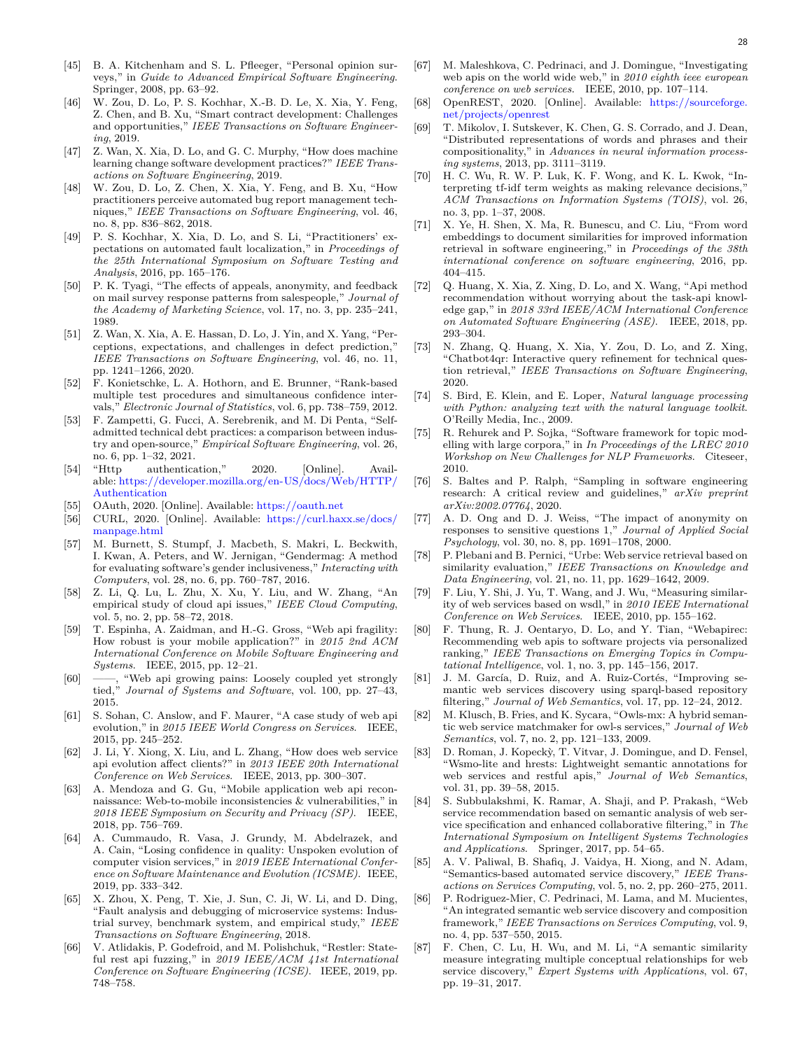- <span id="page-27-0"></span>[45] B. A. Kitchenham and S. L. Pfleeger, "Personal opinion surveys," in *Guide to Advanced Empirical Software Engineering*. Springer, 2008, pp. 63–92.
- <span id="page-27-1"></span>[46] W. Zou, D. Lo, P. S. Kochhar, X.-B. D. Le, X. Xia, Y. Feng, Z. Chen, and B. Xu, "Smart contract development: Challenges and opportunities," *IEEE Transactions on Software Engineering*, 2019.
- <span id="page-27-2"></span>[47] Z. Wan, X. Xia, D. Lo, and G. C. Murphy, "How does machine learning change software development practices?" *IEEE Transactions on Software Engineering*, 2019.
- <span id="page-27-3"></span>[48] W. Zou, D. Lo, Z. Chen, X. Xia, Y. Feng, and B. Xu, "How practitioners perceive automated bug report management techniques," *IEEE Transactions on Software Engineering*, vol. 46, no. 8, pp. 836–862, 2018.
- <span id="page-27-4"></span>[49] P. S. Kochhar, X. Xia, D. Lo, and S. Li, "Practitioners' expectations on automated fault localization," in *Proceedings of the 25th International Symposium on Software Testing and Analysis*, 2016, pp. 165–176.
- <span id="page-27-5"></span>[50] P. K. Tyagi, "The effects of appeals, anonymity, and feedback on mail survey response patterns from salespeople," *Journal of the Academy of Marketing Science*, vol. 17, no. 3, pp. 235–241, 1989.
- <span id="page-27-6"></span>[51] Z. Wan, X. Xia, A. E. Hassan, D. Lo, J. Yin, and X. Yang, "Perceptions, expectations, and challenges in defect prediction," *IEEE Transactions on Software Engineering*, vol. 46, no. 11, pp. 1241–1266, 2020.
- <span id="page-27-7"></span>[52] F. Konietschke, L. A. Hothorn, and E. Brunner, "Rank-based multiple test procedures and simultaneous confidence intervals," *Electronic Journal of Statistics*, vol. 6, pp. 738–759, 2012.
- <span id="page-27-8"></span>[53] F. Zampetti, G. Fucci, A. Serebrenik, and M. Di Penta, "Selfadmitted technical debt practices: a comparison between industry and open-source," *Empirical Software Engineering*, vol. 26, no. 6, pp. 1–32, 2021.
- <span id="page-27-9"></span>[54] "Http authentication," 2020. [Online]. Available: [https://developer.mozilla.org/en-US/docs/Web/HTTP/](https://developer.mozilla.org/en-US/docs/Web/HTTP/Authentication) [Authentication](https://developer.mozilla.org/en-US/docs/Web/HTTP/Authentication)
- <span id="page-27-10"></span>[55] OAuth, 2020. [Online]. Available: <https://oauth.net>
- <span id="page-27-11"></span>[56] CURL, 2020. [Online]. Available: [https://curl.haxx.se/docs/](https://curl.haxx.se/docs/manpage.html) [manpage.html](https://curl.haxx.se/docs/manpage.html)
- <span id="page-27-12"></span>[57] M. Burnett, S. Stumpf, J. Macbeth, S. Makri, L. Beckwith, I. Kwan, A. Peters, and W. Jernigan, "Gendermag: A method for evaluating software's gender inclusiveness," *Interacting with Computers*, vol. 28, no. 6, pp. 760–787, 2016.
- <span id="page-27-13"></span>[58] Z. Li, Q. Lu, L. Zhu, X. Xu, Y. Liu, and W. Zhang, "An empirical study of cloud api issues," *IEEE Cloud Computing*, vol. 5, no. 2, pp. 58–72, 2018.
- <span id="page-27-14"></span>[59] T. Espinha, A. Zaidman, and H.-G. Gross, "Web api fragility: How robust is your mobile application?" in *2015 2nd ACM International Conference on Mobile Software Engineering and Systems*. IEEE, 2015, pp. 12–21.
- <span id="page-27-15"></span>[60] ——, "Web api growing pains: Loosely coupled yet strongly tied," *Journal of Systems and Software*, vol. 100, pp. 27–43, 2015.
- <span id="page-27-16"></span>[61] S. Sohan, C. Anslow, and F. Maurer, "A case study of web api evolution," in *2015 IEEE World Congress on Services*. IEEE, 2015, pp. 245–252.
- <span id="page-27-17"></span>[62] J. Li, Y. Xiong, X. Liu, and L. Zhang, "How does web service api evolution affect clients?" in *2013 IEEE 20th International Conference on Web Services*. IEEE, 2013, pp. 300–307.
- <span id="page-27-18"></span>[63] A. Mendoza and G. Gu, "Mobile application web api reconnaissance: Web-to-mobile inconsistencies & vulnerabilities," in *2018 IEEE Symposium on Security and Privacy (SP)*. IEEE, 2018, pp. 756–769.
- <span id="page-27-19"></span>[64] A. Cummaudo, R. Vasa, J. Grundy, M. Abdelrazek, and A. Cain, "Losing confidence in quality: Unspoken evolution of computer vision services," in *2019 IEEE International Conference on Software Maintenance and Evolution (ICSME)*. IEEE, 2019, pp. 333–342.
- <span id="page-27-20"></span>[65] X. Zhou, X. Peng, T. Xie, J. Sun, C. Ji, W. Li, and D. Ding, "Fault analysis and debugging of microservice systems: Industrial survey, benchmark system, and empirical study," *IEEE Transactions on Software Engineering*, 2018.
- <span id="page-27-21"></span>[66] V. Atlidakis, P. Godefroid, and M. Polishchuk, "Restler: Stateful rest api fuzzing," in *2019 IEEE/ACM 41st International Conference on Software Engineering (ICSE)*. IEEE, 2019, pp. 748–758.
- <span id="page-27-22"></span>[67] M. Maleshkova, C. Pedrinaci, and J. Domingue, "Investigating web apis on the world wide web," in *2010 eighth ieee european conference on web services*. IEEE, 2010, pp. 107–114.
- <span id="page-27-23"></span>[68] OpenREST, 2020. [Online]. Available: [https://sourceforge.](https://sourceforge.net/projects/openrest) [net/projects/openrest](https://sourceforge.net/projects/openrest)
- <span id="page-27-24"></span>[69] T. Mikolov, I. Sutskever, K. Chen, G. S. Corrado, and J. Dean, "Distributed representations of words and phrases and their compositionality," in *Advances in neural information processing systems*, 2013, pp. 3111–3119.
- <span id="page-27-25"></span>[70] H. C. Wu, R. W. P. Luk, K. F. Wong, and K. L. Kwok, "Interpreting tf-idf term weights as making relevance decisions," *ACM Transactions on Information Systems (TOIS)*, vol. 26, no. 3, pp. 1–37, 2008.
- <span id="page-27-26"></span>[71] X. Ye, H. Shen, X. Ma, R. Bunescu, and C. Liu, "From word embeddings to document similarities for improved information retrieval in software engineering," in *Proceedings of the 38th international conference on software engineering*, 2016, pp. 404–415.
- <span id="page-27-27"></span>[72] Q. Huang, X. Xia, Z. Xing, D. Lo, and X. Wang, "Api method recommendation without worrying about the task-api knowledge gap," in *2018 33rd IEEE/ACM International Conference on Automated Software Engineering (ASE)*. IEEE, 2018, pp. 293–304.
- <span id="page-27-28"></span>[73] N. Zhang, Q. Huang, X. Xia, Y. Zou, D. Lo, and Z. Xing, "Chatbot4qr: Interactive query refinement for technical question retrieval," *IEEE Transactions on Software Engineering*, 2020.
- <span id="page-27-29"></span>[74] S. Bird, E. Klein, and E. Loper, *Natural language processing with Python: analyzing text with the natural language toolkit*. O'Reilly Media, Inc., 2009.
- <span id="page-27-30"></span>[75] R. Rehurek and P. Sojka, "Software framework for topic modelling with large corpora," in *In Proceedings of the LREC 2010 Workshop on New Challenges for NLP Frameworks*. Citeseer, 2010.
- <span id="page-27-31"></span>[76] S. Baltes and P. Ralph, "Sampling in software engineering research: A critical review and guidelines," *arXiv preprint arXiv:2002.07764*, 2020.
- <span id="page-27-32"></span>[77] A. D. Ong and D. J. Weiss, "The impact of anonymity on responses to sensitive questions 1," *Journal of Applied Social Psychology*, vol. 30, no. 8, pp. 1691–1708, 2000.
- <span id="page-27-33"></span>[78] P. Plebani and B. Pernici, "Urbe: Web service retrieval based on similarity evaluation," *IEEE Transactions on Knowledge and Data Engineering*, vol. 21, no. 11, pp. 1629–1642, 2009.
- <span id="page-27-34"></span>[79] F. Liu, Y. Shi, J. Yu, T. Wang, and J. Wu, "Measuring similarity of web services based on wsdl," in *2010 IEEE International Conference on Web Services*. IEEE, 2010, pp. 155–162.
- <span id="page-27-35"></span>[80] F. Thung, R. J. Oentaryo, D. Lo, and Y. Tian, "Webapirec: Recommending web apis to software projects via personalized ranking," *IEEE Transactions on Emerging Topics in Computational Intelligence*, vol. 1, no. 3, pp. 145–156, 2017.
- <span id="page-27-36"></span>[81] J. M. García, D. Ruiz, and A. Ruiz-Cortés, "Improving semantic web services discovery using sparql-based repository filtering," *Journal of Web Semantics*, vol. 17, pp. 12–24, 2012.
- <span id="page-27-37"></span>[82] M. Klusch, B. Fries, and K. Sycara, "Owls-mx: A hybrid semantic web service matchmaker for owl-s services," *Journal of Web Semantics*, vol. 7, no. 2, pp. 121–133, 2009.
- <span id="page-27-38"></span>[83] D. Roman, J. Kopeckỳ, T. Vitvar, J. Domingue, and D. Fensel, "Wsmo-lite and hrests: Lightweight semantic annotations for web services and restful apis," *Journal of Web Semantics*, vol. 31, pp. 39–58, 2015.
- <span id="page-27-39"></span>[84] S. Subbulakshmi, K. Ramar, A. Shaji, and P. Prakash, "Web service recommendation based on semantic analysis of web service specification and enhanced collaborative filtering," in *The International Symposium on Intelligent Systems Technologies and Applications*. Springer, 2017, pp. 54–65.
- <span id="page-27-40"></span>[85] A. V. Paliwal, B. Shafiq, J. Vaidya, H. Xiong, and N. Adam, "Semantics-based automated service discovery," *IEEE Transactions on Services Computing*, vol. 5, no. 2, pp. 260–275, 2011.
- <span id="page-27-41"></span>[86] P. Rodriguez-Mier, C. Pedrinaci, M. Lama, and M. Mucientes, "An integrated semantic web service discovery and composition framework," *IEEE Transactions on Services Computing*, vol. 9, no. 4, pp. 537–550, 2015.
- <span id="page-27-42"></span>[87] F. Chen, C. Lu, H. Wu, and M. Li, "A semantic similarity measure integrating multiple conceptual relationships for web service discovery," *Expert Systems with Applications*, vol. 67, pp. 19–31, 2017.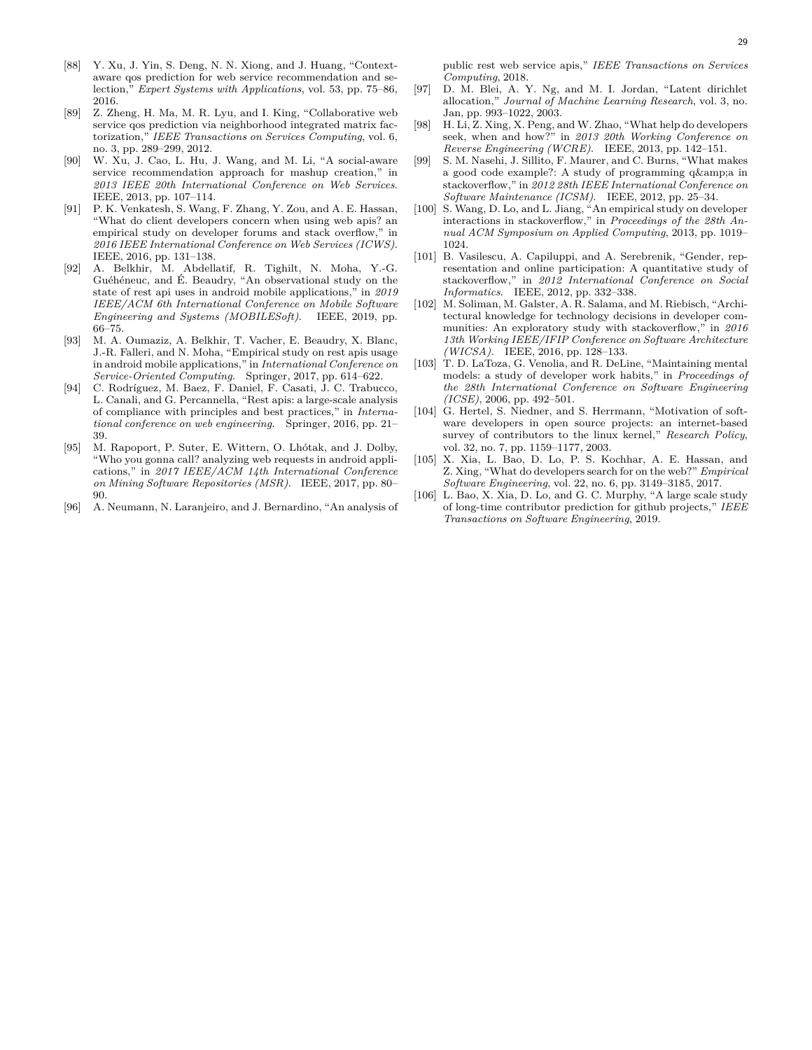- <span id="page-28-0"></span>[88] Y. Xu, J. Yin, S. Deng, N. N. Xiong, and J. Huang, "Contextaware qos prediction for web service recommendation and selection," *Expert Systems with Applications*, vol. 53, pp. 75–86, 2016.
- <span id="page-28-1"></span>[89] Z. Zheng, H. Ma, M. R. Lyu, and I. King, "Collaborative web service qos prediction via neighborhood integrated matrix factorization," *IEEE Transactions on Services Computing*, vol. 6, no. 3, pp. 289–299, 2012.
- <span id="page-28-2"></span>[90] W. Xu, J. Cao, L. Hu, J. Wang, and M. Li, "A social-aware service recommendation approach for mashup creation," in *2013 IEEE 20th International Conference on Web Services*. IEEE, 2013, pp. 107–114.
- <span id="page-28-3"></span>[91] P. K. Venkatesh, S. Wang, F. Zhang, Y. Zou, and A. E. Hassan, "What do client developers concern when using web apis? an empirical study on developer forums and stack overflow," in *2016 IEEE International Conference on Web Services (ICWS)*. IEEE, 2016, pp. 131–138.
- <span id="page-28-4"></span>[92] A. Belkhir, M. Abdellatif, R. Tighilt, N. Moha, Y.-G. Guéhéneuc, and É. Beaudry, "An observational study on the state of rest api uses in android mobile applications," in *2019 IEEE/ACM 6th International Conference on Mobile Software Engineering and Systems (MOBILESoft)*. IEEE, 2019, pp. 66–75.
- <span id="page-28-5"></span>[93] M. A. Oumaziz, A. Belkhir, T. Vacher, E. Beaudry, X. Blanc, J.-R. Falleri, and N. Moha, "Empirical study on rest apis usage in android mobile applications," in *International Conference on Service-Oriented Computing*. Springer, 2017, pp. 614–622.
- <span id="page-28-6"></span>[94] C. Rodríguez, M. Baez, F. Daniel, F. Casati, J. C. Trabucco, L. Canali, and G. Percannella, "Rest apis: a large-scale analysis of compliance with principles and best practices," in *International conference on web engineering*. Springer, 2016, pp. 21– 39.
- <span id="page-28-7"></span>[95] M. Rapoport, P. Suter, E. Wittern, O. Lhótak, and J. Dolby, "Who you gonna call? analyzing web requests in android applications," in *2017 IEEE/ACM 14th International Conference on Mining Software Repositories (MSR)*. IEEE, 2017, pp. 80– 90.
- <span id="page-28-8"></span>[96] A. Neumann, N. Laranjeiro, and J. Bernardino, "An analysis of

public rest web service apis," *IEEE Transactions on Services Computing*, 2018.

- <span id="page-28-9"></span>[97] D. M. Blei, A. Y. Ng, and M. I. Jordan, "Latent dirichlet allocation," *Journal of Machine Learning Research*, vol. 3, no. Jan, pp. 993–1022, 2003.
- <span id="page-28-10"></span>[98] H. Li, Z. Xing, X. Peng, and W. Zhao, "What help do developers seek, when and how?" in *2013 20th Working Conference on Reverse Engineering (WCRE)*. IEEE, 2013, pp. 142–151.
- <span id="page-28-11"></span>[99] S. M. Nasehi, J. Sillito, F. Maurer, and C. Burns, "What makes a good code example?: A study of programming q& a in stackoverflow," in *2012 28th IEEE International Conference on Software Maintenance (ICSM)*. IEEE, 2012, pp. 25–34.
- <span id="page-28-12"></span>[100] S. Wang, D. Lo, and L. Jiang, "An empirical study on developer interactions in stackoverflow," in *Proceedings of the 28th Annual ACM Symposium on Applied Computing*, 2013, pp. 1019– 1024.
- <span id="page-28-13"></span>[101] B. Vasilescu, A. Capiluppi, and A. Serebrenik, "Gender, representation and online participation: A quantitative study of stackoverflow," in *2012 International Conference on Social Informatics*. IEEE, 2012, pp. 332–338.
- <span id="page-28-14"></span>[102] M. Soliman, M. Galster, A. R. Salama, and M. Riebisch, "Architectural knowledge for technology decisions in developer communities: An exploratory study with stackoverflow," in *2016 13th Working IEEE/IFIP Conference on Software Architecture (WICSA)*. IEEE, 2016, pp. 128–133.
- <span id="page-28-15"></span>[103] T. D. LaToza, G. Venolia, and R. DeLine, "Maintaining mental models: a study of developer work habits," in *Proceedings of the 28th International Conference on Software Engineering (ICSE)*, 2006, pp. 492–501.
- <span id="page-28-16"></span>[104] G. Hertel, S. Niedner, and S. Herrmann, "Motivation of software developers in open source projects: an internet-based survey of contributors to the linux kernel," *Research Policy*, vol. 32, no. 7, pp. 1159–1177, 2003.
- <span id="page-28-17"></span>[105] X. Xia, L. Bao, D. Lo, P. S. Kochhar, A. E. Hassan, and Z. Xing, "What do developers search for on the web?" *Empirical Software Engineering*, vol. 22, no. 6, pp. 3149–3185, 2017.
- <span id="page-28-18"></span>[106] L. Bao, X. Xia, D. Lo, and G. C. Murphy, "A large scale study of long-time contributor prediction for github projects," *IEEE Transactions on Software Engineering*, 2019.